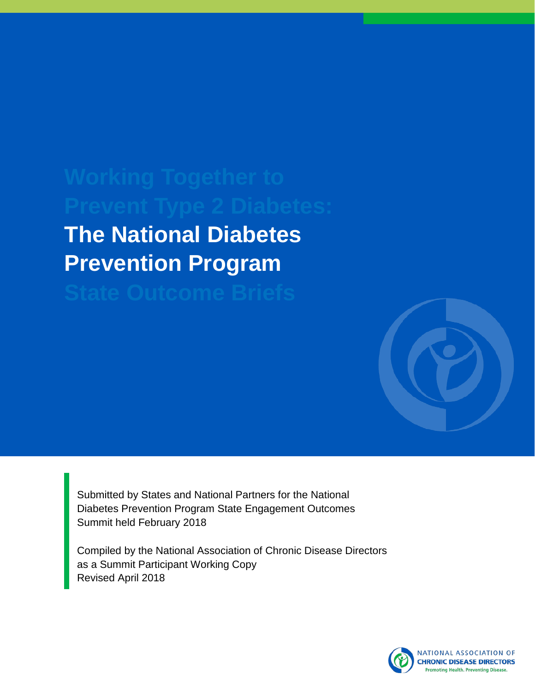# **The National Diabetes Prevention Program**



Submitted by States and National Partners for the National Diabetes Prevention Program State Engagement Outcomes Summit held February 2018

Compiled by the National Association of Chronic Disease Directors as a Summit Participant Working Copy Revised April 2018

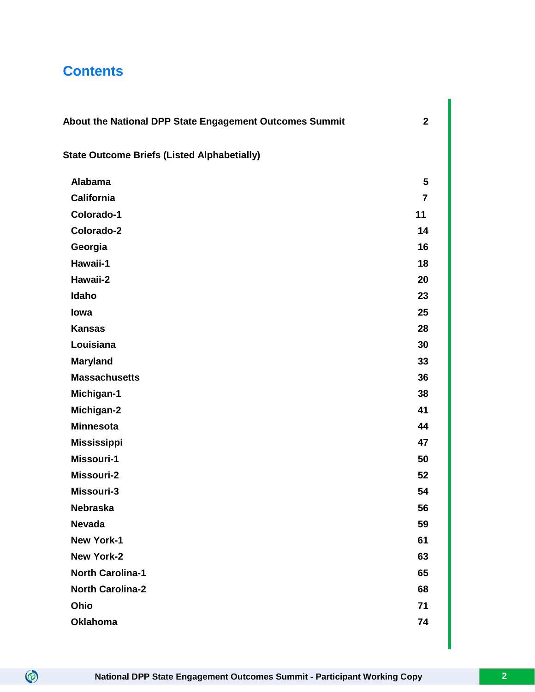## **Contents**

| About the National DPP State Engagement Outcomes Summit | $\mathbf{2}$   |
|---------------------------------------------------------|----------------|
| <b>State Outcome Briefs (Listed Alphabetially)</b>      |                |
| <b>Alabama</b>                                          | 5              |
| <b>California</b>                                       | $\overline{7}$ |
| Colorado-1                                              | 11             |
| Colorado-2                                              | 14             |
| Georgia                                                 | 16             |
| Hawaii-1                                                | 18             |
| Hawaii-2                                                | 20             |
| Idaho                                                   | 23             |
| lowa                                                    | 25             |
| <b>Kansas</b>                                           | 28             |
| Louisiana                                               | 30             |
| <b>Maryland</b>                                         | 33             |
| <b>Massachusetts</b>                                    | 36             |
| Michigan-1                                              | 38             |
| Michigan-2                                              | 41             |
| <b>Minnesota</b>                                        | 44             |
| <b>Mississippi</b>                                      | 47             |
| Missouri-1                                              | 50             |
| Missouri-2                                              | 52             |
| Missouri-3                                              | 54             |
| <b>Nebraska</b>                                         | 56             |
| <b>Nevada</b>                                           | 59             |
| <b>New York-1</b>                                       | 61             |
| <b>New York-2</b>                                       | 63             |
| <b>North Carolina-1</b>                                 | 65             |
| <b>North Carolina-2</b>                                 | 68             |
| Ohio                                                    | 71             |
| <b>Oklahoma</b>                                         | 74             |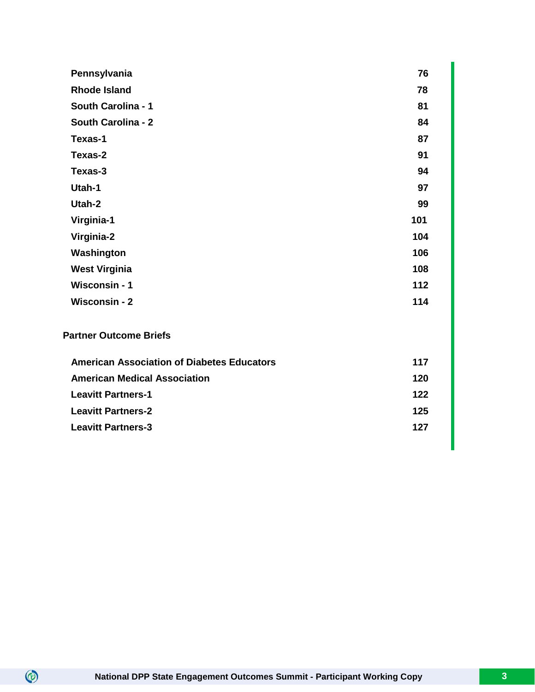| Pennsylvania                                      | 76  |
|---------------------------------------------------|-----|
| <b>Rhode Island</b>                               | 78  |
| South Carolina - 1                                | 81  |
| <b>South Carolina - 2</b>                         | 84  |
| Texas-1                                           | 87  |
| Texas-2                                           | 91  |
| Texas-3                                           | 94  |
| Utah-1                                            | 97  |
| Utah-2                                            | 99  |
| Virginia-1                                        | 101 |
| Virginia-2                                        | 104 |
| Washington                                        | 106 |
| <b>West Virginia</b>                              | 108 |
| Wisconsin - 1                                     | 112 |
| <b>Wisconsin - 2</b>                              | 114 |
| <b>Partner Outcome Briefs</b>                     |     |
| <b>American Association of Diabetes Educators</b> | 117 |
| <b>American Medical Association</b>               | 120 |
| <b>Leavitt Partners-1</b>                         | 122 |
| <b>Leavitt Partners-2</b>                         | 125 |
| <b>Leavitt Partners-3</b>                         | 127 |
|                                                   |     |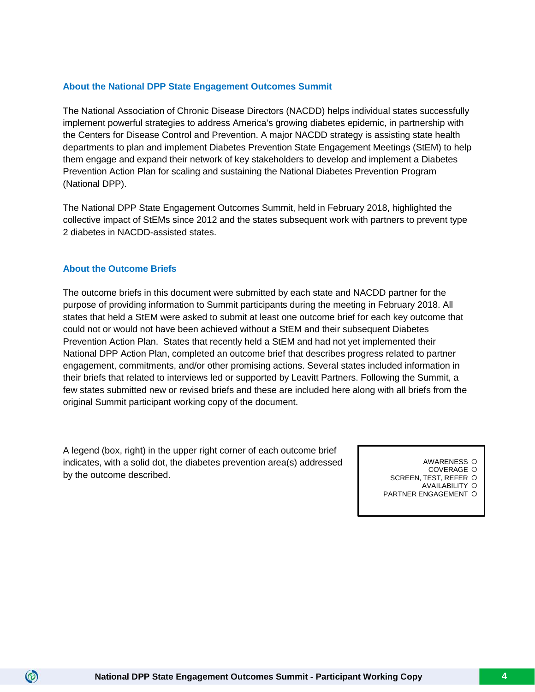#### **About the National DPP State Engagement Outcomes Summit**

The National Association of Chronic Disease Directors (NACDD) helps individual states successfully implement powerful strategies to address America's growing diabetes epidemic, in partnership with the Centers for Disease Control and Prevention. A major NACDD strategy is assisting state health departments to plan and implement Diabetes Prevention State Engagement Meetings (StEM) to help them engage and expand their network of key stakeholders to develop and implement a Diabetes Prevention Action Plan for scaling and sustaining the National Diabetes Prevention Program (National DPP).

The National DPP State Engagement Outcomes Summit, held in February 2018, highlighted the collective impact of StEMs since 2012 and the states subsequent work with partners to prevent type 2 diabetes in NACDD-assisted states.

#### **About the Outcome Briefs**

 $\circledcirc$ 

The outcome briefs in this document were submitted by each state and NACDD partner for the purpose of providing information to Summit participants during the meeting in February 2018. All states that held a StEM were asked to submit at least one outcome brief for each key outcome that could not or would not have been achieved without a StEM and their subsequent Diabetes Prevention Action Plan. States that recently held a StEM and had not yet implemented their National DPP Action Plan, completed an outcome brief that describes progress related to partner engagement, commitments, and/or other promising actions. Several states included information in their briefs that related to interviews led or supported by Leavitt Partners. Following the Summit, a few states submitted new or revised briefs and these are included here along with all briefs from the original Summit participant working copy of the document.

A legend (box, right) in the upper right corner of each outcome brief indicates, with a solid dot, the diabetes prevention area(s) addressed by the outcome described.

AWARENESS COVERAGE O

SCREEN, TEST, REFER O

AVAILABILITY PARTNER ENGAGEMENT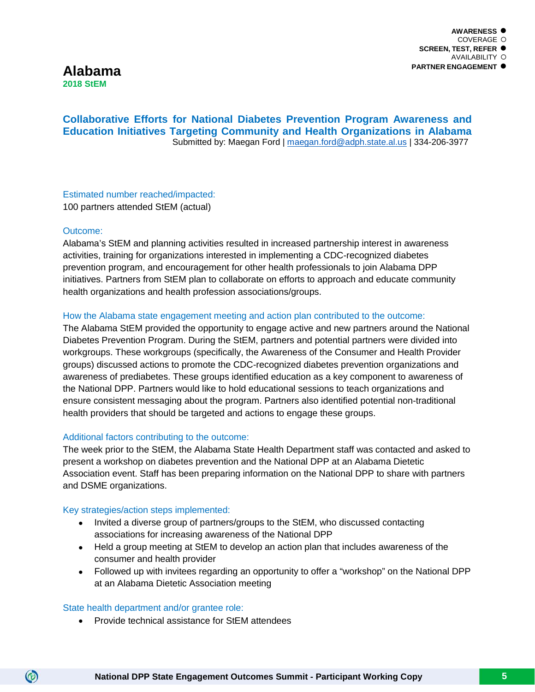### **Alabama 2018 StEM**

#### **Collaborative Efforts for National Diabetes Prevention Program Awareness and Education Initiatives Targeting Community and Health Organizations in Alabama** Submitted by: Maegan Ford | [maegan.ford@adph.state.al.us](mailto:maegan.ford@adph.state.al.us) | 334-206-3977

Estimated number reached/impacted: 100 partners attended StEM (actual)

#### Outcome:

Alabama's StEM and planning activities resulted in increased partnership interest in awareness activities, training for organizations interested in implementing a CDC-recognized diabetes prevention program, and encouragement for other health professionals to join Alabama DPP initiatives. Partners from StEM plan to collaborate on efforts to approach and educate community health organizations and health profession associations/groups.

#### How the Alabama state engagement meeting and action plan contributed to the outcome:

The Alabama StEM provided the opportunity to engage active and new partners around the National Diabetes Prevention Program. During the StEM, partners and potential partners were divided into workgroups. These workgroups (specifically, the Awareness of the Consumer and Health Provider groups) discussed actions to promote the CDC-recognized diabetes prevention organizations and awareness of prediabetes. These groups identified education as a key component to awareness of the National DPP. Partners would like to hold educational sessions to teach organizations and ensure consistent messaging about the program. Partners also identified potential non-traditional health providers that should be targeted and actions to engage these groups.

#### Additional factors contributing to the outcome:

The week prior to the StEM, the Alabama State Health Department staff was contacted and asked to present a workshop on diabetes prevention and the National DPP at an Alabama Dietetic Association event. Staff has been preparing information on the National DPP to share with partners and DSME organizations.

#### Key strategies/action steps implemented:

- Invited a diverse group of partners/groups to the StEM, who discussed contacting associations for increasing awareness of the National DPP
- Held a group meeting at StEM to develop an action plan that includes awareness of the consumer and health provider
- Followed up with invitees regarding an opportunity to offer a "workshop" on the National DPP at an Alabama Dietetic Association meeting

#### State health department and/or grantee role:

 $\circledcirc$ 

• Provide technical assistance for StEM attendees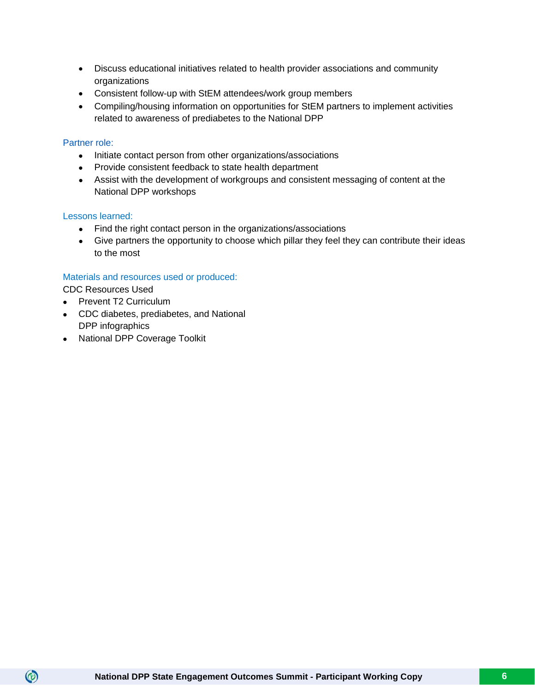- Discuss educational initiatives related to health provider associations and community organizations
- Consistent follow-up with StEM attendees/work group members
- Compiling/housing information on opportunities for StEM partners to implement activities related to awareness of prediabetes to the National DPP

#### Partner role:

- Initiate contact person from other organizations/associations
- Provide consistent feedback to state health department
- Assist with the development of workgroups and consistent messaging of content at the National DPP workshops

#### Lessons learned:

- Find the right contact person in the organizations/associations
- Give partners the opportunity to choose which pillar they feel they can contribute their ideas to the most

#### Materials and resources used or produced:

CDC Resources Used

- Prevent T2 Curriculum
- CDC diabetes, prediabetes, and National DPP infographics
- National DPP Coverage Toolkit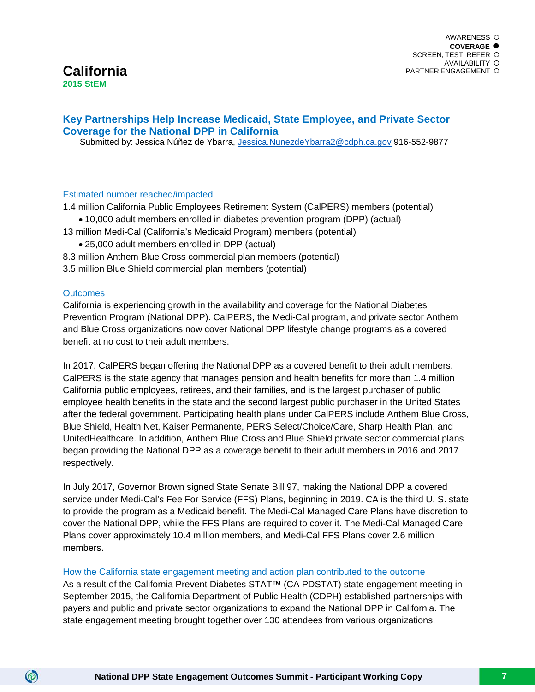### **California 2015 StEM**

#### **Key Partnerships Help Increase Medicaid, State Employee, and Private Sector Coverage for the National DPP in California**

Submitted by: Jessica Núñez de Ybarra, [Jessica.NunezdeYbarra2@cdph.ca.gov](mailto:Jessica.NunezdeYbarra2@cdph.ca.gov) 916-552-9877

#### Estimated number reached/impacted

1.4 million California Public Employees Retirement System (CalPERS) members (potential)

- 10,000 adult members enrolled in diabetes prevention program (DPP) (actual)
- 13 million Medi-Cal (California's Medicaid Program) members (potential)
	- 25,000 adult members enrolled in DPP (actual)
- 8.3 million Anthem Blue Cross commercial plan members (potential)
- 3.5 million Blue Shield commercial plan members (potential)

#### **Outcomes**

 $\circledcirc$ 

California is experiencing growth in the availability and coverage for the National Diabetes Prevention Program (National DPP). CalPERS, the Medi-Cal program, and private sector Anthem and Blue Cross organizations now cover National DPP lifestyle change programs as a covered benefit at no cost to their adult members.

In 2017, CalPERS began offering the National DPP as a covered benefit to their adult members. CalPERS is the state agency that manages pension and health benefits for more than 1.4 million California public employees, retirees, and their families, and is the largest purchaser of public employee health benefits in the state and the second largest public purchaser in the United States after the federal government. Participating health plans under CalPERS include Anthem Blue Cross, Blue Shield, Health Net, Kaiser Permanente, PERS Select/Choice/Care, Sharp Health Plan, and UnitedHealthcare. In addition, Anthem Blue Cross and Blue Shield private sector commercial plans began providing the National DPP as a coverage benefit to their adult members in 2016 and 2017 respectively.

In July 2017, Governor Brown signed State Senate Bill 97, making the National DPP a covered service under Medi-Cal's Fee For Service (FFS) Plans, beginning in 2019. CA is the third U. S. state to provide the program as a Medicaid benefit. The Medi-Cal Managed Care Plans have discretion to cover the National DPP, while the FFS Plans are required to cover it. The Medi-Cal Managed Care Plans cover approximately 10.4 million members, and Medi-Cal FFS Plans cover 2.6 million members.

#### How the California state engagement meeting and action plan contributed to the outcome

As a result of the California Prevent Diabetes STAT™ (CA PDSTAT) state engagement meeting in September 2015, the California Department of Public Health (CDPH) established partnerships with payers and public and private sector organizations to expand the National DPP in California. The state engagement meeting brought together over 130 attendees from various organizations,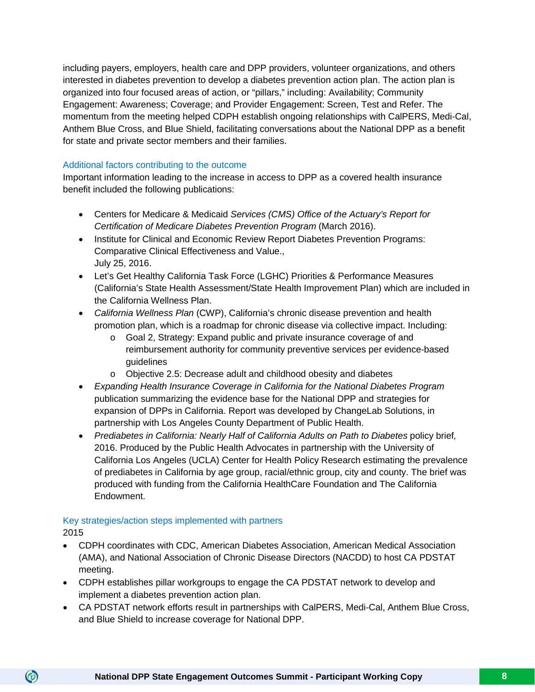including payers, employers, health care and DPP providers, volunteer organizations, and others interested in diabetes prevention to develop a diabetes prevention action plan. The action plan is organized into four focused areas of action, or "pillars," including: Availability; Community Engagement: Awareness; Coverage; and Provider Engagement: Screen, Test and Refer. The momentum from the meeting helped CDPH establish ongoing relationships with CalPERS, Medi-Cal, Anthem Blue Cross, and Blue Shield, facilitating conversations about the National DPP as a benefit for state and private sector members and their families.

#### Additional factors contributing to the outcome

Important information leading to the increase in access to DPP as a covered health insurance benefit included the following publications:

- Centers for Medicare & Medicaid *Services (CMS) Office of the Actuary's Report for Certification of Medicare Diabetes Prevention Program* (March 2016).
- Institute for Clinical and Economic Review Report Diabetes Prevention Programs: Comparative Clinical Effectiveness and Value., July 25, 2016.
- Let's Get Healthy California Task Force (LGHC) Priorities & Performance Measures (California's State Health Assessment/State Health Improvement Plan) which are included in the California Wellness Plan.
- *California Wellness Plan* (CWP), California's chronic disease prevention and health promotion plan, which is a roadmap for chronic disease via collective impact. Including:
	- o Goal 2, Strategy: Expand public and private insurance coverage of and reimbursement authority for community preventive services per evidence-based guidelines
	- o Objective 2.5: Decrease adult and childhood obesity and diabetes
- *Expanding Health Insurance Coverage in California for the National Diabetes Program* publication summarizing the evidence base for the National DPP and strategies for expansion of DPPs in California. Report was developed by ChangeLab Solutions, in partnership with Los Angeles County Department of Public Health.
- *Prediabetes in California: Nearly Half of California Adults on Path to Diabetes policy brief,* 2016. Produced by the Public Health Advocates in partnership with the University of California Los Angeles (UCLA) Center for Health Policy Research estimating the prevalence of prediabetes in California by age group, racial/ethnic group, city and county. The brief was produced with funding from the California HealthCare Foundation and The California Endowment.

#### Key strategies/action steps implemented with partners

2015

- CDPH coordinates with CDC, American Diabetes Association, American Medical Association (AMA), and National Association of Chronic Disease Directors (NACDD) to host CA PDSTAT meeting.
- CDPH establishes pillar workgroups to engage the CA PDSTAT network to develop and implement a diabetes prevention action plan.
- CA PDSTAT network efforts result in partnerships with CalPERS, Medi-Cal, Anthem Blue Cross, and Blue Shield to increase coverage for National DPP.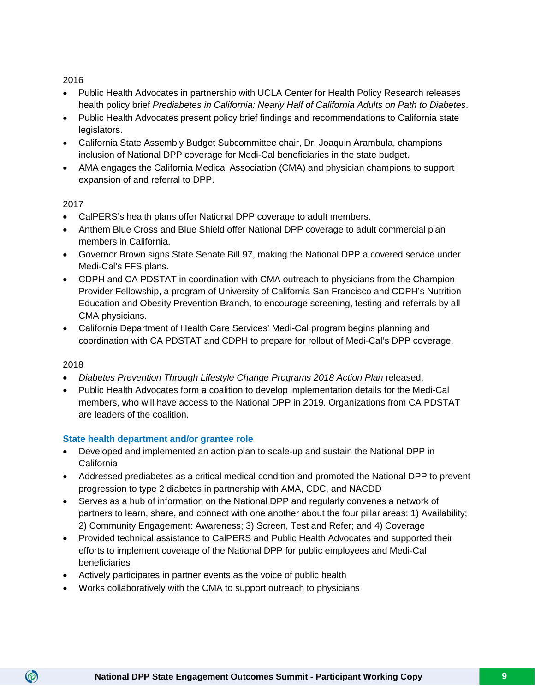#### 2016

- Public Health Advocates in partnership with UCLA Center for Health Policy Research releases health policy brief *Prediabetes in California: Nearly Half of California Adults on Path to Diabetes*.
- Public Health Advocates present policy brief findings and recommendations to California state legislators.
- California State Assembly Budget Subcommittee chair, Dr. Joaquin Arambula, champions inclusion of National DPP coverage for Medi-Cal beneficiaries in the state budget.
- AMA engages the California Medical Association (CMA) and physician champions to support expansion of and referral to DPP.

#### 2017

- CalPERS's health plans offer National DPP coverage to adult members.
- Anthem Blue Cross and Blue Shield offer National DPP coverage to adult commercial plan members in California.
- Governor Brown signs State Senate Bill 97, making the National DPP a covered service under Medi-Cal's FFS plans.
- CDPH and CA PDSTAT in coordination with CMA outreach to physicians from the Champion Provider Fellowship, a program of University of California San Francisco and CDPH's Nutrition Education and Obesity Prevention Branch, to encourage screening, testing and referrals by all CMA physicians.
- California Department of Health Care Services' Medi-Cal program begins planning and coordination with CA PDSTAT and CDPH to prepare for rollout of Medi-Cal's DPP coverage.

#### 2018

 $\circledcirc$ 

- *Diabetes Prevention Through Lifestyle Change Programs 2018 Action Plan* released.
- Public Health Advocates form a coalition to develop implementation details for the Medi-Cal members, who will have access to the National DPP in 2019. Organizations from CA PDSTAT are leaders of the coalition.

#### **State health department and/or grantee role**

- Developed and implemented an action plan to scale-up and sustain the National DPP in California
- Addressed prediabetes as a critical medical condition and promoted the National DPP to prevent progression to type 2 diabetes in partnership with AMA, CDC, and NACDD
- Serves as a hub of information on the National DPP and regularly convenes a network of partners to learn, share, and connect with one another about the four pillar areas: 1) Availability; 2) Community Engagement: Awareness; 3) Screen, Test and Refer; and 4) Coverage
- Provided technical assistance to CalPERS and Public Health Advocates and supported their efforts to implement coverage of the National DPP for public employees and Medi-Cal beneficiaries
- Actively participates in partner events as the voice of public health
- Works collaboratively with the CMA to support outreach to physicians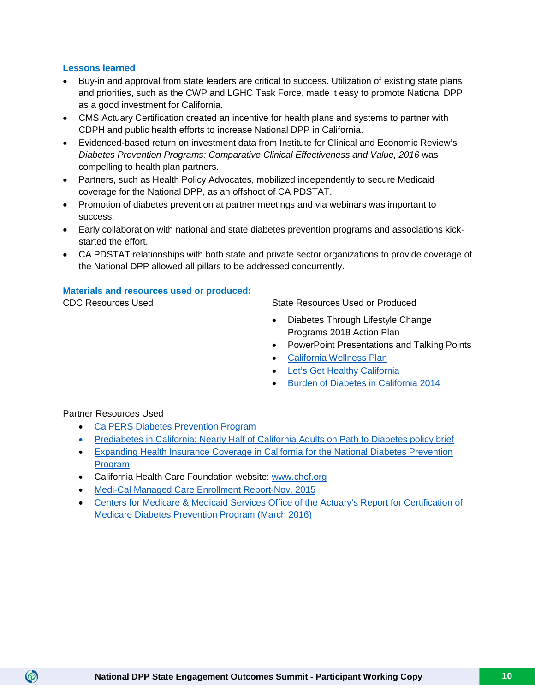#### **Lessons learned**

- Buy-in and approval from state leaders are critical to success. Utilization of existing state plans and priorities, such as the CWP and LGHC Task Force, made it easy to promote National DPP as a good investment for California.
- CMS Actuary Certification created an incentive for health plans and systems to partner with CDPH and public health efforts to increase National DPP in California.
- Evidenced-based return on investment data from Institute for Clinical and Economic Review's *Diabetes Prevention Programs: Comparative Clinical Effectiveness and Value, 2016* was compelling to health plan partners.
- Partners, such as Health Policy Advocates, mobilized independently to secure Medicaid coverage for the National DPP, as an offshoot of CA PDSTAT.
- Promotion of diabetes prevention at partner meetings and via webinars was important to success.
- Early collaboration with national and state diabetes prevention programs and associations kickstarted the effort.
- CA PDSTAT relationships with both state and private sector organizations to provide coverage of the National DPP allowed all pillars to be addressed concurrently.

#### **Materials and resources used or produced:**

CDC Resources Used State Resources Used or Produced

- Diabetes Through Lifestyle Change Programs 2018 Action Plan
- PowerPoint Presentations and Talking Points
- [California Wellness Plan](https://www.cdph.ca.gov/Programs/CCDPHP/DCDIC/CDCB/CDPH%20Document%20Library/CDPH-CAWellnessPlan2014_FINAL%202-27-14_PDF%204.3%20MB.pdf)
- [Let's Get Healthy California](https://letsgethealthy.ca.gov/)
- [Burden of Diabetes in California 2014](https://www.cdph.ca.gov/Programs/CCDPHP/DCDIC/CDCB/CDPH%20Document%20Library/FINAL%20Rpt%20(1877)%20DM%20burden%202014_9-04-14MNR3.pdf)

Partner Resources Used

- [CalPERS Diabetes Prevention Program](https://www.calpers.ca.gov/page/education-center/member-education/diabetes-prevention)
- [Prediabetes in California: Nearly Half of California Adults on Path to Diabetes](http://www.publichealthadvocacy.org/wp-content/uploads/2016/09/Prediabetes-Policy-Brief-and-Recommendations-combined.pdf) policy brief
- [Expanding Health Insurance Coverage in California for the National Diabetes Prevention](https://www.changelabsolutions.org/sites/default/files/LACDPH-DPP-Report_FINAL-201605.pdf)  [Program](https://www.changelabsolutions.org/sites/default/files/LACDPH-DPP-Report_FINAL-201605.pdf)
- California Health Care Foundation website: [www.chcf.org](http://www.chcf.org/)
- [Medi-Cal Managed Care Enrollment Report-Nov. 2015](http://www.dhcs.ca.gov/dataandstats/reports/Documents/MMCD_Enrollment_Reports/MMCEnrollRptNov2015.pdf)
- [Centers for Medicare & Medicaid Services Office of the Actuary's Report for Certification of](https://www.cms.gov/Research-Statistics-Data-and-Systems/Research/ActuarialStudies/Downloads/Diabetes-Prevention-Certification-2016-03-14.pdf)  [Medicare Diabetes Prevention Program \(March 2016\)](https://www.cms.gov/Research-Statistics-Data-and-Systems/Research/ActuarialStudies/Downloads/Diabetes-Prevention-Certification-2016-03-14.pdf)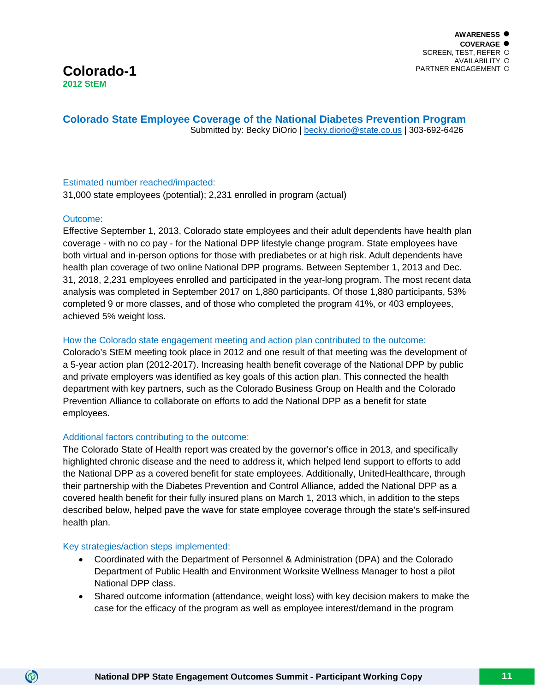

**Colorado State Employee Coverage of the National Diabetes Prevention Program** Submitted by: Becky DiOrio | [becky.diorio@state.co.us](mailto:becky.diorio@state.co.us) | 303-692-6426

#### Estimated number reached/impacted:

31,000 state employees (potential); 2,231 enrolled in program (actual)

#### Outcome:

Effective September 1, 2013, Colorado state employees and their adult dependents have health plan coverage - with no co pay - for the National DPP lifestyle change program. State employees have both virtual and in-person options for those with prediabetes or at high risk. Adult dependents have health plan coverage of two online National DPP programs. Between September 1, 2013 and Dec. 31, 2018, 2,231 employees enrolled and participated in the year-long program. The most recent data analysis was completed in September 2017 on 1,880 participants. Of those 1,880 participants, 53% completed 9 or more classes, and of those who completed the program 41%, or 403 employees, achieved 5% weight loss.

#### How the Colorado state engagement meeting and action plan contributed to the outcome:

Colorado's StEM meeting took place in 2012 and one result of that meeting was the development of a 5-year action plan (2012-2017). Increasing health benefit coverage of the National DPP by public and private employers was identified as key goals of this action plan. This connected the health department with key partners, such as the Colorado Business Group on Health and the Colorado Prevention Alliance to collaborate on efforts to add the National DPP as a benefit for state employees.

#### Additional factors contributing to the outcome:

The Colorado State of Health report was created by the governor's office in 2013, and specifically highlighted chronic disease and the need to address it, which helped lend support to efforts to add the National DPP as a covered benefit for state employees. Additionally, UnitedHealthcare, through their partnership with the Diabetes Prevention and Control Alliance, added the National DPP as a covered health benefit for their fully insured plans on March 1, 2013 which, in addition to the steps described below, helped pave the wave for state employee coverage through the state's self-insured health plan.

#### Key strategies/action steps implemented:

- Coordinated with the Department of Personnel & Administration (DPA) and the Colorado Department of Public Health and Environment Worksite Wellness Manager to host a pilot National DPP class.
- Shared outcome information (attendance, weight loss) with key decision makers to make the case for the efficacy of the program as well as employee interest/demand in the program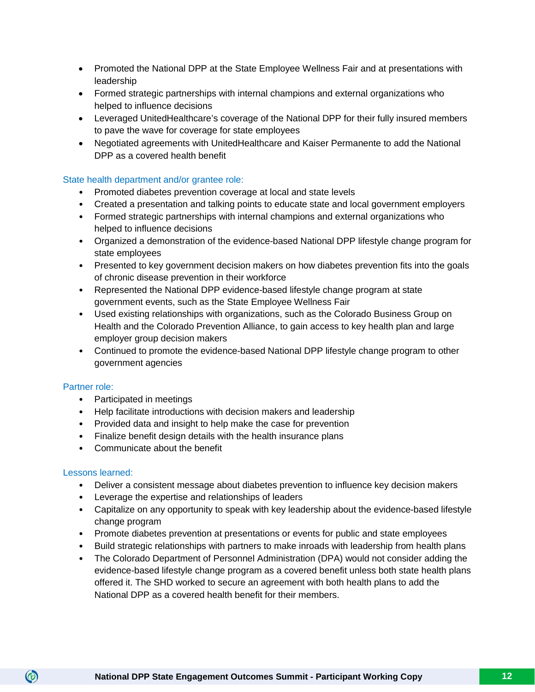- Promoted the National DPP at the State Employee Wellness Fair and at presentations with leadership
- Formed strategic partnerships with internal champions and external organizations who helped to influence decisions
- Leveraged UnitedHealthcare's coverage of the National DPP for their fully insured members to pave the wave for coverage for state employees
- Negotiated agreements with UnitedHealthcare and Kaiser Permanente to add the National DPP as a covered health benefit

#### State health department and/or grantee role:

- Promoted diabetes prevention coverage at local and state levels
- Created a presentation and talking points to educate state and local government employers
- Formed strategic partnerships with internal champions and external organizations who helped to influence decisions
- Organized a demonstration of the evidence-based National DPP lifestyle change program for state employees
- Presented to key government decision makers on how diabetes prevention fits into the goals of chronic disease prevention in their workforce
- Represented the National DPP evidence-based lifestyle change program at state government events, such as the State Employee Wellness Fair
- Used existing relationships with organizations, such as the Colorado Business Group on Health and the Colorado Prevention Alliance, to gain access to key health plan and large employer group decision makers
- Continued to promote the evidence-based National DPP lifestyle change program to other government agencies

#### Partner role:

- Participated in meetings
- Help facilitate introductions with decision makers and leadership
- Provided data and insight to help make the case for prevention
- Finalize benefit design details with the health insurance plans
- Communicate about the benefit

#### Lessons learned:

- Deliver a consistent message about diabetes prevention to influence key decision makers
- Leverage the expertise and relationships of leaders
- Capitalize on any opportunity to speak with key leadership about the evidence-based lifestyle change program
- Promote diabetes prevention at presentations or events for public and state employees
- Build strategic relationships with partners to make inroads with leadership from health plans
- The Colorado Department of Personnel Administration (DPA) would not consider adding the evidence-based lifestyle change program as a covered benefit unless both state health plans offered it. The SHD worked to secure an agreement with both health plans to add the National DPP as a covered health benefit for their members.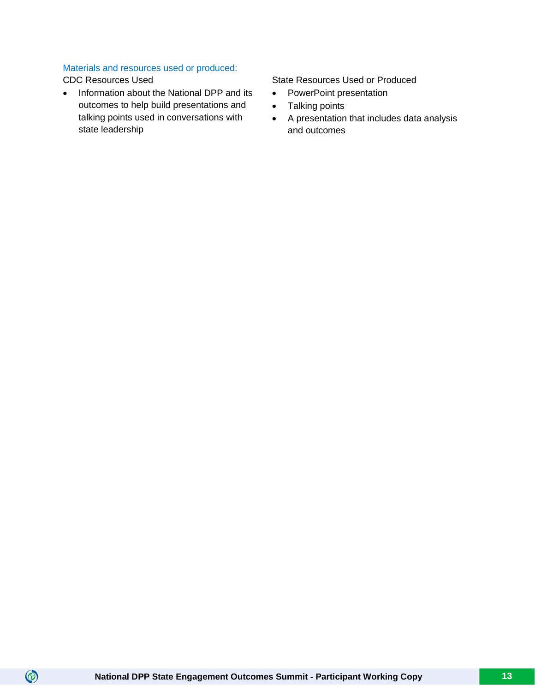#### Materials and resources used or produced:

 $\circledcirc$ 

• Information about the National DPP and its outcomes to help build presentations and talking points used in conversations with state leadership

CDC Resources Used State Resources Used or Produced

- PowerPoint presentation
- Talking points
- A presentation that includes data analysis and outcomes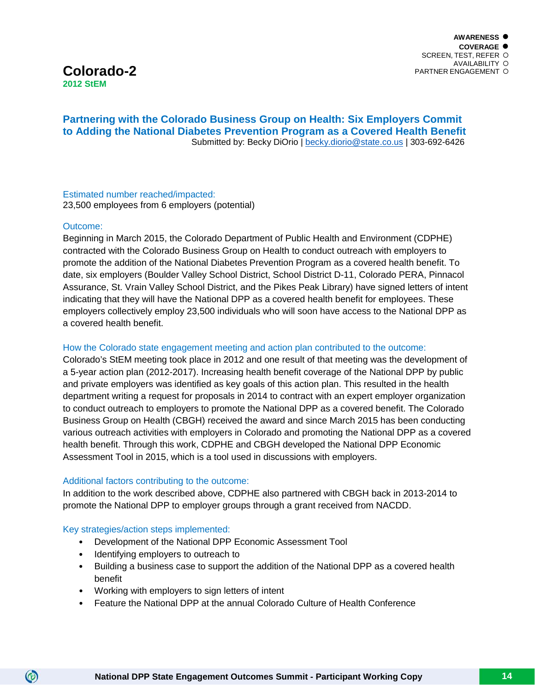## **Colorado-2 2012 StEM**

#### **Partnering with the Colorado Business Group on Health: Six Employers Commit to Adding the National Diabetes Prevention Program as a Covered Health Benefit** Submitted by: Becky DiOrio | [becky.diorio@state.co.us](mailto:becky.diorio@state.co.us) | 303-692-6426

#### Estimated number reached/impacted: 23,500 employees from 6 employers (potential)

#### Outcome:

 $\circledcirc$ 

Beginning in March 2015, the Colorado Department of Public Health and Environment (CDPHE) contracted with the Colorado Business Group on Health to conduct outreach with employers to promote the addition of the National Diabetes Prevention Program as a covered health benefit. To date, six employers (Boulder Valley School District, School District D-11, Colorado PERA, Pinnacol Assurance, St. Vrain Valley School District, and the Pikes Peak Library) have signed letters of intent indicating that they will have the National DPP as a covered health benefit for employees. These employers collectively employ 23,500 individuals who will soon have access to the National DPP as a covered health benefit.

#### How the Colorado state engagement meeting and action plan contributed to the outcome:

Colorado's StEM meeting took place in 2012 and one result of that meeting was the development of a 5-year action plan (2012-2017). Increasing health benefit coverage of the National DPP by public and private employers was identified as key goals of this action plan. This resulted in the health department writing a request for proposals in 2014 to contract with an expert employer organization to conduct outreach to employers to promote the National DPP as a covered benefit. The Colorado Business Group on Health (CBGH) received the award and since March 2015 has been conducting various outreach activities with employers in Colorado and promoting the National DPP as a covered health benefit. Through this work, CDPHE and CBGH developed the National DPP Economic Assessment Tool in 2015, which is a tool used in discussions with employers.

#### Additional factors contributing to the outcome:

In addition to the work described above, CDPHE also partnered with CBGH back in 2013-2014 to promote the National DPP to employer groups through a grant received from NACDD.

#### Key strategies/action steps implemented:

- Development of the National DPP Economic Assessment Tool
- Identifying employers to outreach to
- Building a business case to support the addition of the National DPP as a covered health benefit
- Working with employers to sign letters of intent
- Feature the National DPP at the annual Colorado Culture of Health Conference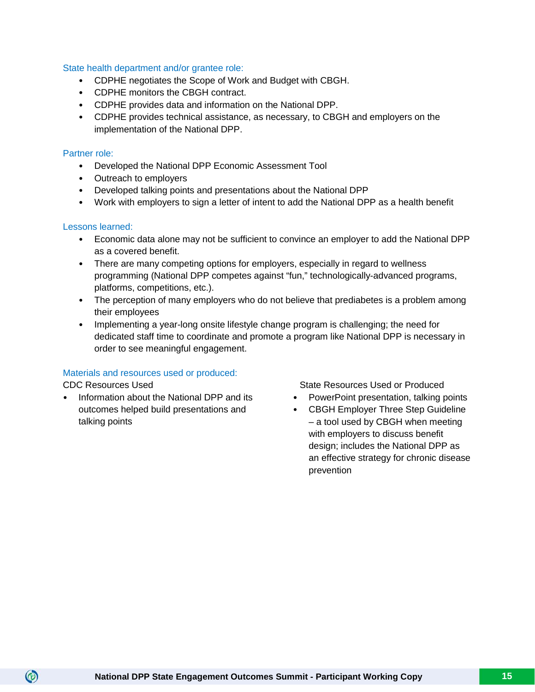#### State health department and/or grantee role:

- CDPHE negotiates the Scope of Work and Budget with CBGH.
- CDPHE monitors the CBGH contract.
- CDPHE provides data and information on the National DPP.
- CDPHE provides technical assistance, as necessary, to CBGH and employers on the implementation of the National DPP.

#### Partner role:

- Developed the National DPP Economic Assessment Tool
- Outreach to employers
- Developed talking points and presentations about the National DPP
- Work with employers to sign a letter of intent to add the National DPP as a health benefit

#### Lessons learned:

- Economic data alone may not be sufficient to convince an employer to add the National DPP as a covered benefit.
- There are many competing options for employers, especially in regard to wellness programming (National DPP competes against "fun," technologically-advanced programs, platforms, competitions, etc.).
- The perception of many employers who do not believe that prediabetes is a problem among their employees
- Implementing a year-long onsite lifestyle change program is challenging; the need for dedicated staff time to coordinate and promote a program like National DPP is necessary in order to see meaningful engagement.

#### Materials and resources used or produced:

 $\circledcirc$ 

• Information about the National DPP and its outcomes helped build presentations and talking points

CDC Resources Used State Resources Used or Produced

- PowerPoint presentation, talking points
- CBGH Employer Three Step Guideline – a tool used by CBGH when meeting with employers to discuss benefit design; includes the National DPP as an effective strategy for chronic disease prevention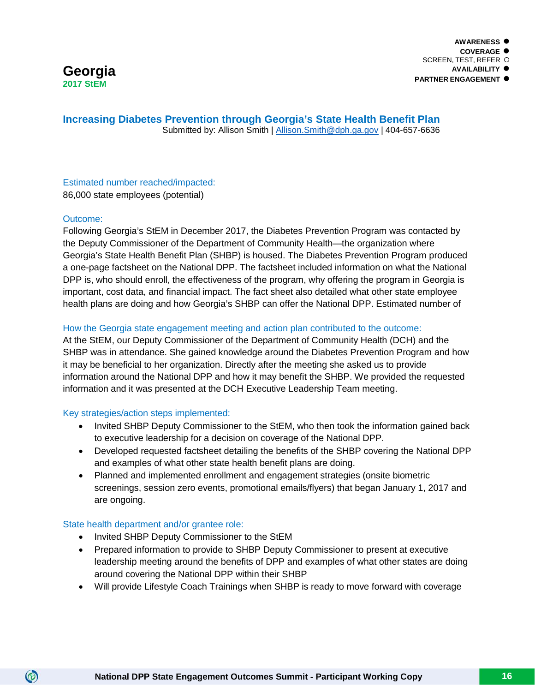

**Increasing Diabetes Prevention through Georgia's State Health Benefit Plan** Submitted by: Allison Smith | [Allison.Smith@dph.ga.gov](mailto:Allison.Smith@dph.ga.gov) | 404-657-6636

Estimated number reached/impacted: 86,000 state employees (potential)

#### Outcome:

 $\circledcirc$ 

Following Georgia's StEM in December 2017, the Diabetes Prevention Program was contacted by the Deputy Commissioner of the Department of Community Health—the organization where Georgia's State Health Benefit Plan (SHBP) is housed. The Diabetes Prevention Program produced a one-page factsheet on the National DPP. The factsheet included information on what the National DPP is, who should enroll, the effectiveness of the program, why offering the program in Georgia is important, cost data, and financial impact. The fact sheet also detailed what other state employee health plans are doing and how Georgia's SHBP can offer the National DPP. Estimated number of

#### How the Georgia state engagement meeting and action plan contributed to the outcome:

At the StEM, our Deputy Commissioner of the Department of Community Health (DCH) and the SHBP was in attendance. She gained knowledge around the Diabetes Prevention Program and how it may be beneficial to her organization. Directly after the meeting she asked us to provide information around the National DPP and how it may benefit the SHBP. We provided the requested information and it was presented at the DCH Executive Leadership Team meeting.

#### Key strategies/action steps implemented:

- Invited SHBP Deputy Commissioner to the StEM, who then took the information gained back to executive leadership for a decision on coverage of the National DPP.
- Developed requested factsheet detailing the benefits of the SHBP covering the National DPP and examples of what other state health benefit plans are doing.
- Planned and implemented enrollment and engagement strategies (onsite biometric screenings, session zero events, promotional emails/flyers) that began January 1, 2017 and are ongoing.

#### State health department and/or grantee role:

- Invited SHBP Deputy Commissioner to the StEM
- Prepared information to provide to SHBP Deputy Commissioner to present at executive leadership meeting around the benefits of DPP and examples of what other states are doing around covering the National DPP within their SHBP
- Will provide Lifestyle Coach Trainings when SHBP is ready to move forward with coverage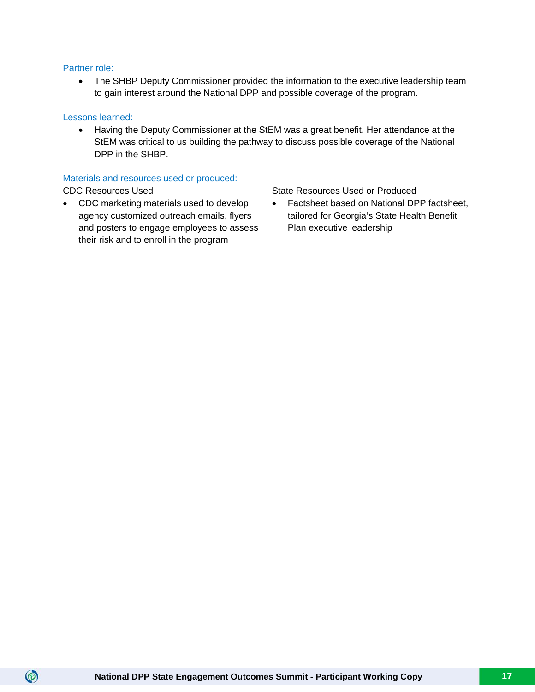#### Partner role:

• The SHBP Deputy Commissioner provided the information to the executive leadership team to gain interest around the National DPP and possible coverage of the program.

#### Lessons learned:

• Having the Deputy Commissioner at the StEM was a great benefit. Her attendance at the StEM was critical to us building the pathway to discuss possible coverage of the National DPP in the SHBP.

#### Materials and resources used or produced:

 $\circledcirc$ 

• CDC marketing materials used to develop agency customized outreach emails, flyers and posters to engage employees to assess their risk and to enroll in the program

CDC Resources Used State Resources Used State Resources Used or Produced

• Factsheet based on National DPP factsheet, tailored for Georgia's State Health Benefit Plan executive leadership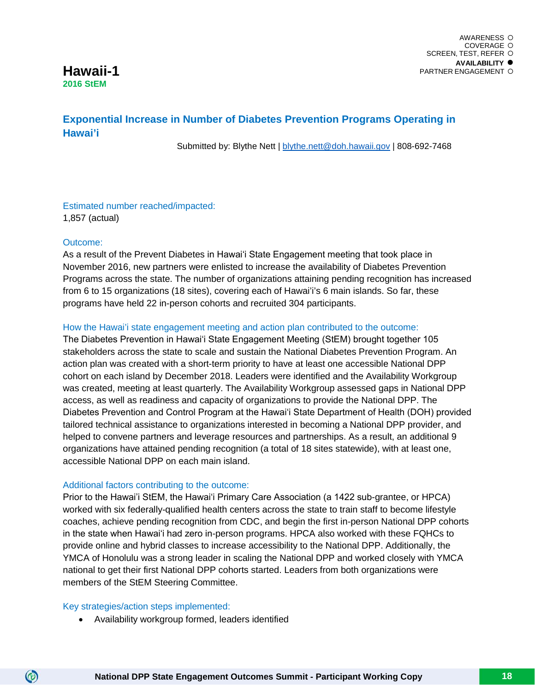

### **Exponential Increase in Number of Diabetes Prevention Programs Operating in Hawai'i**

Submitted by: Blythe Nett | [blythe.nett@doh.hawaii.gov](mailto:blythe.nett@doh.hawaii.gov) | 808-692-7468

#### Estimated number reached/impacted: 1,857 (actual)

#### Outcome:

As a result of the Prevent Diabetes in Hawaiʻi State Engagement meeting that took place in November 2016, new partners were enlisted to increase the availability of Diabetes Prevention Programs across the state. The number of organizations attaining pending recognition has increased from 6 to 15 organizations (18 sites), covering each of Hawai'i's 6 main islands. So far, these programs have held 22 in-person cohorts and recruited 304 participants.

#### How the Hawai'i state engagement meeting and action plan contributed to the outcome:

The Diabetes Prevention in Hawaiʻi State Engagement Meeting (StEM) brought together 105 stakeholders across the state to scale and sustain the National Diabetes Prevention Program. An action plan was created with a short-term priority to have at least one accessible National DPP cohort on each island by December 2018. Leaders were identified and the Availability Workgroup was created, meeting at least quarterly. The Availability Workgroup assessed gaps in National DPP access, as well as readiness and capacity of organizations to provide the National DPP. The Diabetes Prevention and Control Program at the Hawaiʻi State Department of Health (DOH) provided tailored technical assistance to organizations interested in becoming a National DPP provider, and helped to convene partners and leverage resources and partnerships. As a result, an additional 9 organizations have attained pending recognition (a total of 18 sites statewide), with at least one, accessible National DPP on each main island.

#### Additional factors contributing to the outcome:

Prior to the Hawai'i StEM, the Hawaiʻi Primary Care Association (a 1422 sub-grantee, or HPCA) worked with six federally-qualified health centers across the state to train staff to become lifestyle coaches, achieve pending recognition from CDC, and begin the first in-person National DPP cohorts in the state when Hawaiʻi had zero in-person programs. HPCA also worked with these FQHCs to provide online and hybrid classes to increase accessibility to the National DPP. Additionally, the YMCA of Honolulu was a strong leader in scaling the National DPP and worked closely with YMCA national to get their first National DPP cohorts started. Leaders from both organizations were members of the StEM Steering Committee.

#### Key strategies/action steps implemented:

 $\circledcirc$ 

• Availability workgroup formed, leaders identified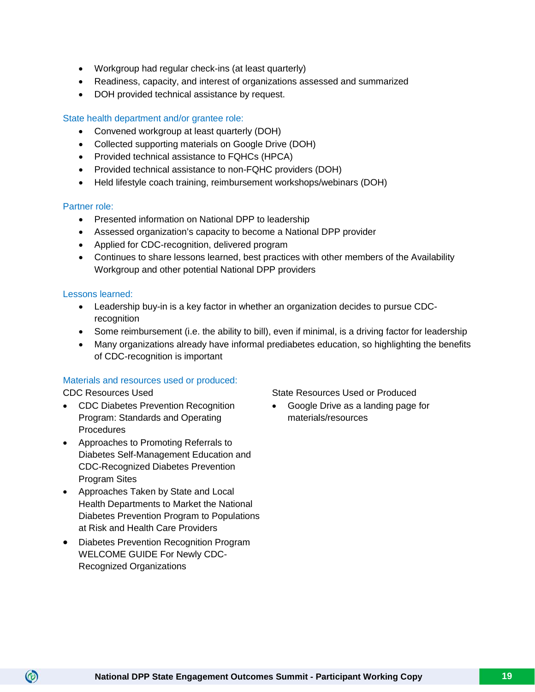- Workgroup had regular check-ins (at least quarterly)
- Readiness, capacity, and interest of organizations assessed and summarized
- DOH provided technical assistance by request.

#### State health department and/or grantee role:

- Convened workgroup at least quarterly (DOH)
- Collected supporting materials on Google Drive (DOH)
- Provided technical assistance to FQHCs (HPCA)
- Provided technical assistance to non-FQHC providers (DOH)
- Held lifestyle coach training, reimbursement workshops/webinars (DOH)

#### Partner role:

- Presented information on National DPP to leadership
- Assessed organization's capacity to become a National DPP provider
- Applied for CDC-recognition, delivered program
- Continues to share lessons learned, best practices with other members of the Availability Workgroup and other potential National DPP providers

#### Lessons learned:

- Leadership buy-in is a key factor in whether an organization decides to pursue CDCrecognition
- Some reimbursement (i.e. the ability to bill), even if minimal, is a driving factor for leadership
- Many organizations already have informal prediabetes education, so highlighting the benefits of CDC-recognition is important

#### Materials and resources used or produced:

- CDC Diabetes Prevention Recognition Program: Standards and Operating **Procedures**
- Approaches to Promoting Referrals to Diabetes Self-Management Education and CDC-Recognized Diabetes Prevention Program Sites
- Approaches Taken by State and Local Health Departments to Market the National Diabetes Prevention Program to Populations at Risk and Health Care Providers
- Diabetes Prevention Recognition Program WELCOME GUIDE For Newly CDC-Recognized Organizations

CDC Resources Used **State Resources Used or Produced** 

• Google Drive as a landing page for materials/resources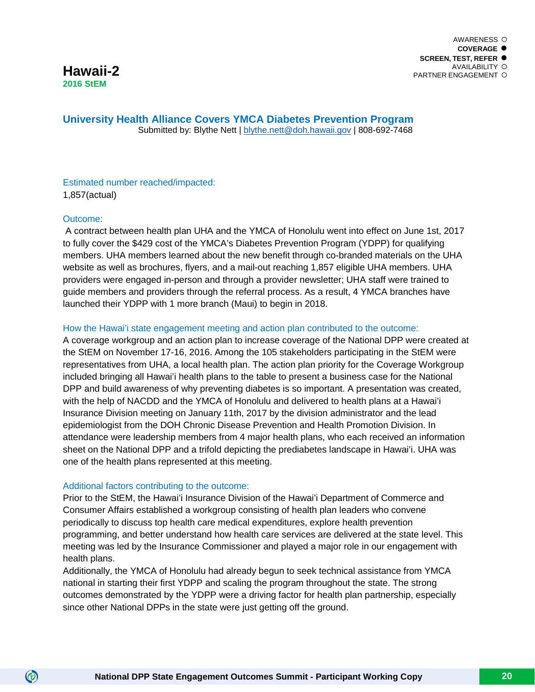**University Health Alliance Covers YMCA Diabetes Prevention Program** Submitted by: Blythe Nett | [blythe.nett@doh.hawaii.gov](mailto:blythe.nett@doh.hawaii.gov) | 808-692-7468

#### Estimated number reached/impacted: 1,857(actual)

#### Outcome:

 $\circledcirc$ 

A contract between health plan UHA and the YMCA of Honolulu went into effect on June 1st, 2017 to fully cover the \$429 cost of the YMCA's Diabetes Prevention Program (YDPP) for qualifying members. UHA members learned about the new benefit through co-branded materials on the UHA website as well as brochures, flyers, and a mail-out reaching 1,857 eligible UHA members. UHA providers were engaged in-person and through a provider newsletter; UHA staff were trained to guide members and providers through the referral process. As a result, 4 YMCA branches have launched their YDPP with 1 more branch (Maui) to begin in 2018.

#### How the Hawai'i state engagement meeting and action plan contributed to the outcome:

A coverage workgroup and an action plan to increase coverage of the National DPP were created at the StEM on November 17-16, 2016. Among the 105 stakeholders participating in the StEM were representatives from UHA, a local health plan. The action plan priority for the Coverage Workgroup included bringing all Hawai'i health plans to the table to present a business case for the National DPP and build awareness of why preventing diabetes is so important. A presentation was created, with the help of NACDD and the YMCA of Honolulu and delivered to health plans at a Hawai'i Insurance Division meeting on January 11th, 2017 by the division administrator and the lead epidemiologist from the DOH Chronic Disease Prevention and Health Promotion Division. In attendance were leadership members from 4 major health plans, who each received an information sheet on the National DPP and a trifold depicting the prediabetes landscape in Hawai'i. UHA was one of the health plans represented at this meeting.

#### Additional factors contributing to the outcome:

Prior to the StEM, the Hawai'i Insurance Division of the Hawai'i Department of Commerce and Consumer Affairs established a workgroup consisting of health plan leaders who convene periodically to discuss top health care medical expenditures, explore health prevention programming, and better understand how health care services are delivered at the state level. This meeting was led by the Insurance Commissioner and played a major role in our engagement with health plans.

Additionally, the YMCA of Honolulu had already begun to seek technical assistance from YMCA national in starting their first YDPP and scaling the program throughout the state. The strong outcomes demonstrated by the YDPP were a driving factor for health plan partnership, especially since other National DPPs in the state were just getting off the ground.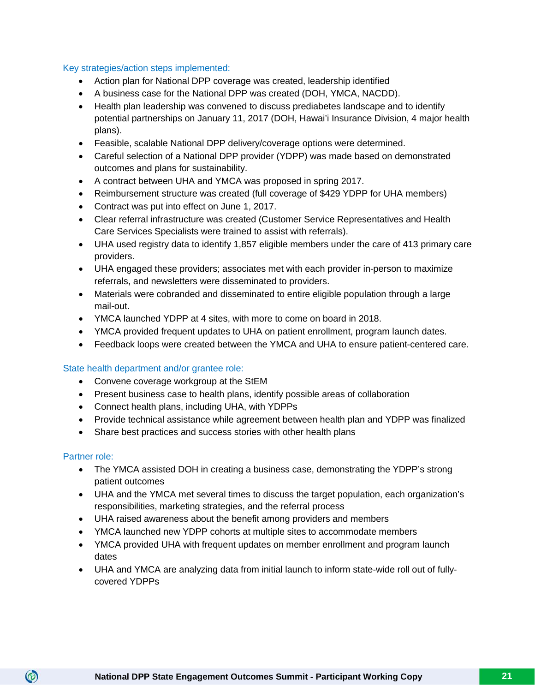#### Key strategies/action steps implemented:

- Action plan for National DPP coverage was created, leadership identified
- A business case for the National DPP was created (DOH, YMCA, NACDD).
- Health plan leadership was convened to discuss prediabetes landscape and to identify potential partnerships on January 11, 2017 (DOH, Hawai'i Insurance Division, 4 major health plans).
- Feasible, scalable National DPP delivery/coverage options were determined.
- Careful selection of a National DPP provider (YDPP) was made based on demonstrated outcomes and plans for sustainability.
- A contract between UHA and YMCA was proposed in spring 2017.
- Reimbursement structure was created (full coverage of \$429 YDPP for UHA members)
- Contract was put into effect on June 1, 2017.
- Clear referral infrastructure was created (Customer Service Representatives and Health Care Services Specialists were trained to assist with referrals).
- UHA used registry data to identify 1,857 eligible members under the care of 413 primary care providers.
- UHA engaged these providers; associates met with each provider in-person to maximize referrals, and newsletters were disseminated to providers.
- Materials were cobranded and disseminated to entire eligible population through a large mail-out.
- YMCA launched YDPP at 4 sites, with more to come on board in 2018.
- YMCA provided frequent updates to UHA on patient enrollment, program launch dates.
- Feedback loops were created between the YMCA and UHA to ensure patient-centered care.

#### State health department and/or grantee role:

- Convene coverage workgroup at the StEM
- Present business case to health plans, identify possible areas of collaboration
- Connect health plans, including UHA, with YDPPs
- Provide technical assistance while agreement between health plan and YDPP was finalized
- Share best practices and success stories with other health plans

#### Partner role:

- The YMCA assisted DOH in creating a business case, demonstrating the YDPP's strong patient outcomes
- UHA and the YMCA met several times to discuss the target population, each organization's responsibilities, marketing strategies, and the referral process
- UHA raised awareness about the benefit among providers and members
- YMCA launched new YDPP cohorts at multiple sites to accommodate members
- YMCA provided UHA with frequent updates on member enrollment and program launch dates
- UHA and YMCA are analyzing data from initial launch to inform state-wide roll out of fullycovered YDPPs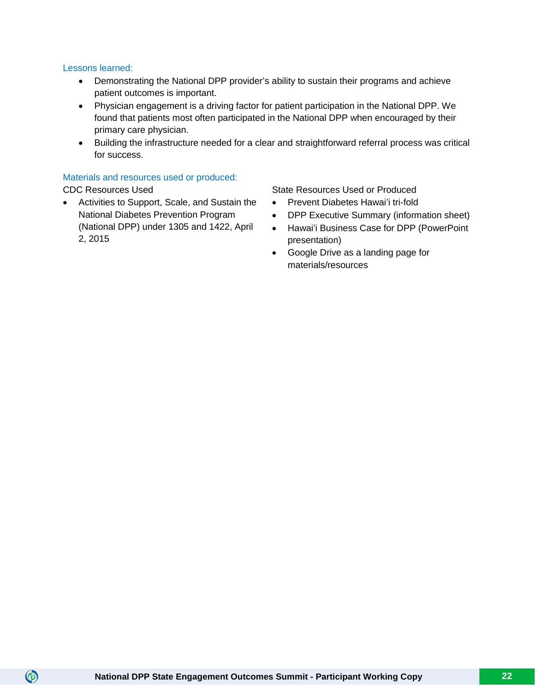#### Lessons learned:

- Demonstrating the National DPP provider's ability to sustain their programs and achieve patient outcomes is important.
- Physician engagement is a driving factor for patient participation in the National DPP. We found that patients most often participated in the National DPP when encouraged by their primary care physician.
- Building the infrastructure needed for a clear and straightforward referral process was critical for success.

#### Materials and resources used or produced:

 $\circledcirc$ 

• Activities to Support, Scale, and Sustain the National Diabetes Prevention Program (National DPP) under 1305 and 1422, April 2, 2015

CDC Resources Used **State Resources Used or Produced** 

- Prevent Diabetes Hawai'i tri-fold
- DPP Executive Summary (information sheet)
- Hawai'i Business Case for DPP (PowerPoint presentation)
- Google Drive as a landing page for materials/resources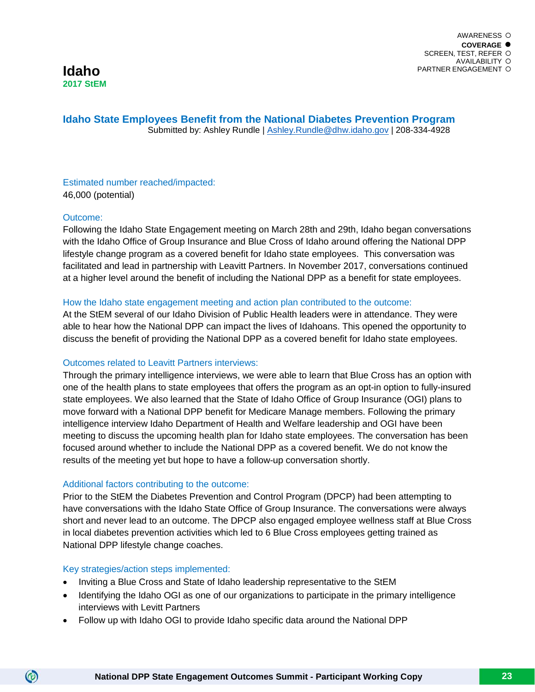**Idaho State Employees Benefit from the National Diabetes Prevention Program** Submitted by: Ashley Rundle | [Ashley.Rundle@dhw.idaho.gov](mailto:Ashley.Rundle@dhw.idaho.gov) | 208-334-4928

#### Estimated number reached/impacted: 46,000 (potential)

#### Outcome:

Following the Idaho State Engagement meeting on March 28th and 29th, Idaho began conversations with the Idaho Office of Group Insurance and Blue Cross of Idaho around offering the National DPP lifestyle change program as a covered benefit for Idaho state employees. This conversation was facilitated and lead in partnership with Leavitt Partners. In November 2017, conversations continued at a higher level around the benefit of including the National DPP as a benefit for state employees.

#### How the Idaho state engagement meeting and action plan contributed to the outcome:

At the StEM several of our Idaho Division of Public Health leaders were in attendance. They were able to hear how the National DPP can impact the lives of Idahoans. This opened the opportunity to discuss the benefit of providing the National DPP as a covered benefit for Idaho state employees.

#### Outcomes related to Leavitt Partners interviews:

Through the primary intelligence interviews, we were able to learn that Blue Cross has an option with one of the health plans to state employees that offers the program as an opt-in option to fully-insured state employees. We also learned that the State of Idaho Office of Group Insurance (OGI) plans to move forward with a National DPP benefit for Medicare Manage members. Following the primary intelligence interview Idaho Department of Health and Welfare leadership and OGI have been meeting to discuss the upcoming health plan for Idaho state employees. The conversation has been focused around whether to include the National DPP as a covered benefit. We do not know the results of the meeting yet but hope to have a follow-up conversation shortly.

#### Additional factors contributing to the outcome:

Prior to the StEM the Diabetes Prevention and Control Program (DPCP) had been attempting to have conversations with the Idaho State Office of Group Insurance. The conversations were always short and never lead to an outcome. The DPCP also engaged employee wellness staff at Blue Cross in local diabetes prevention activities which led to 6 Blue Cross employees getting trained as National DPP lifestyle change coaches.

#### Key strategies/action steps implemented:

(ම)

- Inviting a Blue Cross and State of Idaho leadership representative to the StEM
- Identifying the Idaho OGI as one of our organizations to participate in the primary intelligence interviews with Levitt Partners
- Follow up with Idaho OGI to provide Idaho specific data around the National DPP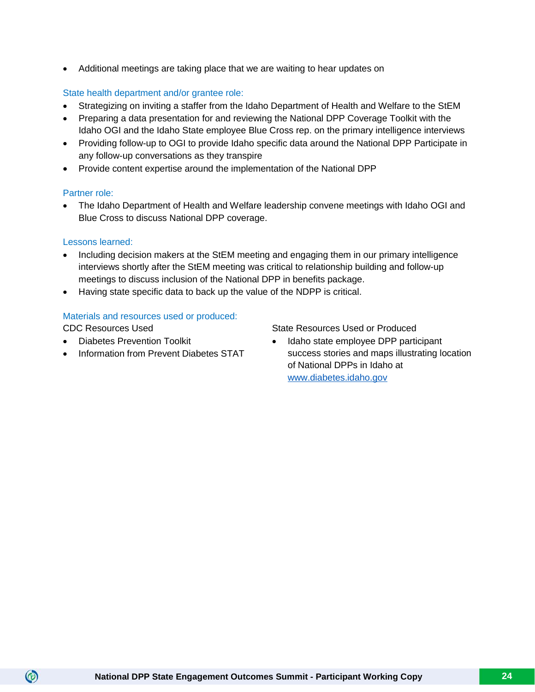• Additional meetings are taking place that we are waiting to hear updates on

#### State health department and/or grantee role:

- Strategizing on inviting a staffer from the Idaho Department of Health and Welfare to the StEM
- Preparing a data presentation for and reviewing the National DPP Coverage Toolkit with the Idaho OGI and the Idaho State employee Blue Cross rep. on the primary intelligence interviews
- Providing follow-up to OGI to provide Idaho specific data around the National DPP Participate in any follow-up conversations as they transpire
- Provide content expertise around the implementation of the National DPP

#### Partner role:

• The Idaho Department of Health and Welfare leadership convene meetings with Idaho OGI and Blue Cross to discuss National DPP coverage.

#### Lessons learned:

- Including decision makers at the StEM meeting and engaging them in our primary intelligence interviews shortly after the StEM meeting was critical to relationship building and follow-up meetings to discuss inclusion of the National DPP in benefits package.
- Having state specific data to back up the value of the NDPP is critical.

#### Materials and resources used or produced:

 $\circledcirc$ 

- Diabetes Prevention Toolkit
- Information from Prevent Diabetes STAT

CDC Resources Used State Resources Used or Produced

• Idaho state employee DPP participant success stories and maps illustrating location of National DPPs in Idaho at [www.diabetes.idaho.gov](http://www.diabetes.idaho.gov/)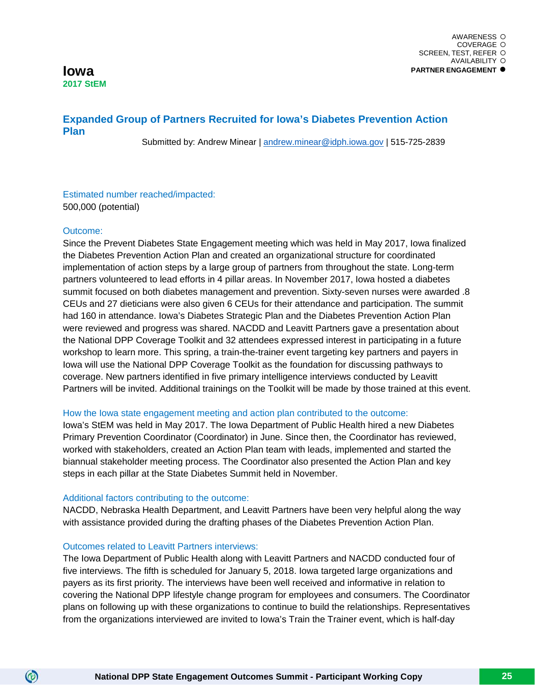#### **Iowa 2017 StEM**

## **Expanded Group of Partners Recruited for Iowa's Diabetes Prevention Action Plan**

Submitted by: Andrew Minear | [andrew.minear@idph.iowa.gov](mailto:andrew.minear@idph.iowa.gov) | 515-725-2839

#### Estimated number reached/impacted: 500,000 (potential)

#### Outcome:

 $\circledcirc$ 

Since the Prevent Diabetes State Engagement meeting which was held in May 2017, Iowa finalized the Diabetes Prevention Action Plan and created an organizational structure for coordinated implementation of action steps by a large group of partners from throughout the state. Long-term partners volunteered to lead efforts in 4 pillar areas. In November 2017, Iowa hosted a diabetes summit focused on both diabetes management and prevention. Sixty-seven nurses were awarded .8 CEUs and 27 dieticians were also given 6 CEUs for their attendance and participation. The summit had 160 in attendance. Iowa's Diabetes Strategic Plan and the Diabetes Prevention Action Plan were reviewed and progress was shared. NACDD and Leavitt Partners gave a presentation about the National DPP Coverage Toolkit and 32 attendees expressed interest in participating in a future workshop to learn more. This spring, a train-the-trainer event targeting key partners and payers in Iowa will use the National DPP Coverage Toolkit as the foundation for discussing pathways to coverage. New partners identified in five primary intelligence interviews conducted by Leavitt Partners will be invited. Additional trainings on the Toolkit will be made by those trained at this event.

#### How the Iowa state engagement meeting and action plan contributed to the outcome:

Iowa's StEM was held in May 2017. The Iowa Department of Public Health hired a new Diabetes Primary Prevention Coordinator (Coordinator) in June. Since then, the Coordinator has reviewed, worked with stakeholders, created an Action Plan team with leads, implemented and started the biannual stakeholder meeting process. The Coordinator also presented the Action Plan and key steps in each pillar at the State Diabetes Summit held in November.

#### Additional factors contributing to the outcome:

NACDD, Nebraska Health Department, and Leavitt Partners have been very helpful along the way with assistance provided during the drafting phases of the Diabetes Prevention Action Plan.

#### Outcomes related to Leavitt Partners interviews:

The Iowa Department of Public Health along with Leavitt Partners and NACDD conducted four of five interviews. The fifth is scheduled for January 5, 2018. Iowa targeted large organizations and payers as its first priority. The interviews have been well received and informative in relation to covering the National DPP lifestyle change program for employees and consumers. The Coordinator plans on following up with these organizations to continue to build the relationships. Representatives from the organizations interviewed are invited to Iowa's Train the Trainer event, which is half-day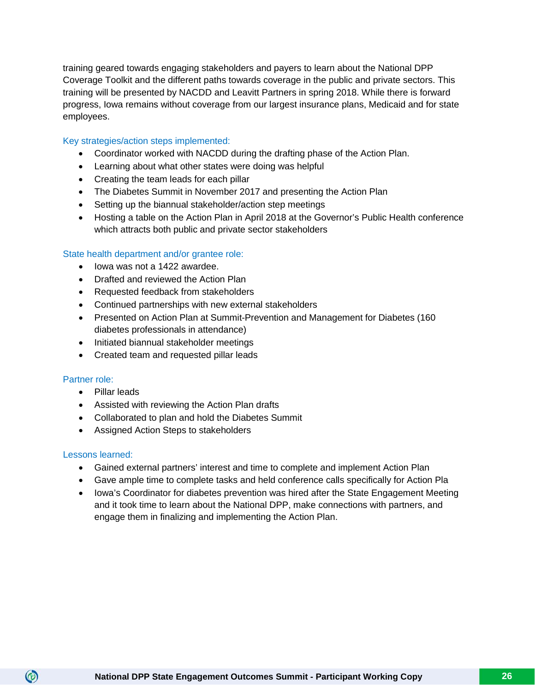training geared towards engaging stakeholders and payers to learn about the National DPP Coverage Toolkit and the different paths towards coverage in the public and private sectors. This training will be presented by NACDD and Leavitt Partners in spring 2018. While there is forward progress, Iowa remains without coverage from our largest insurance plans, Medicaid and for state employees.

#### Key strategies/action steps implemented:

- Coordinator worked with NACDD during the drafting phase of the Action Plan.
- Learning about what other states were doing was helpful
- Creating the team leads for each pillar
- The Diabetes Summit in November 2017 and presenting the Action Plan
- Setting up the biannual stakeholder/action step meetings
- Hosting a table on the Action Plan in April 2018 at the Governor's Public Health conference which attracts both public and private sector stakeholders

#### State health department and/or grantee role:

- Iowa was not a 1422 awardee.
- Drafted and reviewed the Action Plan
- Requested feedback from stakeholders
- Continued partnerships with new external stakeholders
- Presented on Action Plan at Summit-Prevention and Management for Diabetes (160 diabetes professionals in attendance)
- Initiated biannual stakeholder meetings
- Created team and requested pillar leads

#### Partner role:

- Pillar leads
- Assisted with reviewing the Action Plan drafts
- Collaborated to plan and hold the Diabetes Summit
- Assigned Action Steps to stakeholders

#### Lessons learned:

- Gained external partners' interest and time to complete and implement Action Plan
- Gave ample time to complete tasks and held conference calls specifically for Action Pla
- Iowa's Coordinator for diabetes prevention was hired after the State Engagement Meeting and it took time to learn about the National DPP, make connections with partners, and engage them in finalizing and implementing the Action Plan.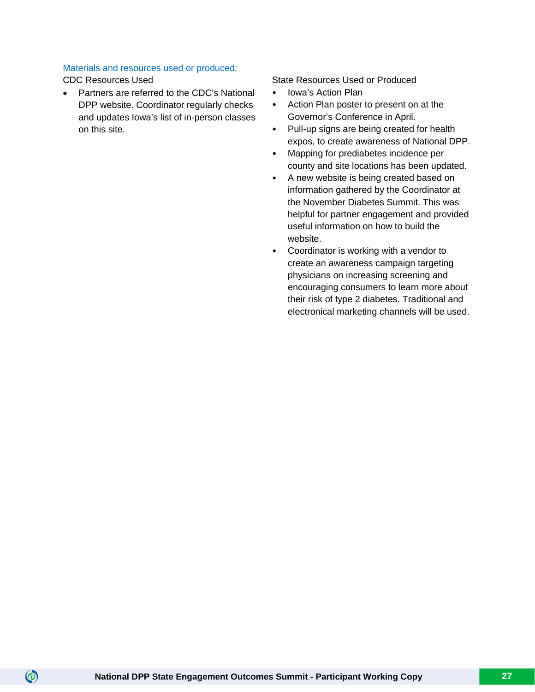#### Materials and resources used or produced:

 $\circledcirc$ 

• Partners are referred to the CDC's National DPP website. Coordinator regularly checks and updates Iowa's list of in-person classes on this site.

CDC Resources Used State Resources Used or Produced

- Iowa's Action Plan
- Action Plan poster to present on at the Governor's Conference in April.
- Pull-up signs are being created for health expos, to create awareness of National DPP.
- Mapping for prediabetes incidence per county and site locations has been updated.
- A new website is being created based on information gathered by the Coordinator at the November Diabetes Summit. This was helpful for partner engagement and provided useful information on how to build the website.
- Coordinator is working with a vendor to create an awareness campaign targeting physicians on increasing screening and encouraging consumers to learn more about their risk of type 2 diabetes. Traditional and electronical marketing channels will be used.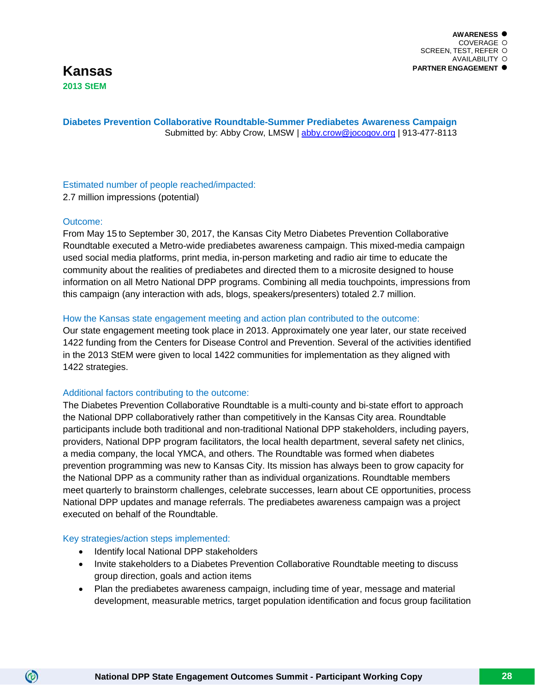#### **Diabetes Prevention Collaborative Roundtable-Summer Prediabetes Awareness Campaign** Submitted by: Abby Crow, LMSW | [abby.crow@jocogov.org](mailto:abby.crow@jocogov.org) | 913-477-8113

## Estimated number of people reached/impacted:

2.7 million impressions (potential)

#### Outcome:

From May 15 to September 30, 2017, the Kansas City Metro Diabetes Prevention Collaborative Roundtable executed a Metro-wide prediabetes awareness campaign. This mixed-media campaign used social media platforms, print media, in-person marketing and radio air time to educate the community about the realities of prediabetes and directed them to a microsite designed to house information on all Metro National DPP programs. Combining all media touchpoints, impressions from this campaign (any interaction with ads, blogs, speakers/presenters) totaled 2.7 million.

#### How the Kansas state engagement meeting and action plan contributed to the outcome:

Our state engagement meeting took place in 2013. Approximately one year later, our state received 1422 funding from the Centers for Disease Control and Prevention. Several of the activities identified in the 2013 StEM were given to local 1422 communities for implementation as they aligned with 1422 strategies.

#### Additional factors contributing to the outcome:

The Diabetes Prevention Collaborative Roundtable is a multi-county and bi-state effort to approach the National DPP collaboratively rather than competitively in the Kansas City area. Roundtable participants include both traditional and non-traditional National DPP stakeholders, including payers, providers, National DPP program facilitators, the local health department, several safety net clinics, a media company, the local YMCA, and others. The Roundtable was formed when diabetes prevention programming was new to Kansas City. Its mission has always been to grow capacity for the National DPP as a community rather than as individual organizations. Roundtable members meet quarterly to brainstorm challenges, celebrate successes, learn about CE opportunities, process National DPP updates and manage referrals. The prediabetes awareness campaign was a project executed on behalf of the Roundtable.

#### Key strategies/action steps implemented:

- Identify local National DPP stakeholders
- Invite stakeholders to a Diabetes Prevention Collaborative Roundtable meeting to discuss group direction, goals and action items
- Plan the prediabetes awareness campaign, including time of year, message and material development, measurable metrics, target population identification and focus group facilitation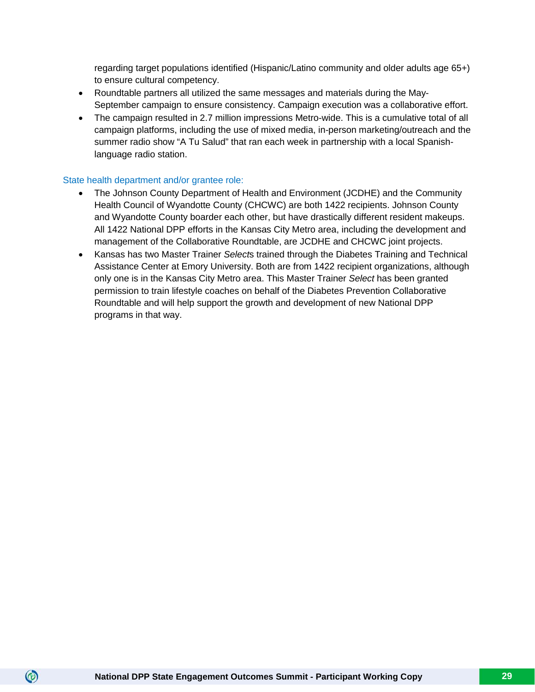regarding target populations identified (Hispanic/Latino community and older adults age 65+) to ensure cultural competency.

- Roundtable partners all utilized the same messages and materials during the May-September campaign to ensure consistency. Campaign execution was a collaborative effort.
- The campaign resulted in 2.7 million impressions Metro-wide. This is a cumulative total of all campaign platforms, including the use of mixed media, in-person marketing/outreach and the summer radio show "A Tu Salud" that ran each week in partnership with a local Spanishlanguage radio station.

#### State health department and/or grantee role:

- The Johnson County Department of Health and Environment (JCDHE) and the Community Health Council of Wyandotte County (CHCWC) are both 1422 recipients. Johnson County and Wyandotte County boarder each other, but have drastically different resident makeups. All 1422 National DPP efforts in the Kansas City Metro area, including the development and management of the Collaborative Roundtable, are JCDHE and CHCWC joint projects.
- Kansas has two Master Trainer *Select*s trained through the Diabetes Training and Technical Assistance Center at Emory University. Both are from 1422 recipient organizations, although only one is in the Kansas City Metro area. This Master Trainer *Select* has been granted permission to train lifestyle coaches on behalf of the Diabetes Prevention Collaborative Roundtable and will help support the growth and development of new National DPP programs in that way.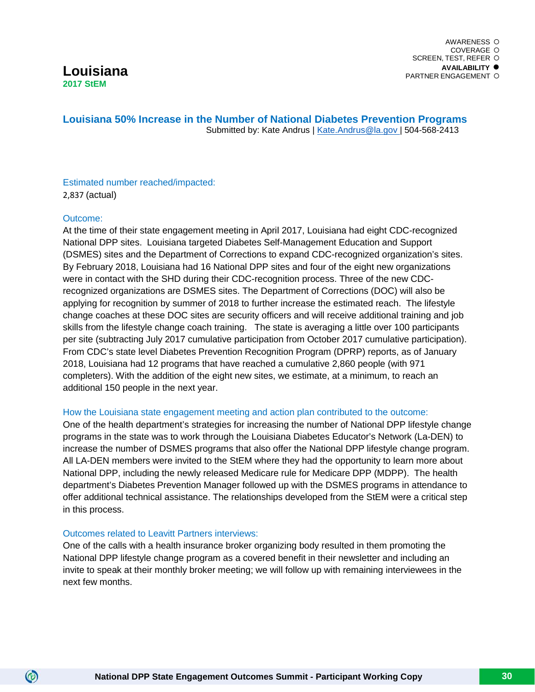#### **Louisiana 50% Increase in the Number of National Diabetes Prevention Programs** Submitted by: Kate Andrus | [Kate.Andrus@la.gov |](mailto:Kate.Andrus@la.gov) 504-568-2413

#### Estimated number reached/impacted: 2,837 (actual)

#### Outcome:

 $\circledcirc$ 

At the time of their state engagement meeting in April 2017, Louisiana had eight CDC-recognized National DPP sites. Louisiana targeted Diabetes Self-Management Education and Support (DSMES) sites and the Department of Corrections to expand CDC-recognized organization's sites. By February 2018, Louisiana had 16 National DPP sites and four of the eight new organizations were in contact with the SHD during their CDC-recognition process. Three of the new CDCrecognized organizations are DSMES sites. The Department of Corrections (DOC) will also be applying for recognition by summer of 2018 to further increase the estimated reach. The lifestyle change coaches at these DOC sites are security officers and will receive additional training and job skills from the lifestyle change coach training. The state is averaging a little over 100 participants per site (subtracting July 2017 cumulative participation from October 2017 cumulative participation). From CDC's state level Diabetes Prevention Recognition Program (DPRP) reports, as of January 2018, Louisiana had 12 programs that have reached a cumulative 2,860 people (with 971 completers). With the addition of the eight new sites, we estimate, at a minimum, to reach an additional 150 people in the next year.

#### How the Louisiana state engagement meeting and action plan contributed to the outcome:

One of the health department's strategies for increasing the number of National DPP lifestyle change programs in the state was to work through the Louisiana Diabetes Educator's Network (La-DEN) to increase the number of DSMES programs that also offer the National DPP lifestyle change program. All LA-DEN members were invited to the StEM where they had the opportunity to learn more about National DPP, including the newly released Medicare rule for Medicare DPP (MDPP). The health department's Diabetes Prevention Manager followed up with the DSMES programs in attendance to offer additional technical assistance. The relationships developed from the StEM were a critical step in this process.

#### Outcomes related to Leavitt Partners interviews:

One of the calls with a health insurance broker organizing body resulted in them promoting the National DPP lifestyle change program as a covered benefit in their newsletter and including an invite to speak at their monthly broker meeting; we will follow up with remaining interviewees in the next few months.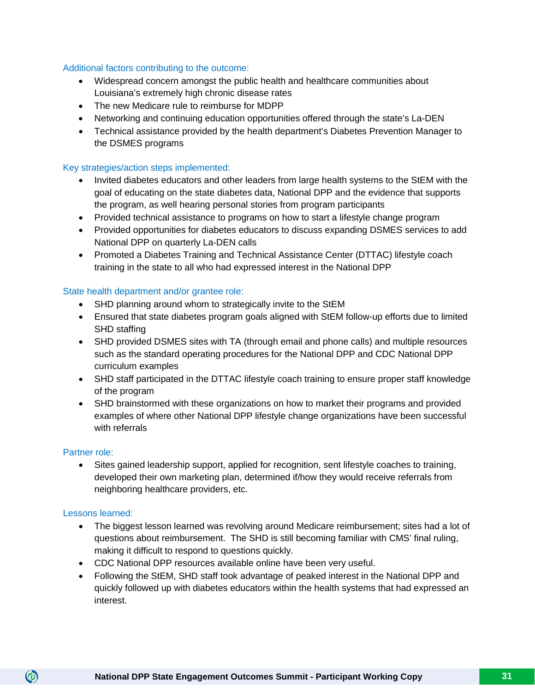#### Additional factors contributing to the outcome:

- Widespread concern amongst the public health and healthcare communities about Louisiana's extremely high chronic disease rates
- The new Medicare rule to reimburse for MDPP
- Networking and continuing education opportunities offered through the state's La-DEN
- Technical assistance provided by the health department's Diabetes Prevention Manager to the DSMES programs

#### Key strategies/action steps implemented:

- Invited diabetes educators and other leaders from large health systems to the StEM with the goal of educating on the state diabetes data, National DPP and the evidence that supports the program, as well hearing personal stories from program participants
- Provided technical assistance to programs on how to start a lifestyle change program
- Provided opportunities for diabetes educators to discuss expanding DSMES services to add National DPP on quarterly La-DEN calls
- Promoted a Diabetes Training and Technical Assistance Center (DTTAC) lifestyle coach training in the state to all who had expressed interest in the National DPP

#### State health department and/or grantee role:

- SHD planning around whom to strategically invite to the StEM
- Ensured that state diabetes program goals aligned with StEM follow-up efforts due to limited SHD staffing
- SHD provided DSMES sites with TA (through email and phone calls) and multiple resources such as the standard operating procedures for the National DPP and CDC National DPP curriculum examples
- SHD staff participated in the DTTAC lifestyle coach training to ensure proper staff knowledge of the program
- SHD brainstormed with these organizations on how to market their programs and provided examples of where other National DPP lifestyle change organizations have been successful with referrals

#### Partner role:

• Sites gained leadership support, applied for recognition, sent lifestyle coaches to training, developed their own marketing plan, determined if/how they would receive referrals from neighboring healthcare providers, etc.

#### Lessons learned:

- The biggest lesson learned was revolving around Medicare reimbursement; sites had a lot of questions about reimbursement. The SHD is still becoming familiar with CMS' final ruling, making it difficult to respond to questions quickly.
- CDC National DPP resources available online have been very useful.
- Following the StEM, SHD staff took advantage of peaked interest in the National DPP and quickly followed up with diabetes educators within the health systems that had expressed an interest.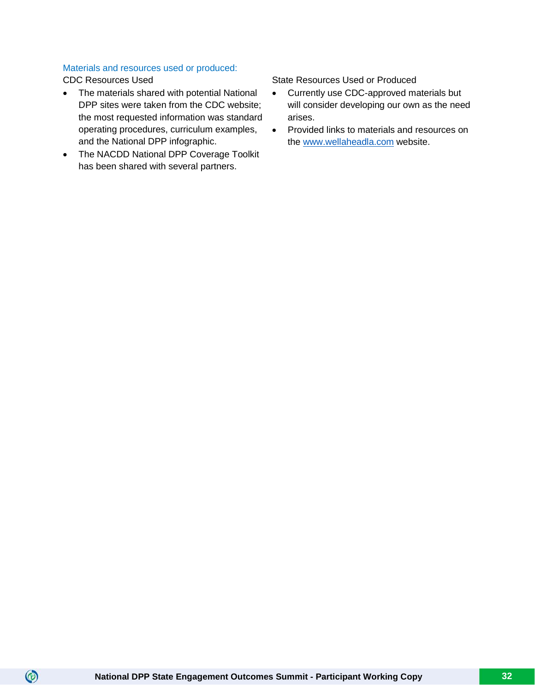#### Materials and resources used or produced:

 $\circledcirc$ 

- The materials shared with potential National DPP sites were taken from the CDC website; the most requested information was standard operating procedures, curriculum examples, and the National DPP infographic.
- The NACDD National DPP Coverage Toolkit has been shared with several partners.

CDC Resources Used State Resources Used State Resources Used or Produced

- Currently use CDC-approved materials but will consider developing our own as the need arises.
- Provided links to materials and resources on the [www.wellaheadla.com](http://www.wellaheadla.com/) website.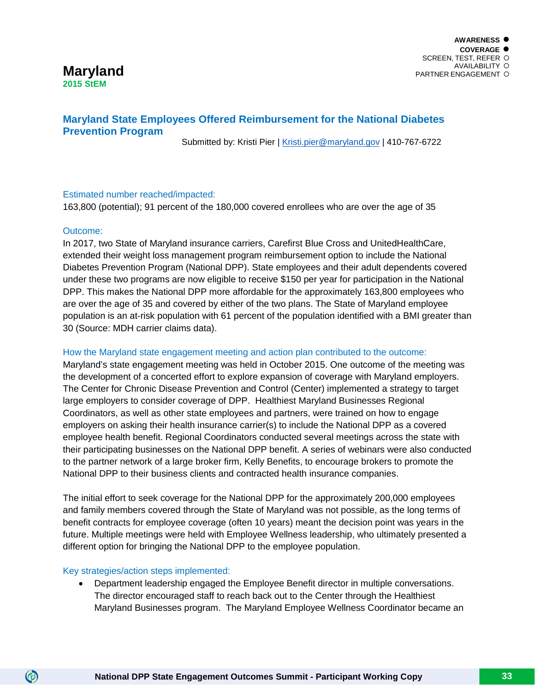#### **Maryland 2015 StEM**

#### **Maryland State Employees Offered Reimbursement for the National Diabetes Prevention Program**

Submitted by: Kristi Pier | [Kristi.pier@maryland.gov](mailto:Kristi.pier@maryland.gov) | 410-767-6722

#### Estimated number reached/impacted:

163,800 (potential); 91 percent of the 180,000 covered enrollees who are over the age of 35

#### Outcome:

In 2017, two State of Maryland insurance carriers, Carefirst Blue Cross and UnitedHealthCare, extended their weight loss management program reimbursement option to include the National Diabetes Prevention Program (National DPP). State employees and their adult dependents covered under these two programs are now eligible to receive \$150 per year for participation in the National DPP. This makes the National DPP more affordable for the approximately 163,800 employees who are over the age of 35 and covered by either of the two plans. The State of Maryland employee population is an at-risk population with 61 percent of the population identified with a BMI greater than 30 (Source: MDH carrier claims data).

#### How the Maryland state engagement meeting and action plan contributed to the outcome:

Maryland's state engagement meeting was held in October 2015. One outcome of the meeting was the development of a concerted effort to explore expansion of coverage with Maryland employers. The Center for Chronic Disease Prevention and Control (Center) implemented a strategy to target large employers to consider coverage of DPP. Healthiest Maryland Businesses Regional Coordinators, as well as other state employees and partners, were trained on how to engage employers on asking their health insurance carrier(s) to include the National DPP as a covered employee health benefit. Regional Coordinators conducted several meetings across the state with their participating businesses on the National DPP benefit. A series of webinars were also conducted to the partner network of a large broker firm, Kelly Benefits, to encourage brokers to promote the National DPP to their business clients and contracted health insurance companies.

The initial effort to seek coverage for the National DPP for the approximately 200,000 employees and family members covered through the State of Maryland was not possible, as the long terms of benefit contracts for employee coverage (often 10 years) meant the decision point was years in the future. Multiple meetings were held with Employee Wellness leadership, who ultimately presented a different option for bringing the National DPP to the employee population.

#### Key strategies/action steps implemented:

 $\circledcirc$ 

• Department leadership engaged the Employee Benefit director in multiple conversations. The director encouraged staff to reach back out to the Center through the Healthiest Maryland Businesses program. The Maryland Employee Wellness Coordinator became an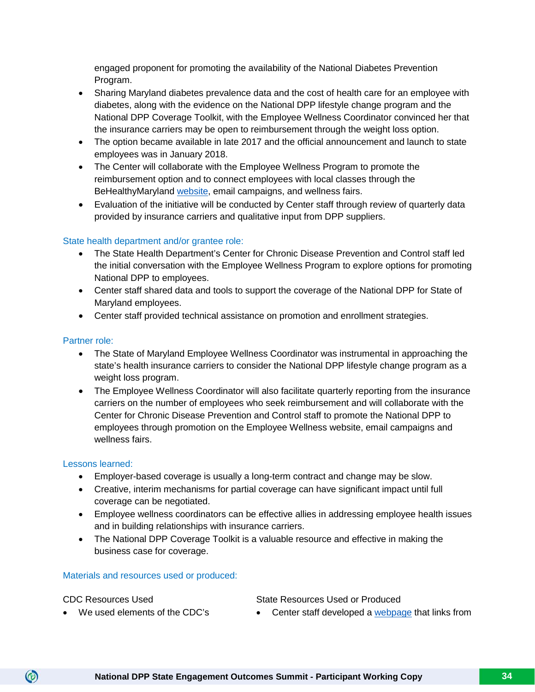engaged proponent for promoting the availability of the National Diabetes Prevention Program.

- Sharing Maryland diabetes prevalence data and the cost of health care for an employee with diabetes, along with the evidence on the National DPP lifestyle change program and the National DPP Coverage Toolkit, with the Employee Wellness Coordinator convinced her that the insurance carriers may be open to reimbursement through the weight loss option.
- The option became available in late 2017 and the official announcement and launch to state employees was in January 2018.
- The Center will collaborate with the Employee Wellness Program to promote the reimbursement option and to connect employees with local classes through the BeHealthyMaryland [website,](https://health.maryland.gov/bhm/Pages/index.aspx) email campaigns, and wellness fairs.
- Evaluation of the initiative will be conducted by Center staff through review of quarterly data provided by insurance carriers and qualitative input from DPP suppliers.

#### State health department and/or grantee role:

- The State Health Department's Center for Chronic Disease Prevention and Control staff led the initial conversation with the Employee Wellness Program to explore options for promoting National DPP to employees.
- Center staff shared data and tools to support the coverage of the National DPP for State of Maryland employees.
- Center staff provided technical assistance on promotion and enrollment strategies.

#### Partner role:

- The State of Maryland Employee Wellness Coordinator was instrumental in approaching the state's health insurance carriers to consider the National DPP lifestyle change program as a weight loss program.
- The Employee Wellness Coordinator will also facilitate quarterly reporting from the insurance carriers on the number of employees who seek reimbursement and will collaborate with the Center for Chronic Disease Prevention and Control staff to promote the National DPP to employees through promotion on the Employee Wellness website, email campaigns and wellness fairs.

#### Lessons learned:

- Employer-based coverage is usually a long-term contract and change may be slow.
- Creative, interim mechanisms for partial coverage can have significant impact until full coverage can be negotiated.
- Employee wellness coordinators can be effective allies in addressing employee health issues and in building relationships with insurance carriers.
- The National DPP Coverage Toolkit is a valuable resource and effective in making the business case for coverage.

#### Materials and resources used or produced:

 $\circledcirc$ 

CDC Resources Used State Resources Used or Produced

- 
- We used elements of the CDC's Center staff developed a [webpage](https://phpa.health.maryland.gov/ccdpc/about/Pages/DPP-employees.aspx) that links from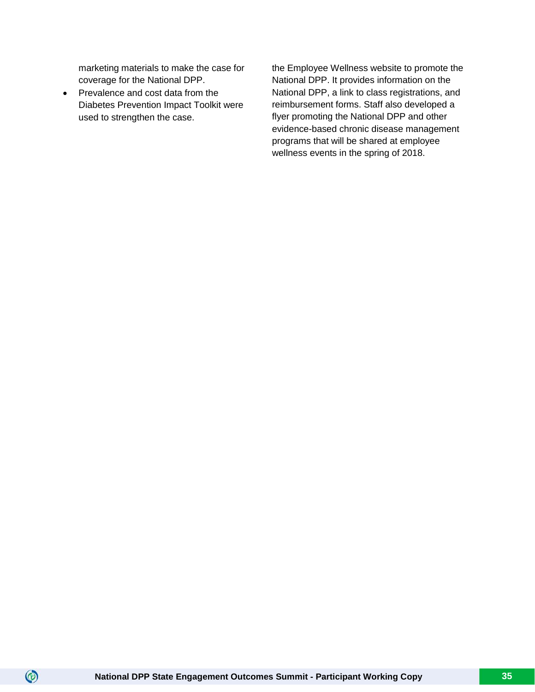marketing materials to make the case for coverage for the National DPP.

• Prevalence and cost data from the Diabetes Prevention Impact Toolkit were used to strengthen the case.

the Employee Wellness website to promote the National DPP. It provides information on the National DPP, a link to class registrations, and reimbursement forms. Staff also developed a flyer promoting the National DPP and other evidence-based chronic disease management programs that will be shared at employee wellness events in the spring of 2018.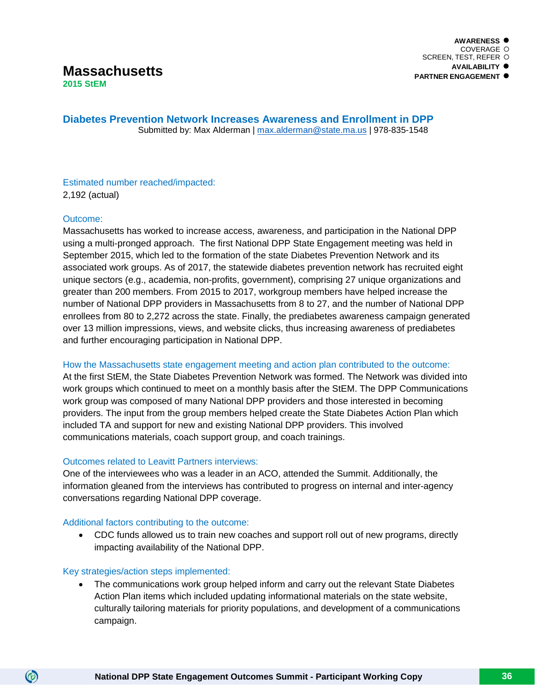**Diabetes Prevention Network Increases Awareness and Enrollment in DPP** Submitted by: Max Alderman | [max.alderman@state.ma.us](mailto:max.alderman@state.ma.us) | 978-835-1548

## Estimated number reached/impacted:

2,192 (actual)

#### Outcome:

Massachusetts has worked to increase access, awareness, and participation in the National DPP using a multi-pronged approach. The first National DPP State Engagement meeting was held in September 2015, which led to the formation of the state Diabetes Prevention Network and its associated work groups. As of 2017, the statewide diabetes prevention network has recruited eight unique sectors (e.g., academia, non-profits, government), comprising 27 unique organizations and greater than 200 members. From 2015 to 2017, workgroup members have helped increase the number of National DPP providers in Massachusetts from 8 to 27, and the number of National DPP enrollees from 80 to 2,272 across the state. Finally, the prediabetes awareness campaign generated over 13 million impressions, views, and website clicks, thus increasing awareness of prediabetes and further encouraging participation in National DPP.

#### How the Massachusetts state engagement meeting and action plan contributed to the outcome:

At the first StEM, the State Diabetes Prevention Network was formed. The Network was divided into work groups which continued to meet on a monthly basis after the StEM. The DPP Communications work group was composed of many National DPP providers and those interested in becoming providers. The input from the group members helped create the State Diabetes Action Plan which included TA and support for new and existing National DPP providers. This involved communications materials, coach support group, and coach trainings.

#### Outcomes related to Leavitt Partners interviews:

One of the interviewees who was a leader in an ACO, attended the Summit. Additionally, the information gleaned from the interviews has contributed to progress on internal and inter-agency conversations regarding National DPP coverage.

#### Additional factors contributing to the outcome:

• CDC funds allowed us to train new coaches and support roll out of new programs, directly impacting availability of the National DPP.

#### Key strategies/action steps implemented:

 $\circledcirc$ 

• The communications work group helped inform and carry out the relevant State Diabetes Action Plan items which included updating informational materials on the state website, culturally tailoring materials for priority populations, and development of a communications campaign.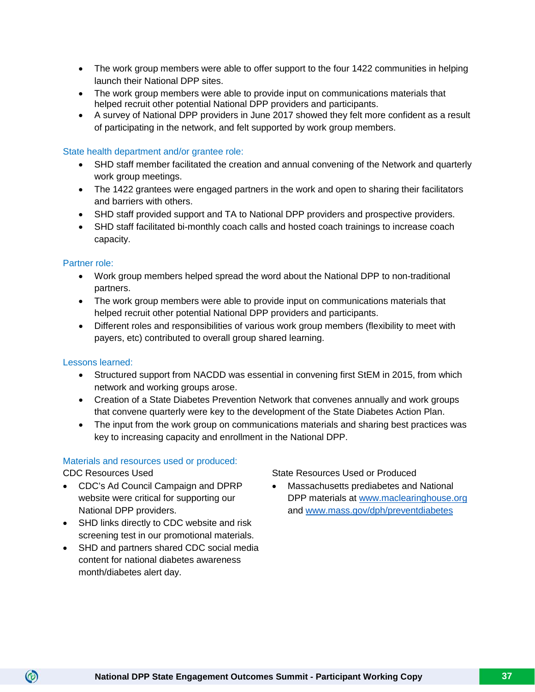- The work group members were able to offer support to the four 1422 communities in helping launch their National DPP sites.
- The work group members were able to provide input on communications materials that helped recruit other potential National DPP providers and participants.
- A survey of National DPP providers in June 2017 showed they felt more confident as a result of participating in the network, and felt supported by work group members.

#### State health department and/or grantee role:

- SHD staff member facilitated the creation and annual convening of the Network and quarterly work group meetings.
- The 1422 grantees were engaged partners in the work and open to sharing their facilitators and barriers with others.
- SHD staff provided support and TA to National DPP providers and prospective providers.
- SHD staff facilitated bi-monthly coach calls and hosted coach trainings to increase coach capacity.

#### Partner role:

- Work group members helped spread the word about the National DPP to non-traditional partners.
- The work group members were able to provide input on communications materials that helped recruit other potential National DPP providers and participants.
- Different roles and responsibilities of various work group members (flexibility to meet with payers, etc) contributed to overall group shared learning.

#### Lessons learned:

- Structured support from NACDD was essential in convening first StEM in 2015, from which network and working groups arose.
- Creation of a State Diabetes Prevention Network that convenes annually and work groups that convene quarterly were key to the development of the State Diabetes Action Plan.
- The input from the work group on communications materials and sharing best practices was key to increasing capacity and enrollment in the National DPP.

# Materials and resources used or produced:

 $\circledcirc$ 

- CDC's Ad Council Campaign and DPRP website were critical for supporting our National DPP providers.
- SHD links directly to CDC website and risk screening test in our promotional materials.
- SHD and partners shared CDC social media content for national diabetes awareness month/diabetes alert day.

CDC Resources Used **State Resources Used or Produced** 

• Massachusetts prediabetes and National DPP materials at [www.maclearinghouse.org](http://www.maclearinghouse.org/) and [www.mass.gov/dph/preventdiabetes](http://www.mass.gov/dph/preventdiabetes)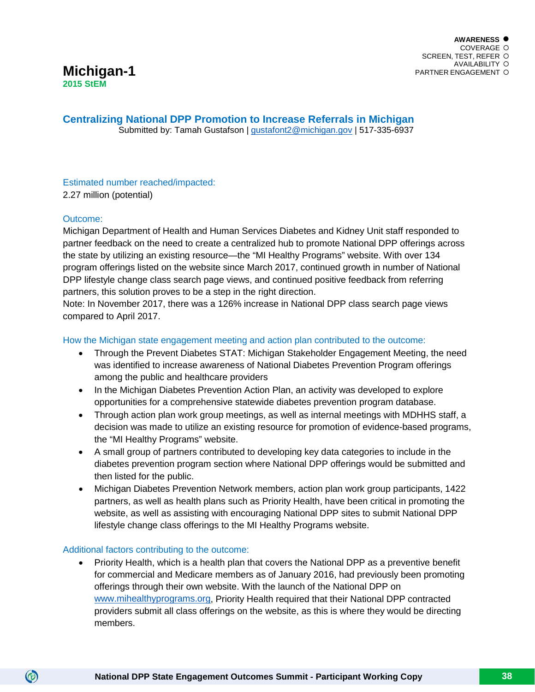**Centralizing National DPP Promotion to Increase Referrals in Michigan**

Submitted by: Tamah Gustafson | [gustafont2@michigan.gov](mailto:gustafont2@michigan.gov) | 517-335-6937

# Estimated number reached/impacted: 2.27 million (potential)

# Outcome:

 $\circledcirc$ 

Michigan Department of Health and Human Services Diabetes and Kidney Unit staff responded to partner feedback on the need to create a centralized hub to promote National DPP offerings across the state by utilizing an existing resource—the "MI Healthy Programs" website. With over 134 program offerings listed on the website since March 2017, continued growth in number of National DPP lifestyle change class search page views, and continued positive feedback from referring partners, this solution proves to be a step in the right direction.

Note: In November 2017, there was a 126% increase in National DPP class search page views compared to April 2017.

How the Michigan state engagement meeting and action plan contributed to the outcome:

- Through the Prevent Diabetes STAT: Michigan Stakeholder Engagement Meeting, the need was identified to increase awareness of National Diabetes Prevention Program offerings among the public and healthcare providers
- In the Michigan Diabetes Prevention Action Plan, an activity was developed to explore opportunities for a comprehensive statewide diabetes prevention program database.
- Through action plan work group meetings, as well as internal meetings with MDHHS staff, a decision was made to utilize an existing resource for promotion of evidence-based programs, the "MI Healthy Programs" website.
- A small group of partners contributed to developing key data categories to include in the diabetes prevention program section where National DPP offerings would be submitted and then listed for the public.
- Michigan Diabetes Prevention Network members, action plan work group participants, 1422 partners, as well as health plans such as Priority Health, have been critical in promoting the website, as well as assisting with encouraging National DPP sites to submit National DPP lifestyle change class offerings to the MI Healthy Programs website.

# Additional factors contributing to the outcome:

• Priority Health, which is a health plan that covers the National DPP as a preventive benefit for commercial and Medicare members as of January 2016, had previously been promoting offerings through their own website. With the launch of the National DPP on [www.mihealthyprograms.org,](http://www.mihealthyprograms.org/) Priority Health required that their National DPP contracted providers submit all class offerings on the website, as this is where they would be directing members.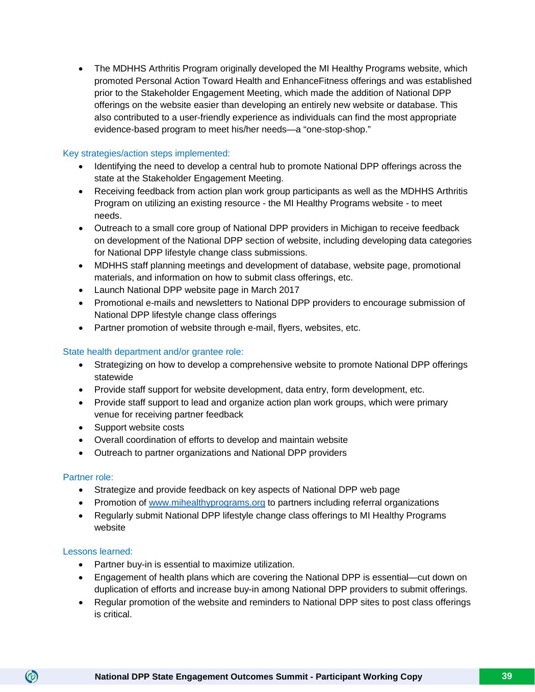• The MDHHS Arthritis Program originally developed the MI Healthy Programs website, which promoted Personal Action Toward Health and EnhanceFitness offerings and was established prior to the Stakeholder Engagement Meeting, which made the addition of National DPP offerings on the website easier than developing an entirely new website or database. This also contributed to a user-friendly experience as individuals can find the most appropriate evidence-based program to meet his/her needs—a "one-stop-shop."

#### Key strategies/action steps implemented:

- Identifying the need to develop a central hub to promote National DPP offerings across the state at the Stakeholder Engagement Meeting.
- Receiving feedback from action plan work group participants as well as the MDHHS Arthritis Program on utilizing an existing resource - the MI Healthy Programs website - to meet needs.
- Outreach to a small core group of National DPP providers in Michigan to receive feedback on development of the National DPP section of website, including developing data categories for National DPP lifestyle change class submissions.
- MDHHS staff planning meetings and development of database, website page, promotional materials, and information on how to submit class offerings, etc.
- Launch National DPP website page in March 2017
- Promotional e-mails and newsletters to National DPP providers to encourage submission of National DPP lifestyle change class offerings
- Partner promotion of website through e-mail, flyers, websites, etc.

#### State health department and/or grantee role:

- Strategizing on how to develop a comprehensive website to promote National DPP offerings statewide
- Provide staff support for website development, data entry, form development, etc.
- Provide staff support to lead and organize action plan work groups, which were primary venue for receiving partner feedback
- Support website costs
- Overall coordination of efforts to develop and maintain website
- Outreach to partner organizations and National DPP providers

#### Partner role:

- Strategize and provide feedback on key aspects of National DPP web page
- Promotion of [www.mihealthyprograms.org](http://www.mihealthyprograms.org/) to partners including referral organizations
- Regularly submit National DPP lifestyle change class offerings to MI Healthy Programs website

#### Lessons learned:

- Partner buy-in is essential to maximize utilization.
- Engagement of health plans which are covering the National DPP is essential—cut down on duplication of efforts and increase buy-in among National DPP providers to submit offerings.
- Regular promotion of the website and reminders to National DPP sites to post class offerings is critical.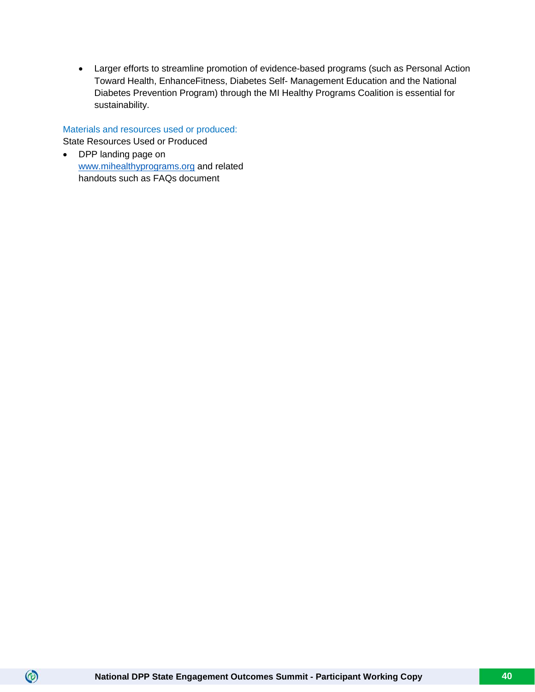• Larger efforts to streamline promotion of evidence-based programs (such as Personal Action Toward Health, EnhanceFitness, Diabetes Self- Management Education and the National Diabetes Prevention Program) through the MI Healthy Programs Coalition is essential for sustainability.

Materials and resources used or produced: State Resources Used or Produced

• DPP landing page on [www.mihealthyprograms.org](http://www.mihealthyprograms.org/) and related handouts such as FAQs document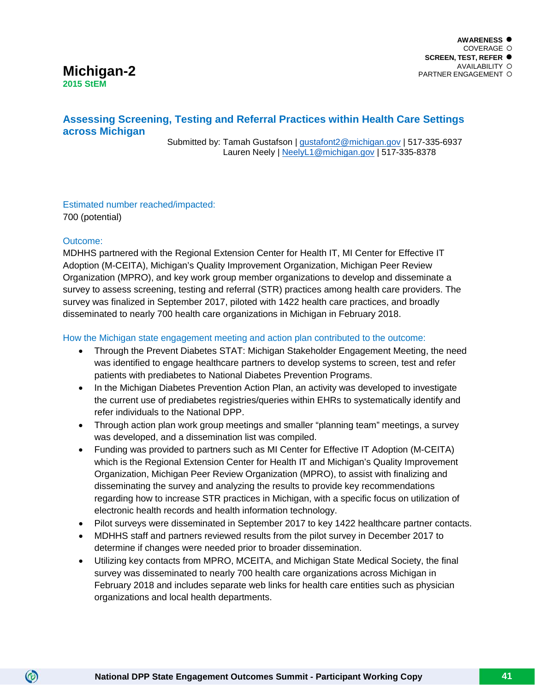#### **AWARENESS** COVERAGE O **SCREEN, TEST, REFER** AVAILABILITY PARTNER ENGAGEMENT

# **Michigan-2 2015 StEM**

# **Assessing Screening, Testing and Referral Practices within Health Care Settings across Michigan**

 Submitted by: Tamah Gustafson | [gustafont2@michigan.gov](mailto:gustafont2@michigan.gov) | 517-335-6937 Lauren Neely | [NeelyL1@michigan.gov](mailto:NeelyL1@michigan.gov) | 517-335-8378

Estimated number reached/impacted: 700 (potential)

#### Outcome:

 $\circledcirc$ 

MDHHS partnered with the Regional Extension Center for Health IT, MI Center for Effective IT Adoption (M-CEITA), Michigan's Quality Improvement Organization, Michigan Peer Review Organization (MPRO), and key work group member organizations to develop and disseminate a survey to assess screening, testing and referral (STR) practices among health care providers. The survey was finalized in September 2017, piloted with 1422 health care practices, and broadly disseminated to nearly 700 health care organizations in Michigan in February 2018.

How the Michigan state engagement meeting and action plan contributed to the outcome:

- Through the Prevent Diabetes STAT: Michigan Stakeholder Engagement Meeting, the need was identified to engage healthcare partners to develop systems to screen, test and refer patients with prediabetes to National Diabetes Prevention Programs.
- In the Michigan Diabetes Prevention Action Plan, an activity was developed to investigate the current use of prediabetes registries/queries within EHRs to systematically identify and refer individuals to the National DPP.
- Through action plan work group meetings and smaller "planning team" meetings, a survey was developed, and a dissemination list was compiled.
- Funding was provided to partners such as MI Center for Effective IT Adoption (M-CEITA) which is the Regional Extension Center for Health IT and Michigan's Quality Improvement Organization, Michigan Peer Review Organization (MPRO), to assist with finalizing and disseminating the survey and analyzing the results to provide key recommendations regarding how to increase STR practices in Michigan, with a specific focus on utilization of electronic health records and health information technology.
- Pilot surveys were disseminated in September 2017 to key 1422 healthcare partner contacts.
- MDHHS staff and partners reviewed results from the pilot survey in December 2017 to determine if changes were needed prior to broader dissemination.
- Utilizing key contacts from MPRO, MCEITA, and Michigan State Medical Society, the final survey was disseminated to nearly 700 health care organizations across Michigan in February 2018 and includes separate web links for health care entities such as physician organizations and local health departments.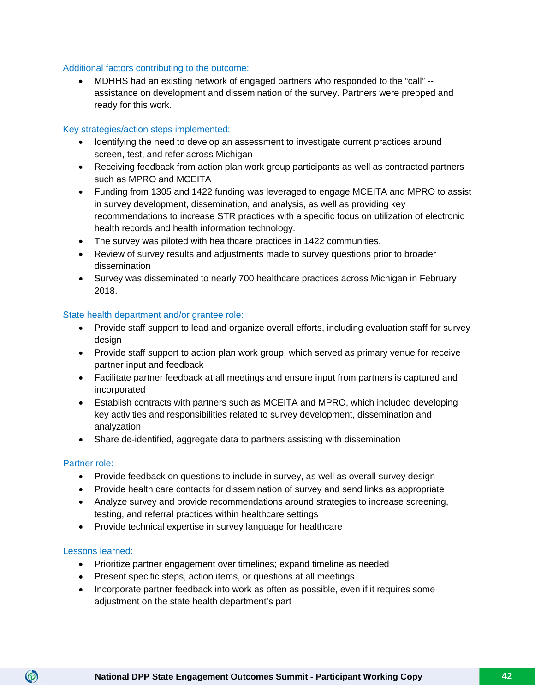#### Additional factors contributing to the outcome:

• MDHHS had an existing network of engaged partners who responded to the "call" - assistance on development and dissemination of the survey. Partners were prepped and ready for this work.

#### Key strategies/action steps implemented:

- Identifying the need to develop an assessment to investigate current practices around screen, test, and refer across Michigan
- Receiving feedback from action plan work group participants as well as contracted partners such as MPRO and MCEITA
- Funding from 1305 and 1422 funding was leveraged to engage MCEITA and MPRO to assist in survey development, dissemination, and analysis, as well as providing key recommendations to increase STR practices with a specific focus on utilization of electronic health records and health information technology.
- The survey was piloted with healthcare practices in 1422 communities.
- Review of survey results and adjustments made to survey questions prior to broader dissemination
- Survey was disseminated to nearly 700 healthcare practices across Michigan in February 2018.

#### State health department and/or grantee role:

- Provide staff support to lead and organize overall efforts, including evaluation staff for survey design
- Provide staff support to action plan work group, which served as primary venue for receive partner input and feedback
- Facilitate partner feedback at all meetings and ensure input from partners is captured and incorporated
- Establish contracts with partners such as MCEITA and MPRO, which included developing key activities and responsibilities related to survey development, dissemination and analyzation
- Share de-identified, aggregate data to partners assisting with dissemination

#### Partner role:

- Provide feedback on questions to include in survey, as well as overall survey design
- Provide health care contacts for dissemination of survey and send links as appropriate
- Analyze survey and provide recommendations around strategies to increase screening, testing, and referral practices within healthcare settings
- Provide technical expertise in survey language for healthcare

#### Lessons learned:

- Prioritize partner engagement over timelines; expand timeline as needed
- Present specific steps, action items, or questions at all meetings
- Incorporate partner feedback into work as often as possible, even if it requires some adjustment on the state health department's part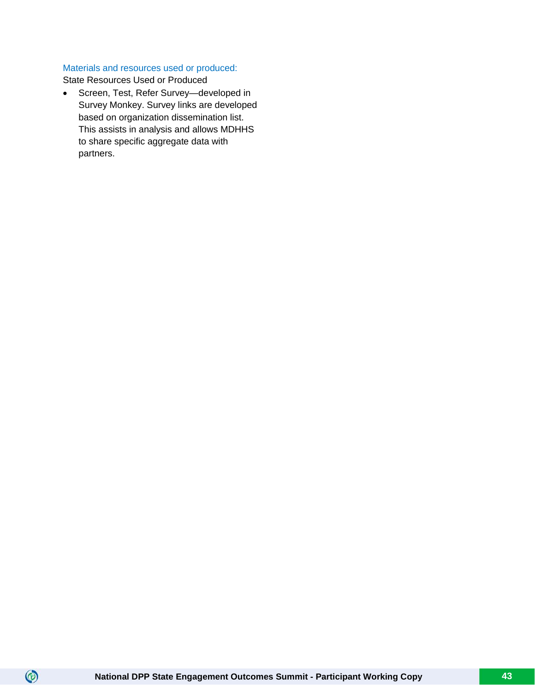# Materials and resources used or produced:

State Resources Used or Produced

 $\circledcirc$ 

• Screen, Test, Refer Survey—developed in Survey Monkey. Survey links are developed based on organization dissemination list. This assists in analysis and allows MDHHS to share specific aggregate data with partners.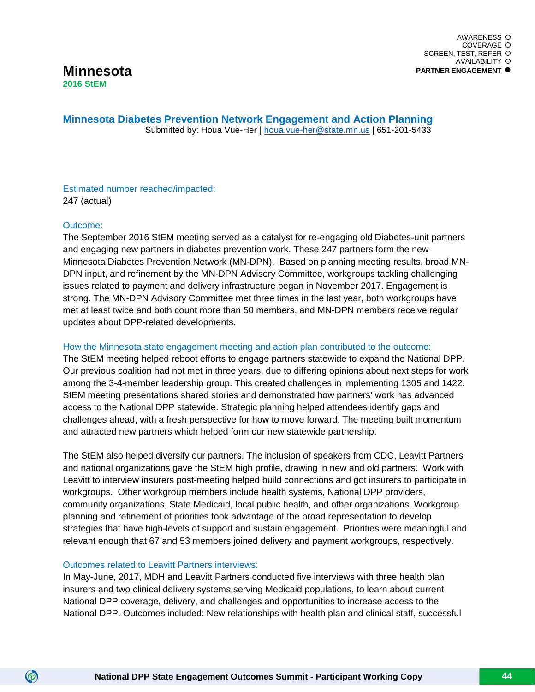**Minnesota Diabetes Prevention Network Engagement and Action Planning** Submitted by: Houa Vue-Her | [houa.vue-her@state.mn.us](mailto:houa.vue-her@state.mn.us) | 651-201-5433

Estimated number reached/impacted: 247 (actual)

#### Outcome:

 $\circledcirc$ 

The September 2016 StEM meeting served as a catalyst for re-engaging old Diabetes-unit partners and engaging new partners in diabetes prevention work. These 247 partners form the new Minnesota Diabetes Prevention Network (MN-DPN). Based on planning meeting results, broad MN-DPN input, and refinement by the MN-DPN Advisory Committee, workgroups tackling challenging issues related to payment and delivery infrastructure began in November 2017. Engagement is strong. The MN-DPN Advisory Committee met three times in the last year, both workgroups have met at least twice and both count more than 50 members, and MN-DPN members receive regular updates about DPP-related developments.

#### How the Minnesota state engagement meeting and action plan contributed to the outcome:

The StEM meeting helped reboot efforts to engage partners statewide to expand the National DPP. Our previous coalition had not met in three years, due to differing opinions about next steps for work among the 3-4-member leadership group. This created challenges in implementing 1305 and 1422. StEM meeting presentations shared stories and demonstrated how partners' work has advanced access to the National DPP statewide. Strategic planning helped attendees identify gaps and challenges ahead, with a fresh perspective for how to move forward. The meeting built momentum and attracted new partners which helped form our new statewide partnership.

The StEM also helped diversify our partners. The inclusion of speakers from CDC, Leavitt Partners and national organizations gave the StEM high profile, drawing in new and old partners. Work with Leavitt to interview insurers post-meeting helped build connections and got insurers to participate in workgroups. Other workgroup members include health systems, National DPP providers, community organizations, State Medicaid, local public health, and other organizations. Workgroup planning and refinement of priorities took advantage of the broad representation to develop strategies that have high-levels of support and sustain engagement. Priorities were meaningful and relevant enough that 67 and 53 members joined delivery and payment workgroups, respectively.

#### Outcomes related to Leavitt Partners interviews:

In May-June, 2017, MDH and Leavitt Partners conducted five interviews with three health plan insurers and two clinical delivery systems serving Medicaid populations, to learn about current National DPP coverage, delivery, and challenges and opportunities to increase access to the National DPP. Outcomes included: New relationships with health plan and clinical staff, successful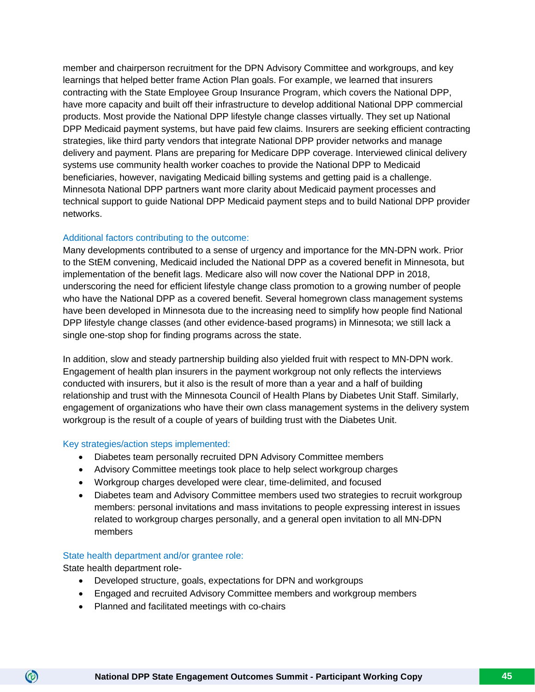member and chairperson recruitment for the DPN Advisory Committee and workgroups, and key learnings that helped better frame Action Plan goals. For example, we learned that insurers contracting with the State Employee Group Insurance Program, which covers the National DPP, have more capacity and built off their infrastructure to develop additional National DPP commercial products. Most provide the National DPP lifestyle change classes virtually. They set up National DPP Medicaid payment systems, but have paid few claims. Insurers are seeking efficient contracting strategies, like third party vendors that integrate National DPP provider networks and manage delivery and payment. Plans are preparing for Medicare DPP coverage. Interviewed clinical delivery systems use community health worker coaches to provide the National DPP to Medicaid beneficiaries, however, navigating Medicaid billing systems and getting paid is a challenge. Minnesota National DPP partners want more clarity about Medicaid payment processes and technical support to guide National DPP Medicaid payment steps and to build National DPP provider networks.

#### Additional factors contributing to the outcome:

Many developments contributed to a sense of urgency and importance for the MN-DPN work. Prior to the StEM convening, Medicaid included the National DPP as a covered benefit in Minnesota, but implementation of the benefit lags. Medicare also will now cover the National DPP in 2018, underscoring the need for efficient lifestyle change class promotion to a growing number of people who have the National DPP as a covered benefit. Several homegrown class management systems have been developed in Minnesota due to the increasing need to simplify how people find National DPP lifestyle change classes (and other evidence-based programs) in Minnesota; we still lack a single one-stop shop for finding programs across the state.

In addition, slow and steady partnership building also yielded fruit with respect to MN-DPN work. Engagement of health plan insurers in the payment workgroup not only reflects the interviews conducted with insurers, but it also is the result of more than a year and a half of building relationship and trust with the Minnesota Council of Health Plans by Diabetes Unit Staff. Similarly, engagement of organizations who have their own class management systems in the delivery system workgroup is the result of a couple of years of building trust with the Diabetes Unit.

#### Key strategies/action steps implemented:

- Diabetes team personally recruited DPN Advisory Committee members
- Advisory Committee meetings took place to help select workgroup charges
- Workgroup charges developed were clear, time-delimited, and focused
- Diabetes team and Advisory Committee members used two strategies to recruit workgroup members: personal invitations and mass invitations to people expressing interest in issues related to workgroup charges personally, and a general open invitation to all MN-DPN members

#### State health department and/or grantee role:

State health department role-

- Developed structure, goals, expectations for DPN and workgroups
- Engaged and recruited Advisory Committee members and workgroup members
- Planned and facilitated meetings with co-chairs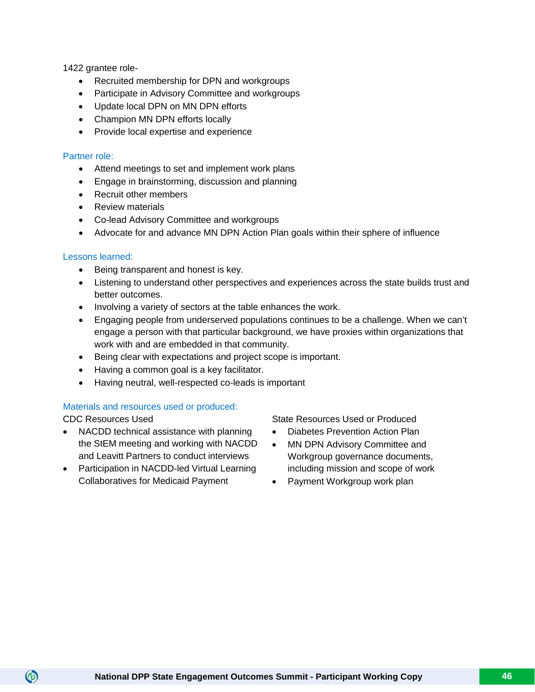1422 grantee role-

- Recruited membership for DPN and workgroups
- Participate in Advisory Committee and workgroups
- Update local DPN on MN DPN efforts
- Champion MN DPN efforts locally
- Provide local expertise and experience

#### Partner role:

- Attend meetings to set and implement work plans
- Engage in brainstorming, discussion and planning
- Recruit other members
- Review materials
- Co-lead Advisory Committee and workgroups
- Advocate for and advance MN DPN Action Plan goals within their sphere of influence

#### Lessons learned:

- Being transparent and honest is key.
- Listening to understand other perspectives and experiences across the state builds trust and better outcomes.
- Involving a variety of sectors at the table enhances the work.
- Engaging people from underserved populations continues to be a challenge. When we can't engage a person with that particular background, we have proxies within organizations that work with and are embedded in that community.
- Being clear with expectations and project scope is important.
- Having a common goal is a key facilitator.
- Having neutral, well-respected co-leads is important

#### Materials and resources used or produced:

 $\circledcirc$ 

- NACDD technical assistance with planning the StEM meeting and working with NACDD and Leavitt Partners to conduct interviews
- Participation in NACDD-led Virtual Learning Collaboratives for Medicaid Payment

CDC Resources Used State Resources Used or Produced

- Diabetes Prevention Action Plan
- MN DPN Advisory Committee and Workgroup governance documents, including mission and scope of work
- Payment Workgroup work plan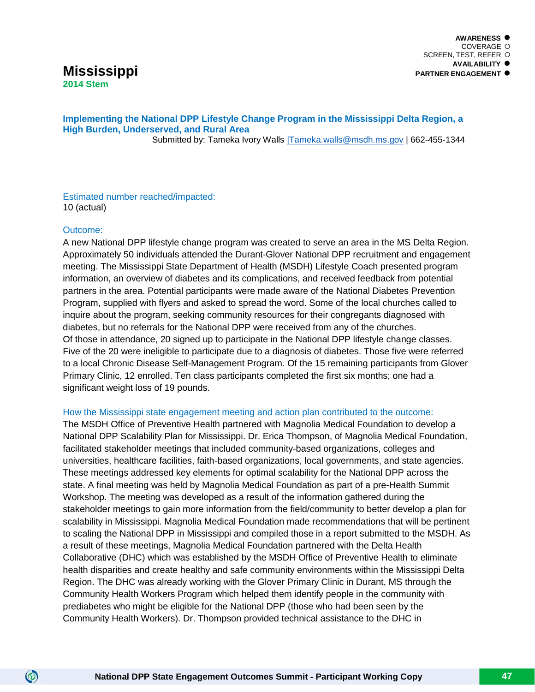# **Mississippi 2014 Stem**

#### **Implementing the National DPP Lifestyle Change Program in the Mississippi Delta Region, a High Burden, Underserved, and Rural Area** Submitted by: Tameka Ivory Walls [|Tameka.walls@msdh.ms.gov](mailto:%7CTameka.walls@msdh.ms.gov) | 662-455-1344

Estimated number reached/impacted: 10 (actual)

#### Outcome:

 $\circledcirc$ 

A new National DPP lifestyle change program was created to serve an area in the MS Delta Region. Approximately 50 individuals attended the Durant-Glover National DPP recruitment and engagement meeting. The Mississippi State Department of Health (MSDH) Lifestyle Coach presented program information, an overview of diabetes and its complications, and received feedback from potential partners in the area. Potential participants were made aware of the National Diabetes Prevention Program, supplied with flyers and asked to spread the word. Some of the local churches called to inquire about the program, seeking community resources for their congregants diagnosed with diabetes, but no referrals for the National DPP were received from any of the churches. Of those in attendance, 20 signed up to participate in the National DPP lifestyle change classes. Five of the 20 were ineligible to participate due to a diagnosis of diabetes. Those five were referred to a local Chronic Disease Self-Management Program. Of the 15 remaining participants from Glover Primary Clinic, 12 enrolled. Ten class participants completed the first six months; one had a significant weight loss of 19 pounds.

#### How the Mississippi state engagement meeting and action plan contributed to the outcome:

The MSDH Office of Preventive Health partnered with Magnolia Medical Foundation to develop a National DPP Scalability Plan for Mississippi. Dr. Erica Thompson, of Magnolia Medical Foundation, facilitated stakeholder meetings that included community-based organizations, colleges and universities, healthcare facilities, faith-based organizations, local governments, and state agencies. These meetings addressed key elements for optimal scalability for the National DPP across the state. A final meeting was held by Magnolia Medical Foundation as part of a pre-Health Summit Workshop. The meeting was developed as a result of the information gathered during the stakeholder meetings to gain more information from the field/community to better develop a plan for scalability in Mississippi. Magnolia Medical Foundation made recommendations that will be pertinent to scaling the National DPP in Mississippi and compiled those in a report submitted to the MSDH. As a result of these meetings, Magnolia Medical Foundation partnered with the Delta Health Collaborative (DHC) which was established by the MSDH Office of Preventive Health to eliminate health disparities and create healthy and safe community environments within the Mississippi Delta Region. The DHC was already working with the Glover Primary Clinic in Durant, MS through the Community Health Workers Program which helped them identify people in the community with prediabetes who might be eligible for the National DPP (those who had been seen by the Community Health Workers). Dr. Thompson provided technical assistance to the DHC in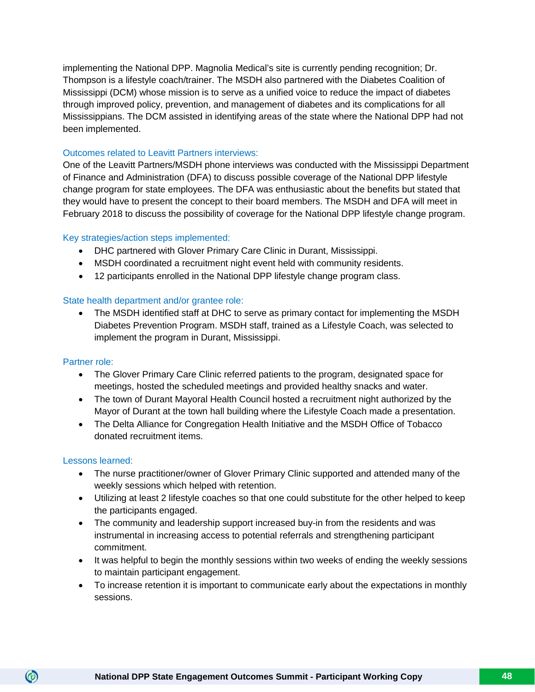implementing the National DPP. Magnolia Medical's site is currently pending recognition; Dr. Thompson is a lifestyle coach/trainer. The MSDH also partnered with the Diabetes Coalition of Mississippi (DCM) whose mission is to serve as a unified voice to reduce the impact of diabetes through improved policy, prevention, and management of diabetes and its complications for all Mississippians. The DCM assisted in identifying areas of the state where the National DPP had not been implemented.

#### Outcomes related to Leavitt Partners interviews:

One of the Leavitt Partners/MSDH phone interviews was conducted with the Mississippi Department of Finance and Administration (DFA) to discuss possible coverage of the National DPP lifestyle change program for state employees. The DFA was enthusiastic about the benefits but stated that they would have to present the concept to their board members. The MSDH and DFA will meet in February 2018 to discuss the possibility of coverage for the National DPP lifestyle change program.

#### Key strategies/action steps implemented:

- DHC partnered with Glover Primary Care Clinic in Durant, Mississippi.
- MSDH coordinated a recruitment night event held with community residents.
- 12 participants enrolled in the National DPP lifestyle change program class.

#### State health department and/or grantee role:

• The MSDH identified staff at DHC to serve as primary contact for implementing the MSDH Diabetes Prevention Program. MSDH staff, trained as a Lifestyle Coach, was selected to implement the program in Durant, Mississippi.

#### Partner role:

- The Glover Primary Care Clinic referred patients to the program, designated space for meetings, hosted the scheduled meetings and provided healthy snacks and water.
- The town of Durant Mayoral Health Council hosted a recruitment night authorized by the Mayor of Durant at the town hall building where the Lifestyle Coach made a presentation.
- The Delta Alliance for Congregation Health Initiative and the MSDH Office of Tobacco donated recruitment items.

#### Lessons learned:

- The nurse practitioner/owner of Glover Primary Clinic supported and attended many of the weekly sessions which helped with retention.
- Utilizing at least 2 lifestyle coaches so that one could substitute for the other helped to keep the participants engaged.
- The community and leadership support increased buy-in from the residents and was instrumental in increasing access to potential referrals and strengthening participant commitment.
- It was helpful to begin the monthly sessions within two weeks of ending the weekly sessions to maintain participant engagement.
- To increase retention it is important to communicate early about the expectations in monthly sessions.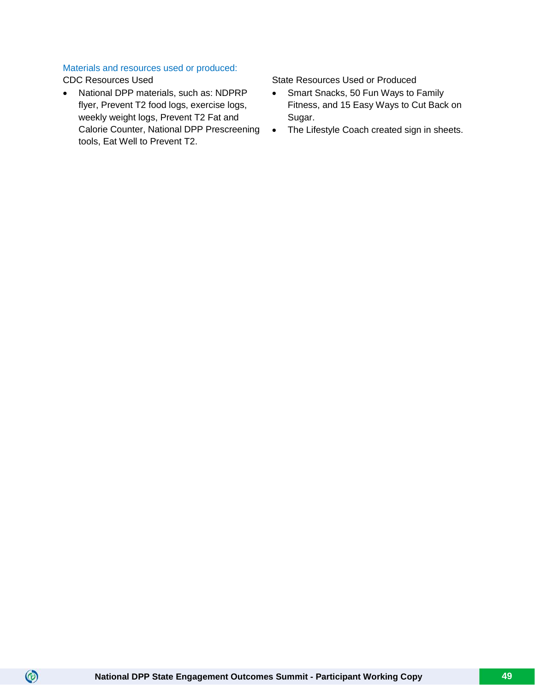# Materials and resources used or produced:

 $\circledcirc$ 

• National DPP materials, such as: NDPRP flyer, Prevent T2 food logs, exercise logs, weekly weight logs, Prevent T2 Fat and Calorie Counter, National DPP Prescreening tools, Eat Well to Prevent T2.

CDC Resources Used State Resources Used State Resources Used or Produced

- Smart Snacks, 50 Fun Ways to Family Fitness, and 15 Easy Ways to Cut Back on Sugar.
- The Lifestyle Coach created sign in sheets.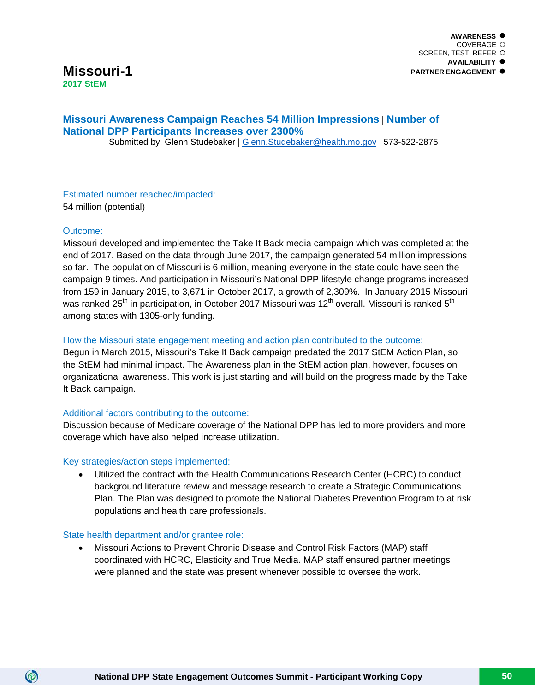# **Missouri-1 2017 StEM**

# **Missouri Awareness Campaign Reaches 54 Million Impressions** | **Number of National DPP Participants Increases over 2300%**

Submitted by: Glenn Studebaker | [Glenn.Studebaker@health.mo.gov](mailto:Glenn.Studebaker@health.mo.gov) | 573-522-2875

Estimated number reached/impacted: 54 million (potential)

#### Outcome:

 $\circledcirc$ 

Missouri developed and implemented the Take It Back media campaign which was completed at the end of 2017. Based on the data through June 2017, the campaign generated 54 million impressions so far. The population of Missouri is 6 million, meaning everyone in the state could have seen the campaign 9 times. And participation in Missouri's National DPP lifestyle change programs increased from 159 in January 2015, to 3,671 in October 2017, a growth of 2,309%. In January 2015 Missouri was ranked 25<sup>th</sup> in participation, in October 2017 Missouri was 12<sup>th</sup> overall. Missouri is ranked 5<sup>th</sup> among states with 1305-only funding.

#### How the Missouri state engagement meeting and action plan contributed to the outcome:

Begun in March 2015, Missouri's Take It Back campaign predated the 2017 StEM Action Plan, so the StEM had minimal impact. The Awareness plan in the StEM action plan, however, focuses on organizational awareness. This work is just starting and will build on the progress made by the Take It Back campaign.

#### Additional factors contributing to the outcome:

Discussion because of Medicare coverage of the National DPP has led to more providers and more coverage which have also helped increase utilization.

#### Key strategies/action steps implemented:

• Utilized the contract with the Health Communications Research Center (HCRC) to conduct background literature review and message research to create a Strategic Communications Plan. The Plan was designed to promote the National Diabetes Prevention Program to at risk populations and health care professionals.

#### State health department and/or grantee role:

• Missouri Actions to Prevent Chronic Disease and Control Risk Factors (MAP) staff coordinated with HCRC, Elasticity and True Media. MAP staff ensured partner meetings were planned and the state was present whenever possible to oversee the work.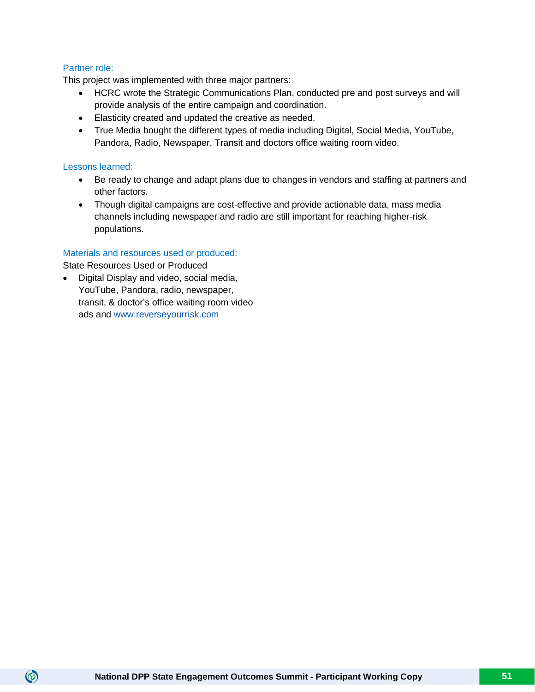#### Partner role:

This project was implemented with three major partners:

- HCRC wrote the Strategic Communications Plan, conducted pre and post surveys and will provide analysis of the entire campaign and coordination.
- Elasticity created and updated the creative as needed.
- True Media bought the different types of media including Digital, Social Media, YouTube, Pandora, Radio, Newspaper, Transit and doctors office waiting room video.

#### Lessons learned:

 $\circledcirc$ 

- Be ready to change and adapt plans due to changes in vendors and staffing at partners and other factors.
- Though digital campaigns are cost-effective and provide actionable data, mass media channels including newspaper and radio are still important for reaching higher-risk populations.

#### Materials and resources used or produced:

State Resources Used or Produced

• Digital Display and video, social media, YouTube, Pandora, radio, newspaper, transit, & doctor's office waiting room video ads and [www.reverseyourrisk.com](http://www.reverseyourrisk.com/)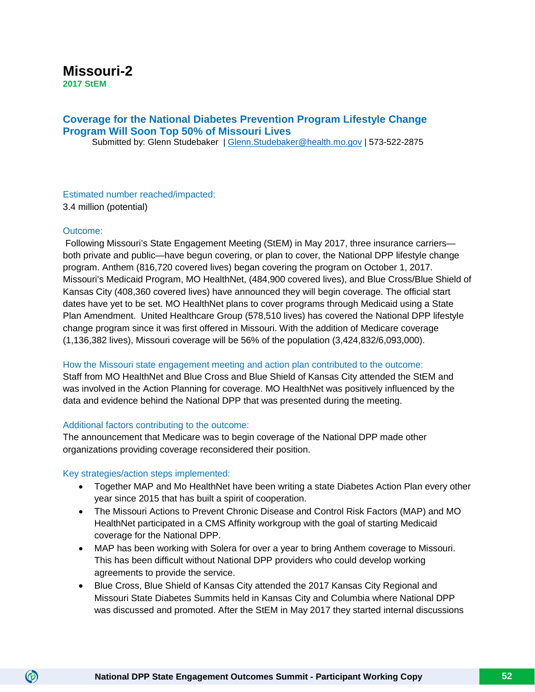# **Missouri-2 2017 StEM**

# **Coverage for the National Diabetes Prevention Program Lifestyle Change Program Will Soon Top 50% of Missouri Lives**

Submitted by: Glenn Studebaker | [Glenn.Studebaker@health.mo.gov](mailto:Glenn.Studebaker@health.mo.gov) | 573-522-2875

#### Estimated number reached/impacted: 3.4 million (potential)

#### Outcome:

 $\circledcirc$ 

Following Missouri's State Engagement Meeting (StEM) in May 2017, three insurance carriers both private and public—have begun covering, or plan to cover, the National DPP lifestyle change program. Anthem (816,720 covered lives) began covering the program on October 1, 2017. Missouri's Medicaid Program, MO HealthNet, (484,900 covered lives), and Blue Cross/Blue Shield of Kansas City (408,360 covered lives) have announced they will begin coverage. The official start dates have yet to be set. MO HealthNet plans to cover programs through Medicaid using a State Plan Amendment. United Healthcare Group (578,510 lives) has covered the National DPP lifestyle change program since it was first offered in Missouri. With the addition of Medicare coverage (1,136,382 lives), Missouri coverage will be 56% of the population (3,424,832/6,093,000).

#### How the Missouri state engagement meeting and action plan contributed to the outcome:

Staff from MO HealthNet and Blue Cross and Blue Shield of Kansas City attended the StEM and was involved in the Action Planning for coverage. MO HealthNet was positively influenced by the data and evidence behind the National DPP that was presented during the meeting.

#### Additional factors contributing to the outcome:

The announcement that Medicare was to begin coverage of the National DPP made other organizations providing coverage reconsidered their position.

#### Key strategies/action steps implemented:

- Together MAP and Mo HealthNet have been writing a state Diabetes Action Plan every other year since 2015 that has built a spirit of cooperation.
- The Missouri Actions to Prevent Chronic Disease and Control Risk Factors (MAP) and MO HealthNet participated in a CMS Affinity workgroup with the goal of starting Medicaid coverage for the National DPP.
- MAP has been working with Solera for over a year to bring Anthem coverage to Missouri. This has been difficult without National DPP providers who could develop working agreements to provide the service.
- Blue Cross, Blue Shield of Kansas City attended the 2017 Kansas City Regional and Missouri State Diabetes Summits held in Kansas City and Columbia where National DPP was discussed and promoted. After the StEM in May 2017 they started internal discussions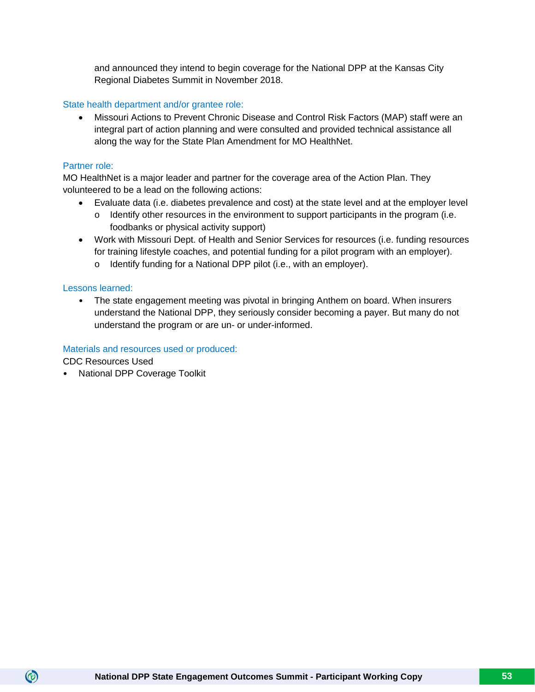and announced they intend to begin coverage for the National DPP at the Kansas City Regional Diabetes Summit in November 2018.

#### State health department and/or grantee role:

• Missouri Actions to Prevent Chronic Disease and Control Risk Factors (MAP) staff were an integral part of action planning and were consulted and provided technical assistance all along the way for the State Plan Amendment for MO HealthNet.

#### Partner role:

MO HealthNet is a major leader and partner for the coverage area of the Action Plan. They volunteered to be a lead on the following actions:

- Evaluate data (i.e. diabetes prevalence and cost) at the state level and at the employer level
	- o Identify other resources in the environment to support participants in the program (i.e. foodbanks or physical activity support)
- Work with Missouri Dept. of Health and Senior Services for resources (i.e. funding resources for training lifestyle coaches, and potential funding for a pilot program with an employer).
	- o Identify funding for a National DPP pilot (i.e., with an employer).

#### Lessons learned:

• The state engagement meeting was pivotal in bringing Anthem on board. When insurers understand the National DPP, they seriously consider becoming a payer. But many do not understand the program or are un- or under-informed.

#### Materials and resources used or produced:

CDC Resources Used

 $\circledcirc$ 

• National DPP Coverage Toolkit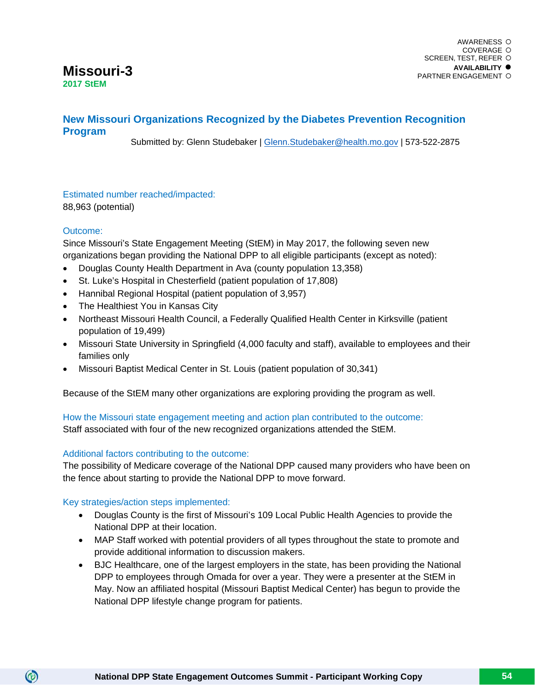# **Missouri-3 2017 StEM**

# **New Missouri Organizations Recognized by the Diabetes Prevention Recognition Program**

Submitted by: Glenn Studebaker | [Glenn.Studebaker@health.mo.gov](mailto:Glenn.Studebaker@health.mo.gov) | 573-522-2875

# Estimated number reached/impacted:

88,963 (potential)

#### Outcome:

 $\circledcirc$ 

Since Missouri's State Engagement Meeting (StEM) in May 2017, the following seven new organizations began providing the National DPP to all eligible participants (except as noted):

- Douglas County Health Department in Ava (county population 13,358)
- St. Luke's Hospital in Chesterfield (patient population of 17,808)
- Hannibal Regional Hospital (patient population of 3,957)
- The Healthiest You in Kansas City
- Northeast Missouri Health Council, a Federally Qualified Health Center in Kirksville (patient population of 19,499)
- Missouri State University in Springfield (4,000 faculty and staff), available to employees and their families only
- Missouri Baptist Medical Center in St. Louis (patient population of 30,341)

Because of the StEM many other organizations are exploring providing the program as well.

How the Missouri state engagement meeting and action plan contributed to the outcome: Staff associated with four of the new recognized organizations attended the StEM.

#### Additional factors contributing to the outcome:

The possibility of Medicare coverage of the National DPP caused many providers who have been on the fence about starting to provide the National DPP to move forward.

#### Key strategies/action steps implemented:

- Douglas County is the first of Missouri's 109 Local Public Health Agencies to provide the National DPP at their location.
- MAP Staff worked with potential providers of all types throughout the state to promote and provide additional information to discussion makers.
- BJC Healthcare, one of the largest employers in the state, has been providing the National DPP to employees through Omada for over a year. They were a presenter at the StEM in May. Now an affiliated hospital (Missouri Baptist Medical Center) has begun to provide the National DPP lifestyle change program for patients.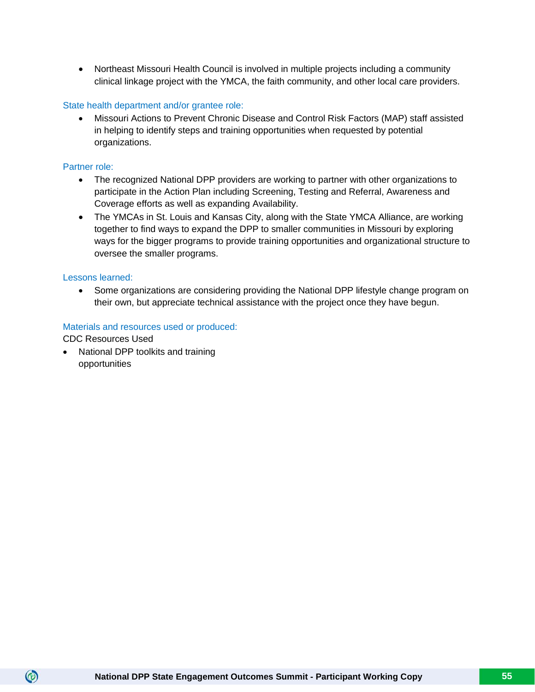• Northeast Missouri Health Council is involved in multiple projects including a community clinical linkage project with the YMCA, the faith community, and other local care providers.

#### State health department and/or grantee role:

• Missouri Actions to Prevent Chronic Disease and Control Risk Factors (MAP) staff assisted in helping to identify steps and training opportunities when requested by potential organizations.

#### Partner role:

- The recognized National DPP providers are working to partner with other organizations to participate in the Action Plan including Screening, Testing and Referral, Awareness and Coverage efforts as well as expanding Availability.
- The YMCAs in St. Louis and Kansas City, along with the State YMCA Alliance, are working together to find ways to expand the DPP to smaller communities in Missouri by exploring ways for the bigger programs to provide training opportunities and organizational structure to oversee the smaller programs.

#### Lessons learned:

• Some organizations are considering providing the National DPP lifestyle change program on their own, but appreciate technical assistance with the project once they have begun.

#### Materials and resources used or produced:

CDC Resources Used

 $\circledcirc$ 

• National DPP toolkits and training opportunities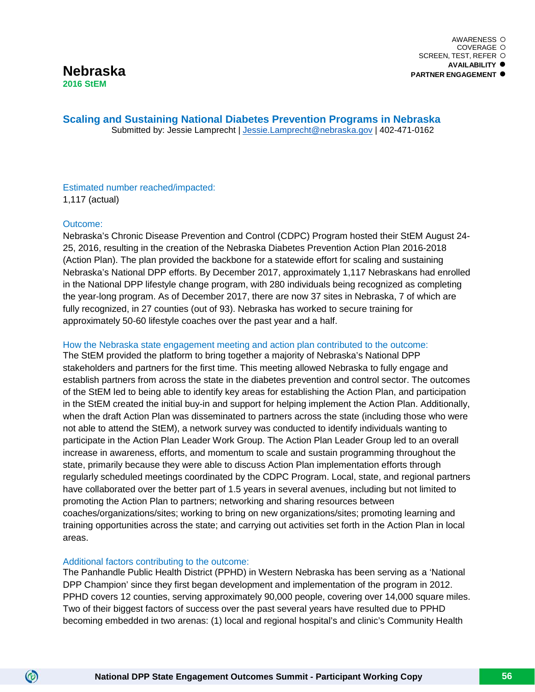**Scaling and Sustaining National Diabetes Prevention Programs in Nebraska** Submitted by: Jessie Lamprecht | [Jessie.Lamprecht@nebraska.gov](mailto:Jessie.Lamprecht@nebraska.gov) | 402-471-0162

Estimated number reached/impacted: 1,117 (actual)

#### Outcome:

 $\circledcirc$ 

Nebraska's Chronic Disease Prevention and Control (CDPC) Program hosted their StEM August 24- 25, 2016, resulting in the creation of the Nebraska Diabetes Prevention Action Plan 2016-2018 (Action Plan). The plan provided the backbone for a statewide effort for scaling and sustaining Nebraska's National DPP efforts. By December 2017, approximately 1,117 Nebraskans had enrolled in the National DPP lifestyle change program, with 280 individuals being recognized as completing the year-long program. As of December 2017, there are now 37 sites in Nebraska, 7 of which are fully recognized, in 27 counties (out of 93). Nebraska has worked to secure training for approximately 50-60 lifestyle coaches over the past year and a half.

#### How the Nebraska state engagement meeting and action plan contributed to the outcome:

The StEM provided the platform to bring together a majority of Nebraska's National DPP stakeholders and partners for the first time. This meeting allowed Nebraska to fully engage and establish partners from across the state in the diabetes prevention and control sector. The outcomes of the StEM led to being able to identify key areas for establishing the Action Plan, and participation in the StEM created the initial buy-in and support for helping implement the Action Plan. Additionally, when the draft Action Plan was disseminated to partners across the state (including those who were not able to attend the StEM), a network survey was conducted to identify individuals wanting to participate in the Action Plan Leader Work Group. The Action Plan Leader Group led to an overall increase in awareness, efforts, and momentum to scale and sustain programming throughout the state, primarily because they were able to discuss Action Plan implementation efforts through regularly scheduled meetings coordinated by the CDPC Program. Local, state, and regional partners have collaborated over the better part of 1.5 years in several avenues, including but not limited to promoting the Action Plan to partners; networking and sharing resources between coaches/organizations/sites; working to bring on new organizations/sites; promoting learning and training opportunities across the state; and carrying out activities set forth in the Action Plan in local areas.

#### Additional factors contributing to the outcome:

The Panhandle Public Health District (PPHD) in Western Nebraska has been serving as a 'National DPP Champion' since they first began development and implementation of the program in 2012. PPHD covers 12 counties, serving approximately 90,000 people, covering over 14,000 square miles. Two of their biggest factors of success over the past several years have resulted due to PPHD becoming embedded in two arenas: (1) local and regional hospital's and clinic's Community Health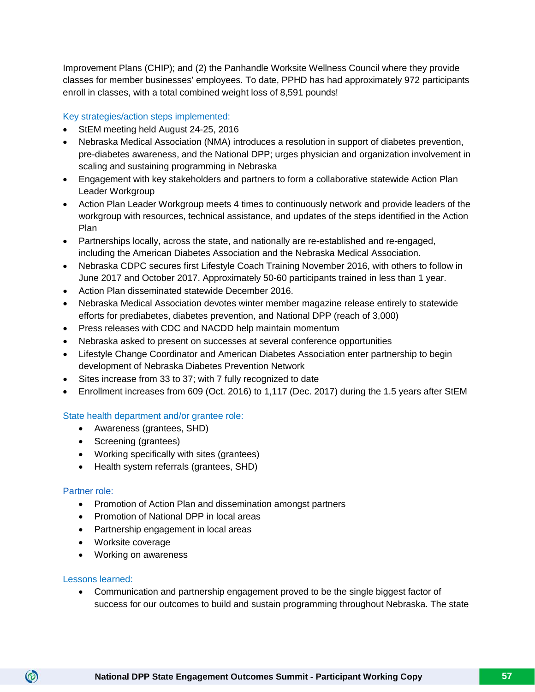Improvement Plans (CHIP); and (2) the Panhandle Worksite Wellness Council where they provide classes for member businesses' employees. To date, PPHD has had approximately 972 participants enroll in classes, with a total combined weight loss of 8,591 pounds!

#### Key strategies/action steps implemented:

- StEM meeting held August 24-25, 2016
- Nebraska Medical Association (NMA) introduces a resolution in support of diabetes prevention, pre-diabetes awareness, and the National DPP; urges physician and organization involvement in scaling and sustaining programming in Nebraska
- Engagement with key stakeholders and partners to form a collaborative statewide Action Plan Leader Workgroup
- Action Plan Leader Workgroup meets 4 times to continuously network and provide leaders of the workgroup with resources, technical assistance, and updates of the steps identified in the Action Plan
- Partnerships locally, across the state, and nationally are re-established and re-engaged, including the American Diabetes Association and the Nebraska Medical Association.
- Nebraska CDPC secures first Lifestyle Coach Training November 2016, with others to follow in June 2017 and October 2017. Approximately 50-60 participants trained in less than 1 year.
- Action Plan disseminated statewide December 2016.
- Nebraska Medical Association devotes winter member magazine release entirely to statewide efforts for prediabetes, diabetes prevention, and National DPP (reach of 3,000)
- Press releases with CDC and NACDD help maintain momentum
- Nebraska asked to present on successes at several conference opportunities
- Lifestyle Change Coordinator and American Diabetes Association enter partnership to begin development of Nebraska Diabetes Prevention Network
- Sites increase from 33 to 37; with 7 fully recognized to date
- Enrollment increases from 609 (Oct. 2016) to 1,117 (Dec. 2017) during the 1.5 years after StEM

#### State health department and/or grantee role:

- Awareness (grantees, SHD)
- Screening (grantees)
- Working specifically with sites (grantees)
- Health system referrals (grantees, SHD)

#### Partner role:

- Promotion of Action Plan and dissemination amongst partners
- Promotion of National DPP in local areas
- Partnership engagement in local areas
- Worksite coverage
- Working on awareness

#### Lessons learned:

 $\circledcirc$ 

• Communication and partnership engagement proved to be the single biggest factor of success for our outcomes to build and sustain programming throughout Nebraska. The state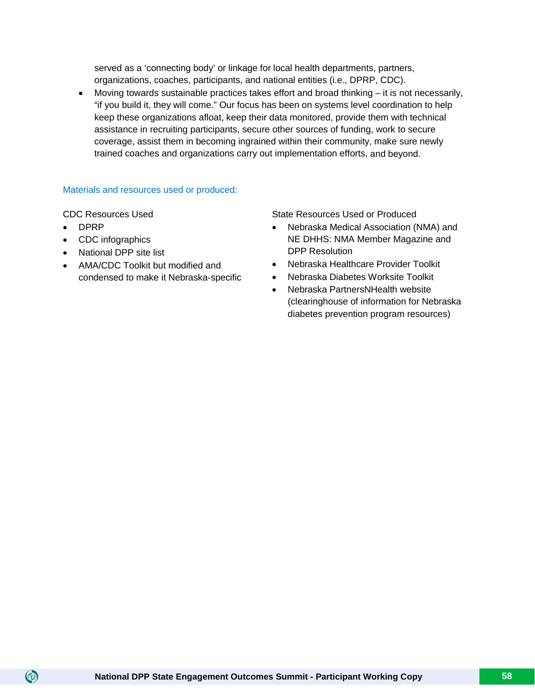served as a 'connecting body' or linkage for local health departments, partners, organizations, coaches, participants, and national entities (i.e., DPRP, CDC).

Moving towards sustainable practices takes effort and broad thinking  $-$  it is not necessarily, "if you build it, they will come." Our focus has been on systems level coordination to help keep these organizations afloat, keep their data monitored, provide them with technical assistance in recruiting participants, secure other sources of funding, work to secure coverage, assist them in becoming ingrained within their community, make sure newly trained coaches and organizations carry out implementation efforts, and beyond.

# Materials and resources used or produced:

• DPRP

 $\circledcirc$ 

- CDC infographics
- National DPP site list
- AMA/CDC Toolkit but modified and condensed to make it Nebraska-specific

CDC Resources Used **State Resources Used or Produced** 

- Nebraska Medical Association (NMA) and NE DHHS: NMA Member Magazine and DPP Resolution
- Nebraska Healthcare Provider Toolkit
- Nebraska Diabetes Worksite Toolkit
- Nebraska PartnersNHealth website (clearinghouse of information for Nebraska diabetes prevention program resources)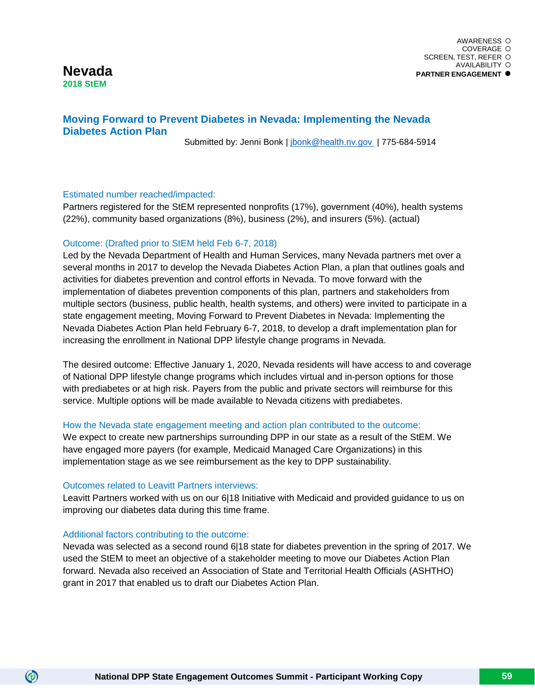# **Nevada 2018 StEM**

# **Moving Forward to Prevent Diabetes in Nevada: Implementing the Nevada Diabetes Action Plan**

Submitted by: Jenni Bonk | [jbonk@health.nv.gov](mailto:jbonk@health.nv.gov) | 775-684-5914

#### Estimated number reached/impacted:

Partners registered for the StEM represented nonprofits (17%), government (40%), health systems (22%), community based organizations (8%), business (2%), and insurers (5%). (actual)

#### Outcome: (Drafted prior to StEM held Feb 6-7, 2018)

Led by the Nevada Department of Health and Human Services, many Nevada partners met over a several months in 2017 to develop the Nevada Diabetes Action Plan, a plan that outlines goals and activities for diabetes prevention and control efforts in Nevada. To move forward with the implementation of diabetes prevention components of this plan, partners and stakeholders from multiple sectors (business, public health, health systems, and others) were invited to participate in a state engagement meeting, Moving Forward to Prevent Diabetes in Nevada: Implementing the Nevada Diabetes Action Plan held February 6-7, 2018, to develop a draft implementation plan for increasing the enrollment in National DPP lifestyle change programs in Nevada.

The desired outcome: Effective January 1, 2020, Nevada residents will have access to and coverage of National DPP lifestyle change programs which includes virtual and in-person options for those with prediabetes or at high risk. Payers from the public and private sectors will reimburse for this service. Multiple options will be made available to Nevada citizens with prediabetes.

#### How the Nevada state engagement meeting and action plan contributed to the outcome:

We expect to create new partnerships surrounding DPP in our state as a result of the StEM. We have engaged more payers (for example, Medicaid Managed Care Organizations) in this implementation stage as we see reimbursement as the key to DPP sustainability.

#### Outcomes related to Leavitt Partners interviews:

Leavitt Partners worked with us on our 6|18 Initiative with Medicaid and provided guidance to us on improving our diabetes data during this time frame.

#### Additional factors contributing to the outcome:

 $\circledcirc$ 

Nevada was selected as a second round 6|18 state for diabetes prevention in the spring of 2017. We used the StEM to meet an objective of a stakeholder meeting to move our Diabetes Action Plan forward. Nevada also received an Association of State and Territorial Health Officials (ASHTHO) grant in 2017 that enabled us to draft our Diabetes Action Plan.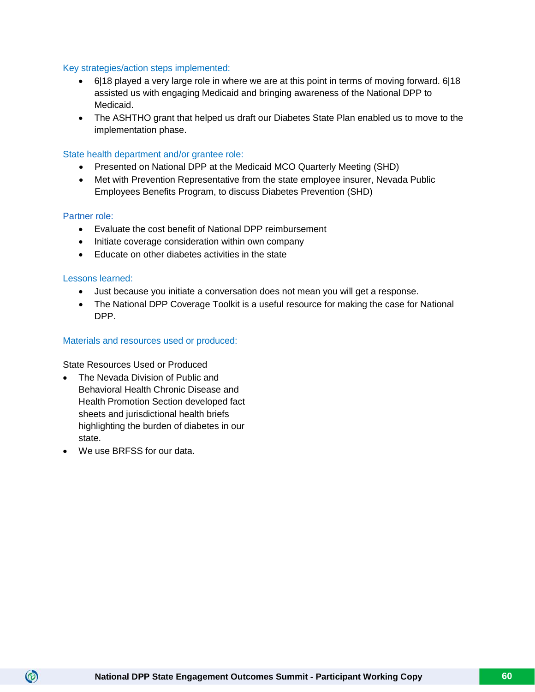#### Key strategies/action steps implemented:

- $\bullet$  6|18 played a very large role in where we are at this point in terms of moving forward. 6|18 assisted us with engaging Medicaid and bringing awareness of the National DPP to Medicaid.
- The ASHTHO grant that helped us draft our Diabetes State Plan enabled us to move to the implementation phase.

#### State health department and/or grantee role:

- Presented on National DPP at the Medicaid MCO Quarterly Meeting (SHD)
- Met with Prevention Representative from the state employee insurer, Nevada Public Employees Benefits Program, to discuss Diabetes Prevention (SHD)

#### Partner role:

- Evaluate the cost benefit of National DPP reimbursement
- Initiate coverage consideration within own company
- Educate on other diabetes activities in the state

#### Lessons learned:

- Just because you initiate a conversation does not mean you will get a response.
- The National DPP Coverage Toolkit is a useful resource for making the case for National DPP.

#### Materials and resources used or produced:

State Resources Used or Produced

- The Nevada Division of Public and Behavioral Health Chronic Disease and Health Promotion Section developed fact sheets and jurisdictional health briefs highlighting the burden of diabetes in our state.
- We use BRFSS for our data.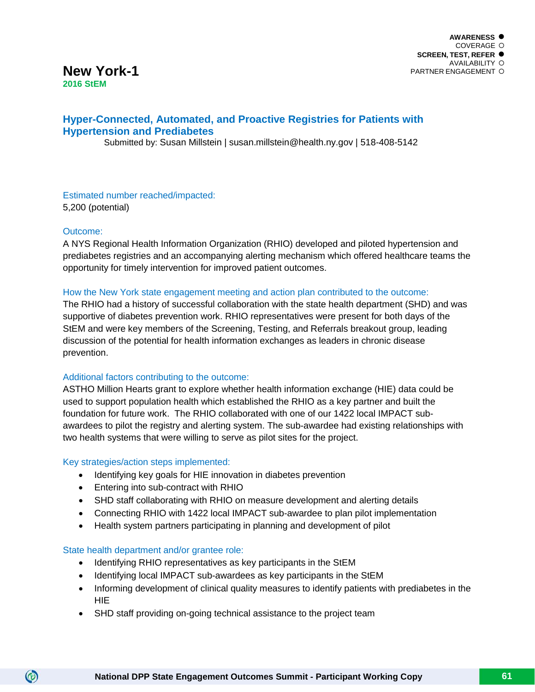# **New York-1 2016 StEM**

# **Hyper-Connected, Automated, and Proactive Registries for Patients with Hypertension and Prediabetes**

Submitted by: Susan Millstein | susan.millstein@health.ny.gov | 518-408-5142

Estimated number reached/impacted: 5,200 (potential)

# Outcome:

 $\circledcirc$ 

A NYS Regional Health Information Organization (RHIO) developed and piloted hypertension and prediabetes registries and an accompanying alerting mechanism which offered healthcare teams the opportunity for timely intervention for improved patient outcomes.

#### How the New York state engagement meeting and action plan contributed to the outcome:

The RHIO had a history of successful collaboration with the state health department (SHD) and was supportive of diabetes prevention work. RHIO representatives were present for both days of the StEM and were key members of the Screening, Testing, and Referrals breakout group, leading discussion of the potential for health information exchanges as leaders in chronic disease prevention.

#### Additional factors contributing to the outcome:

ASTHO Million Hearts grant to explore whether health information exchange (HIE) data could be used to support population health which established the RHIO as a key partner and built the foundation for future work. The RHIO collaborated with one of our 1422 local IMPACT subawardees to pilot the registry and alerting system. The sub-awardee had existing relationships with two health systems that were willing to serve as pilot sites for the project.

#### Key strategies/action steps implemented:

- Identifying key goals for HIE innovation in diabetes prevention
- Entering into sub-contract with RHIO
- SHD staff collaborating with RHIO on measure development and alerting details
- Connecting RHIO with 1422 local IMPACT sub-awardee to plan pilot implementation
- Health system partners participating in planning and development of pilot

#### State health department and/or grantee role:

- Identifying RHIO representatives as key participants in the StEM
- Identifying local IMPACT sub-awardees as key participants in the StEM
- Informing development of clinical quality measures to identify patients with prediabetes in the **HIE**
- SHD staff providing on-going technical assistance to the project team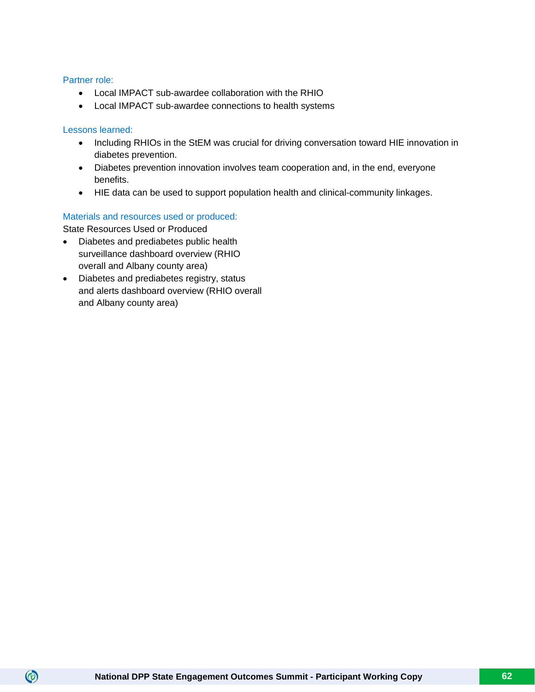#### Partner role:

- Local IMPACT sub-awardee collaboration with the RHIO
- Local IMPACT sub-awardee connections to health systems

#### Lessons learned:

 $\circledcirc$ 

- Including RHIOs in the StEM was crucial for driving conversation toward HIE innovation in diabetes prevention.
- Diabetes prevention innovation involves team cooperation and, in the end, everyone benefits.
- HIE data can be used to support population health and clinical-community linkages.

# Materials and resources used or produced:

State Resources Used or Produced

- Diabetes and prediabetes public health surveillance dashboard overview (RHIO overall and Albany county area)
- Diabetes and prediabetes registry, status and alerts dashboard overview (RHIO overall and Albany county area)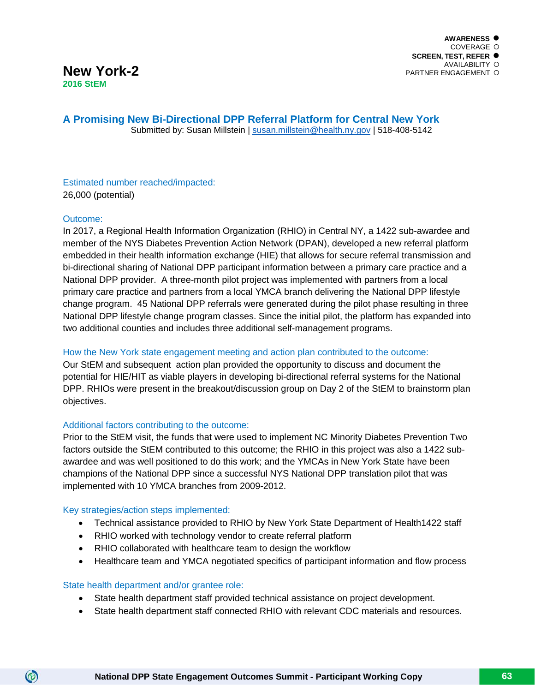**A Promising New Bi-Directional DPP Referral Platform for Central New York**

Submitted by: Susan Millstein | [susan.millstein@health.ny.gov](mailto:susan.millstein@health.ny.gov) | 518-408-5142

#### Estimated number reached/impacted: 26,000 (potential)

# Outcome:

In 2017, a Regional Health Information Organization (RHIO) in Central NY, a 1422 sub-awardee and member of the NYS Diabetes Prevention Action Network (DPAN), developed a new referral platform embedded in their health information exchange (HIE) that allows for secure referral transmission and bi-directional sharing of National DPP participant information between a primary care practice and a National DPP provider. A three-month pilot project was implemented with partners from a local primary care practice and partners from a local YMCA branch delivering the National DPP lifestyle change program. 45 National DPP referrals were generated during the pilot phase resulting in three National DPP lifestyle change program classes. Since the initial pilot, the platform has expanded into two additional counties and includes three additional self-management programs.

# How the New York state engagement meeting and action plan contributed to the outcome:

Our StEM and subsequent action plan provided the opportunity to discuss and document the potential for HIE/HIT as viable players in developing bi-directional referral systems for the National DPP. RHIOs were present in the breakout/discussion group on Day 2 of the StEM to brainstorm plan objectives.

# Additional factors contributing to the outcome:

Prior to the StEM visit, the funds that were used to implement NC Minority Diabetes Prevention Two factors outside the StEM contributed to this outcome; the RHIO in this project was also a 1422 subawardee and was well positioned to do this work; and the YMCAs in New York State have been champions of the National DPP since a successful NYS National DPP translation pilot that was implemented with 10 YMCA branches from 2009-2012.

#### Key strategies/action steps implemented:

- Technical assistance provided to RHIO by New York State Department of Health1422 staff
- RHIO worked with technology vendor to create referral platform
- RHIO collaborated with healthcare team to design the workflow
- Healthcare team and YMCA negotiated specifics of participant information and flow process

#### State health department and/or grantee role:

- State health department staff provided technical assistance on project development.
- State health department staff connected RHIO with relevant CDC materials and resources.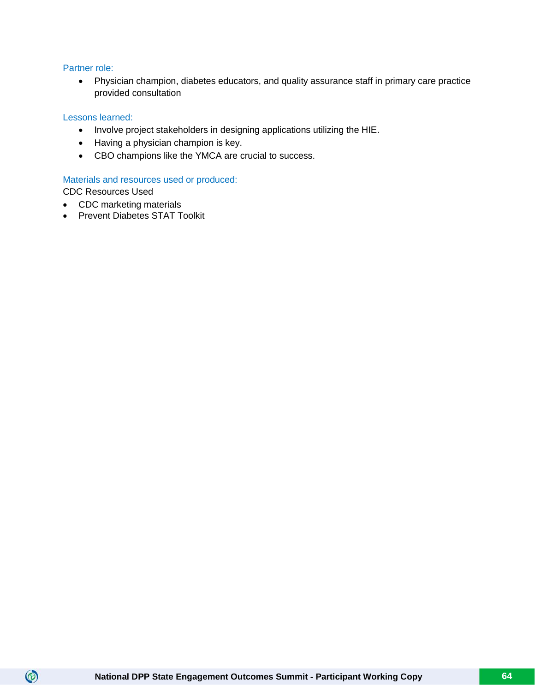#### Partner role:

• Physician champion, diabetes educators, and quality assurance staff in primary care practice provided consultation

#### Lessons learned:

- Involve project stakeholders in designing applications utilizing the HIE.
- Having a physician champion is key.
- CBO champions like the YMCA are crucial to success.

#### Materials and resources used or produced:

CDC Resources Used

- CDC marketing materials
- Prevent Diabetes STAT Toolkit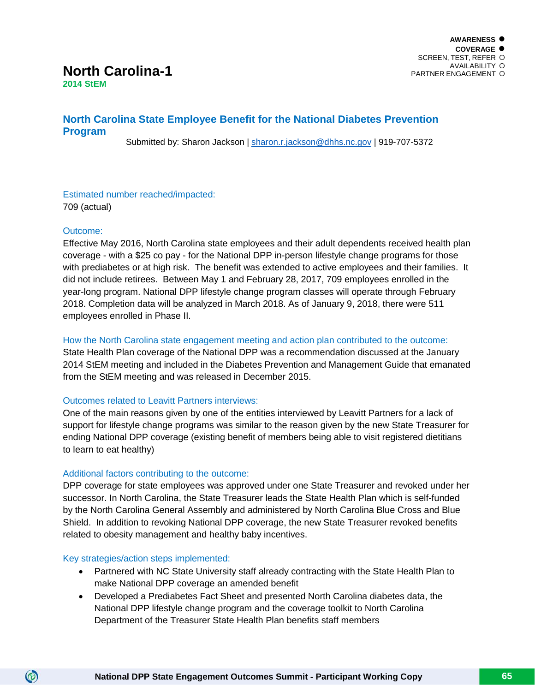#### **AWARENESS COVERAGE** SCREEN, TEST, REFER AVAILABILITY PARTNER ENGAGEMENT

# **North Carolina-1**

**2014 StEM**

# **North Carolina State Employee Benefit for the National Diabetes Prevention Program**

Submitted by: Sharon Jackson | [sharon.r.jackson@dhhs.nc.gov](mailto:sharon.r.jackson@dhhs.nc.gov) | 919-707-5372

Estimated number reached/impacted: 709 (actual)

# Outcome:

Effective May 2016, North Carolina state employees and their adult dependents received health plan coverage - with a \$25 co pay - for the National DPP in-person lifestyle change programs for those with prediabetes or at high risk. The benefit was extended to active employees and their families. It did not include retirees. Between May 1 and February 28, 2017, 709 employees enrolled in the year-long program. National DPP lifestyle change program classes will operate through February 2018. Completion data will be analyzed in March 2018. As of January 9, 2018, there were 511 employees enrolled in Phase II.

# How the North Carolina state engagement meeting and action plan contributed to the outcome:

State Health Plan coverage of the National DPP was a recommendation discussed at the January 2014 StEM meeting and included in the Diabetes Prevention and Management Guide that emanated from the StEM meeting and was released in December 2015.

# Outcomes related to Leavitt Partners interviews:

One of the main reasons given by one of the entities interviewed by Leavitt Partners for a lack of support for lifestyle change programs was similar to the reason given by the new State Treasurer for ending National DPP coverage (existing benefit of members being able to visit registered dietitians to learn to eat healthy)

# Additional factors contributing to the outcome:

DPP coverage for state employees was approved under one State Treasurer and revoked under her successor. In North Carolina, the State Treasurer leads the State Health Plan which is self-funded by the North Carolina General Assembly and administered by North Carolina Blue Cross and Blue Shield. In addition to revoking National DPP coverage, the new State Treasurer revoked benefits related to obesity management and healthy baby incentives.

# Key strategies/action steps implemented:

- Partnered with NC State University staff already contracting with the State Health Plan to make National DPP coverage an amended benefit
- Developed a Prediabetes Fact Sheet and presented North Carolina diabetes data, the National DPP lifestyle change program and the coverage toolkit to North Carolina Department of the Treasurer State Health Plan benefits staff members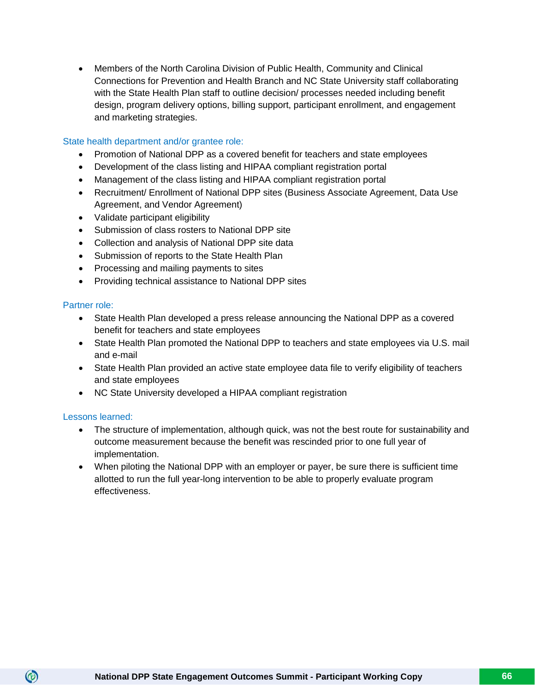• Members of the North Carolina Division of Public Health, Community and Clinical Connections for Prevention and Health Branch and NC State University staff collaborating with the State Health Plan staff to outline decision/ processes needed including benefit design, program delivery options, billing support, participant enrollment, and engagement and marketing strategies.

#### State health department and/or grantee role:

- Promotion of National DPP as a covered benefit for teachers and state employees
- Development of the class listing and HIPAA compliant registration portal
- Management of the class listing and HIPAA compliant registration portal
- Recruitment/ Enrollment of National DPP sites (Business Associate Agreement, Data Use Agreement, and Vendor Agreement)
- Validate participant eligibility
- Submission of class rosters to National DPP site
- Collection and analysis of National DPP site data
- Submission of reports to the State Health Plan
- Processing and mailing payments to sites
- Providing technical assistance to National DPP sites

#### Partner role:

- State Health Plan developed a press release announcing the National DPP as a covered benefit for teachers and state employees
- State Health Plan promoted the National DPP to teachers and state employees via U.S. mail and e-mail
- State Health Plan provided an active state employee data file to verify eligibility of teachers and state employees
- NC State University developed a HIPAA compliant registration

#### Lessons learned:

- The structure of implementation, although quick, was not the best route for sustainability and outcome measurement because the benefit was rescinded prior to one full year of implementation.
- When piloting the National DPP with an employer or payer, be sure there is sufficient time allotted to run the full year-long intervention to be able to properly evaluate program effectiveness.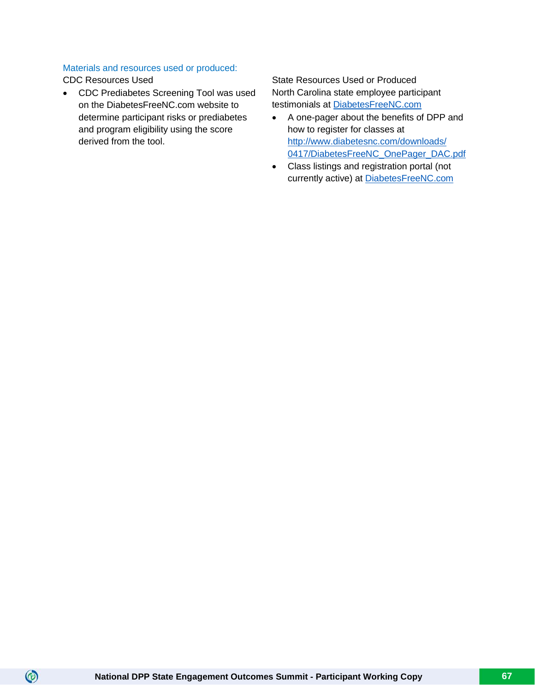# Materials and resources used or produced:

 $\circledcirc$ 

• CDC Prediabetes Screening Tool was used on the DiabetesFreeNC.com website to determine participant risks or prediabetes and program eligibility using the score derived from the tool.

CDC Resources Used State Resources Used State Resources Used or Produced North Carolina state employee participant testimonials at DiabetesFreeNC.com

- A one-pager about the benefits of DPP and how to register for classes at [http://www.diabetesnc.com/downloads/](http://www.diabetesnc.com/downloads/%200417/DiabetesFreeNC_OnePager_DAC.pdf) [0417/DiabetesFreeNC\\_OnePager\\_DAC.pdf](http://www.diabetesnc.com/downloads/%200417/DiabetesFreeNC_OnePager_DAC.pdf)
- Class listings and registration portal (not currently active) at DiabetesFreeNC.com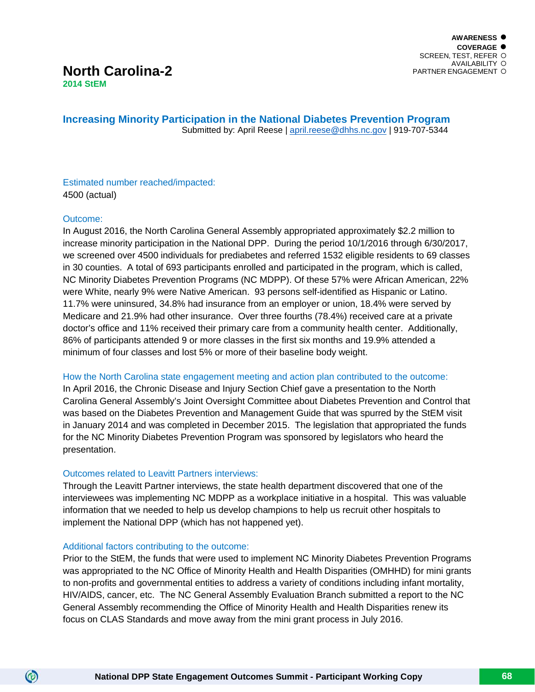# **North Carolina-2 2014 StEM**

**Increasing Minority Participation in the National Diabetes Prevention Program** Submitted by: April Reese | [april.reese@dhhs.nc.gov](mailto:april.reese@dhhs.nc.gov) | 919-707-5344

Estimated number reached/impacted: 4500 (actual)

# Outcome:

 $\circledcirc$ 

In August 2016, the North Carolina General Assembly appropriated approximately \$2.2 million to increase minority participation in the National DPP. During the period 10/1/2016 through 6/30/2017, we screened over 4500 individuals for prediabetes and referred 1532 eligible residents to 69 classes in 30 counties. A total of 693 participants enrolled and participated in the program, which is called, NC Minority Diabetes Prevention Programs (NC MDPP). Of these 57% were African American, 22% were White, nearly 9% were Native American. 93 persons self-identified as Hispanic or Latino. 11.7% were uninsured, 34.8% had insurance from an employer or union, 18.4% were served by Medicare and 21.9% had other insurance. Over three fourths (78.4%) received care at a private doctor's office and 11% received their primary care from a community health center. Additionally, 86% of participants attended 9 or more classes in the first six months and 19.9% attended a minimum of four classes and lost 5% or more of their baseline body weight.

How the North Carolina state engagement meeting and action plan contributed to the outcome:

In April 2016, the Chronic Disease and Injury Section Chief gave a presentation to the North Carolina General Assembly's Joint Oversight Committee about Diabetes Prevention and Control that was based on the Diabetes Prevention and Management Guide that was spurred by the StEM visit in January 2014 and was completed in December 2015. The legislation that appropriated the funds for the NC Minority Diabetes Prevention Program was sponsored by legislators who heard the presentation.

#### Outcomes related to Leavitt Partners interviews:

Through the Leavitt Partner interviews, the state health department discovered that one of the interviewees was implementing NC MDPP as a workplace initiative in a hospital. This was valuable information that we needed to help us develop champions to help us recruit other hospitals to implement the National DPP (which has not happened yet).

#### Additional factors contributing to the outcome:

Prior to the StEM, the funds that were used to implement NC Minority Diabetes Prevention Programs was appropriated to the NC Office of Minority Health and Health Disparities (OMHHD) for mini grants to non-profits and governmental entities to address a variety of conditions including infant mortality, HIV/AIDS, cancer, etc. The NC General Assembly Evaluation Branch submitted a report to the NC General Assembly recommending the Office of Minority Health and Health Disparities renew its focus on CLAS Standards and move away from the mini grant process in July 2016.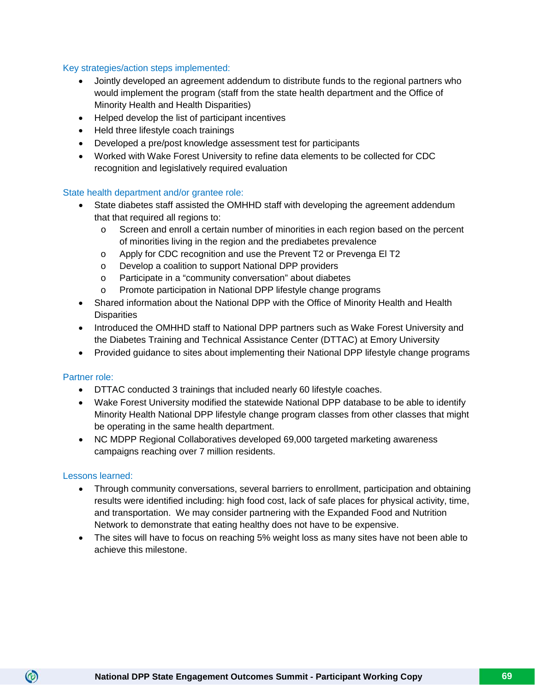#### Key strategies/action steps implemented:

- Jointly developed an agreement addendum to distribute funds to the regional partners who would implement the program (staff from the state health department and the Office of Minority Health and Health Disparities)
- Helped develop the list of participant incentives
- Held three lifestyle coach trainings
- Developed a pre/post knowledge assessment test for participants
- Worked with Wake Forest University to refine data elements to be collected for CDC recognition and legislatively required evaluation

#### State health department and/or grantee role:

- State diabetes staff assisted the OMHHD staff with developing the agreement addendum that that required all regions to:
	- o Screen and enroll a certain number of minorities in each region based on the percent of minorities living in the region and the prediabetes prevalence
	- o Apply for CDC recognition and use the Prevent T2 or Prevenga El T2
	- o Develop a coalition to support National DPP providers
	- o Participate in a "community conversation" about diabetes
	- o Promote participation in National DPP lifestyle change programs
- Shared information about the National DPP with the Office of Minority Health and Health **Disparities**
- Introduced the OMHHD staff to National DPP partners such as Wake Forest University and the Diabetes Training and Technical Assistance Center (DTTAC) at Emory University
- Provided guidance to sites about implementing their National DPP lifestyle change programs

#### Partner role:

- DTTAC conducted 3 trainings that included nearly 60 lifestyle coaches.
- Wake Forest University modified the statewide National DPP database to be able to identify Minority Health National DPP lifestyle change program classes from other classes that might be operating in the same health department.
- NC MDPP Regional Collaboratives developed 69,000 targeted marketing awareness campaigns reaching over 7 million residents.

#### Lessons learned:

- Through community conversations, several barriers to enrollment, participation and obtaining results were identified including: high food cost, lack of safe places for physical activity, time, and transportation. We may consider partnering with the Expanded Food and Nutrition Network to demonstrate that eating healthy does not have to be expensive.
- The sites will have to focus on reaching 5% weight loss as many sites have not been able to achieve this milestone.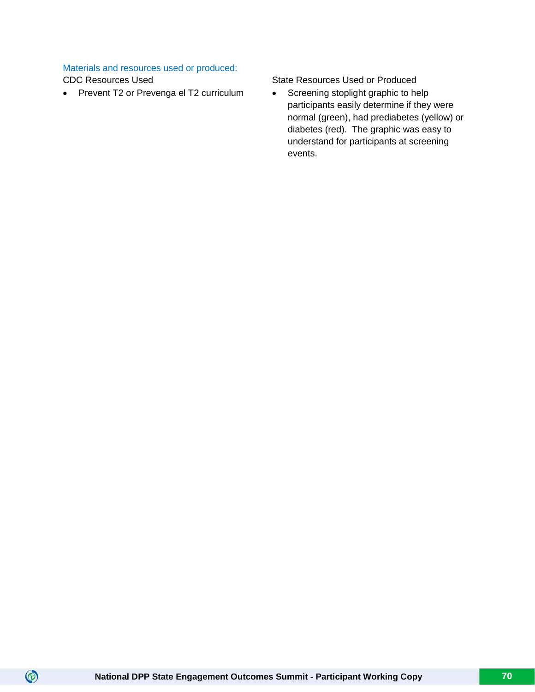# Materials and resources used or produced:

 $\circledcirc$ 

• Prevent T2 or Prevenga el T2 curriculum • Screening stoplight graphic to help

CDC Resources Used State Resources Used State Resources Used or Produced

participants easily determine if they were normal (green), had prediabetes (yellow) or diabetes (red). The graphic was easy to understand for participants at screening events.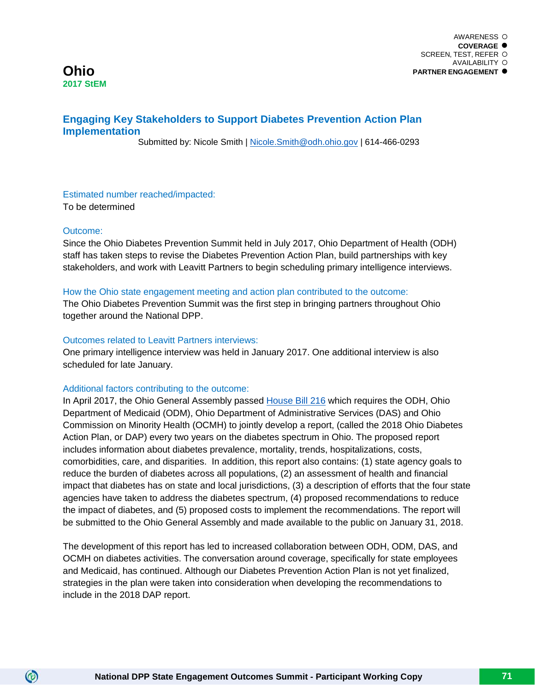**PARTNER ENGAGEMENT**

# **Engaging Key Stakeholders to Support Diabetes Prevention Action Plan Implementation**

Submitted by: Nicole Smith | [Nicole.Smith@odh.ohio.gov](mailto:Nicole.Smith@odh.ohio.gov) | 614-466-0293

# Estimated number reached/impacted:

To be determined

#### Outcome:

 $\circledcirc$ 

Since the Ohio Diabetes Prevention Summit held in July 2017, Ohio Department of Health (ODH) staff has taken steps to revise the Diabetes Prevention Action Plan, build partnerships with key stakeholders, and work with Leavitt Partners to begin scheduling primary intelligence interviews.

#### How the Ohio state engagement meeting and action plan contributed to the outcome:

The Ohio Diabetes Prevention Summit was the first step in bringing partners throughout Ohio together around the National DPP.

#### Outcomes related to Leavitt Partners interviews:

One primary intelligence interview was held in January 2017. One additional interview is also scheduled for late January.

# Additional factors contributing to the outcome:

In April 2017, the Ohio General Assembly passed [House Bill 216](https://www.legislature.ohio.gov/legislation/legislation-summary?id=GA131-HB-216) which requires the ODH, Ohio Department of Medicaid (ODM), Ohio Department of Administrative Services (DAS) and Ohio Commission on Minority Health (OCMH) to jointly develop a report, (called the 2018 Ohio Diabetes Action Plan, or DAP) every two years on the diabetes spectrum in Ohio. The proposed report includes information about diabetes prevalence, mortality, trends, hospitalizations, costs, comorbidities, care, and disparities. In addition, this report also contains: (1) state agency goals to reduce the burden of diabetes across all populations, (2) an assessment of health and financial impact that diabetes has on state and local jurisdictions, (3) a description of efforts that the four state agencies have taken to address the diabetes spectrum, (4) proposed recommendations to reduce the impact of diabetes, and (5) proposed costs to implement the recommendations. The report will be submitted to the Ohio General Assembly and made available to the public on January 31, 2018.

The development of this report has led to increased collaboration between ODH, ODM, DAS, and OCMH on diabetes activities. The conversation around coverage, specifically for state employees and Medicaid, has continued. Although our Diabetes Prevention Action Plan is not yet finalized, strategies in the plan were taken into consideration when developing the recommendations to include in the 2018 DAP report.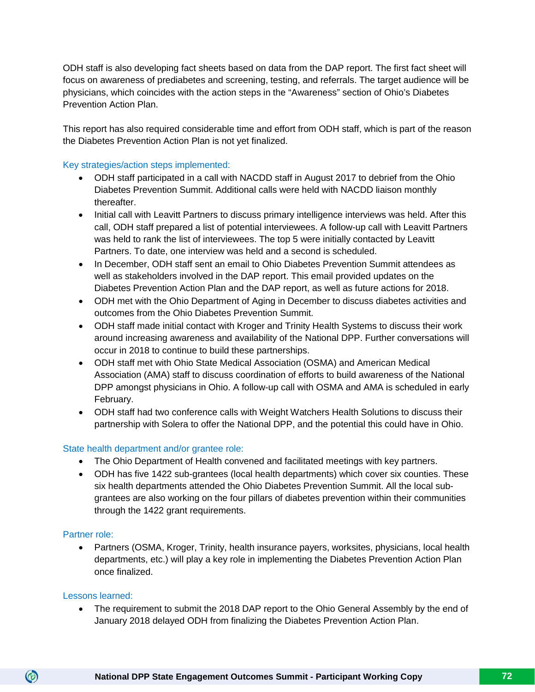ODH staff is also developing fact sheets based on data from the DAP report. The first fact sheet will focus on awareness of prediabetes and screening, testing, and referrals. The target audience will be physicians, which coincides with the action steps in the "Awareness" section of Ohio's Diabetes Prevention Action Plan.

This report has also required considerable time and effort from ODH staff, which is part of the reason the Diabetes Prevention Action Plan is not yet finalized.

#### Key strategies/action steps implemented:

- ODH staff participated in a call with NACDD staff in August 2017 to debrief from the Ohio Diabetes Prevention Summit. Additional calls were held with NACDD liaison monthly thereafter.
- Initial call with Leavitt Partners to discuss primary intelligence interviews was held. After this call, ODH staff prepared a list of potential interviewees. A follow-up call with Leavitt Partners was held to rank the list of interviewees. The top 5 were initially contacted by Leavitt Partners. To date, one interview was held and a second is scheduled.
- In December, ODH staff sent an email to Ohio Diabetes Prevention Summit attendees as well as stakeholders involved in the DAP report. This email provided updates on the Diabetes Prevention Action Plan and the DAP report, as well as future actions for 2018.
- ODH met with the Ohio Department of Aging in December to discuss diabetes activities and outcomes from the Ohio Diabetes Prevention Summit.
- ODH staff made initial contact with Kroger and Trinity Health Systems to discuss their work around increasing awareness and availability of the National DPP. Further conversations will occur in 2018 to continue to build these partnerships.
- ODH staff met with Ohio State Medical Association (OSMA) and American Medical Association (AMA) staff to discuss coordination of efforts to build awareness of the National DPP amongst physicians in Ohio. A follow-up call with OSMA and AMA is scheduled in early February.
- ODH staff had two conference calls with Weight Watchers Health Solutions to discuss their partnership with Solera to offer the National DPP, and the potential this could have in Ohio.

#### State health department and/or grantee role:

- The Ohio Department of Health convened and facilitated meetings with key partners.
- ODH has five 1422 sub-grantees (local health departments) which cover six counties. These six health departments attended the Ohio Diabetes Prevention Summit. All the local subgrantees are also working on the four pillars of diabetes prevention within their communities through the 1422 grant requirements.

#### Partner role:

• Partners (OSMA, Kroger, Trinity, health insurance payers, worksites, physicians, local health departments, etc.) will play a key role in implementing the Diabetes Prevention Action Plan once finalized.

#### Lessons learned:

 $\circledcirc$ 

• The requirement to submit the 2018 DAP report to the Ohio General Assembly by the end of January 2018 delayed ODH from finalizing the Diabetes Prevention Action Plan.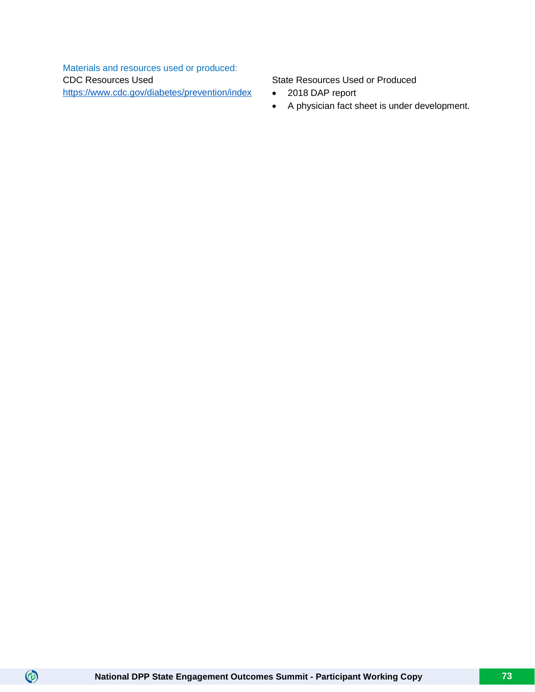Materials and resources used or produced: CDC Resources Used <https://www.cdc.gov/diabetes/prevention/index>

State Resources Used or Produced

- 2018 DAP report
- A physician fact sheet is under development.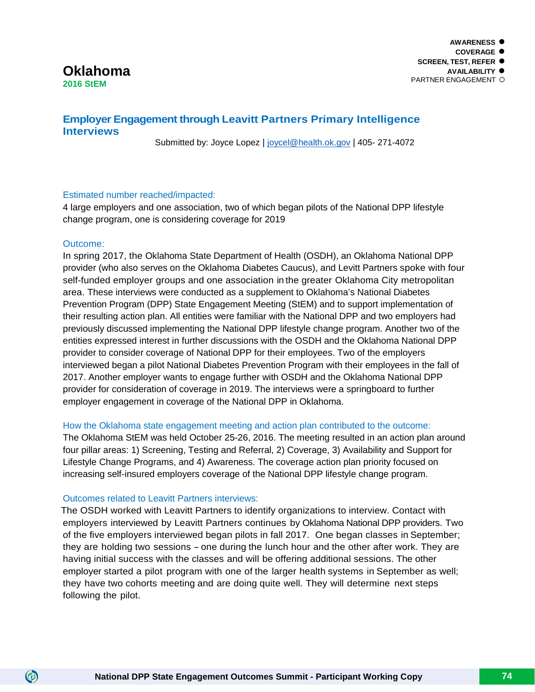# **Oklahoma 2016 StEM**

# **Employer Engagement through Leavitt Partners Primary Intelligence Interviews**

Submitted by: Joyce Lopez | [joycel@health.ok.gov](mailto:joycel@health.ok.gov) | 405- 271-4072

# Estimated number reached/impacted:

4 large employers and one association, two of which began pilots of the National DPP lifestyle change program, one is considering coverage for 2019

# Outcome:

 $\circledcirc$ 

In spring 2017, the Oklahoma State Department of Health (OSDH), an Oklahoma National DPP provider (who also serves on the Oklahoma Diabetes Caucus), and Levitt Partners spoke with four self-funded employer groups and one association in the greater Oklahoma City metropolitan area. These interviews were conducted as a supplement to Oklahoma's National Diabetes Prevention Program (DPP) State Engagement Meeting (StEM) and to support implementation of their resulting action plan. All entities were familiar with the National DPP and two employers had previously discussed implementing the National DPP lifestyle change program. Another two of the entities expressed interest in further discussions with the OSDH and the Oklahoma National DPP provider to consider coverage of National DPP for their employees. Two of the employers interviewed began a pilot National Diabetes Prevention Program with their employees in the fall of 2017. Another employer wants to engage further with OSDH and the Oklahoma National DPP provider for consideration of coverage in 2019. The interviews were a springboard to further employer engagement in coverage of the National DPP in Oklahoma.

# How the Oklahoma state engagement meeting and action plan contributed to the outcome:

The Oklahoma StEM was held October 25-26, 2016. The meeting resulted in an action plan around four pillar areas: 1) Screening, Testing and Referral, 2) Coverage, 3) Availability and Support for Lifestyle Change Programs, and 4) Awareness. The coverage action plan priority focused on increasing self-insured employers coverage of the National DPP lifestyle change program.

# Outcomes related to Leavitt Partners interviews:

The OSDH worked with Leavitt Partners to identify organizations to interview. Contact with employers interviewed by Leavitt Partners continues by Oklahoma National DPP providers. Two of the five employers interviewed began pilots in fall 2017. One began classes in September; they are holding two sessions - one during the lunch hour and the other after work. They are having initial success with the classes and will be offering additional sessions. The other employer started a pilot program with one of the larger health systems in September as well; they have two cohorts meeting and are doing quite well. They will determine next steps following the pilot.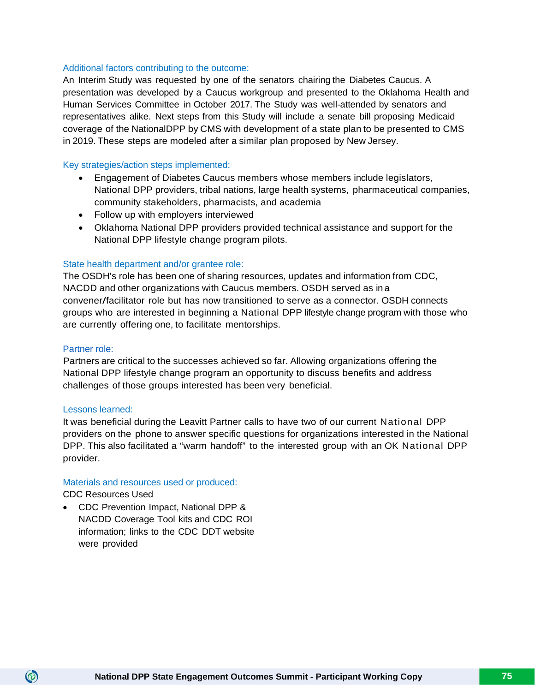# Additional factors contributing to the outcome:

An Interim Study was requested by one of the senators chairing the Diabetes Caucus. A presentation was developed by a Caucus workgroup and presented to the Oklahoma Health and Human Services Committee in October 2017. The Study was well-attended by senators and representatives alike. Next steps from this Study will include a senate bill proposing Medicaid coverage of the NationalDPP by CMS with development of a state plan to be presented to CMS in 2019. These steps are modeled after a similar plan proposed by New Jersey.

# Key strategies/action steps implemented:

- Engagement of Diabetes Caucus members whose members include legislators, National DPP providers, tribal nations, large health systems, pharmaceutical companies, community stakeholders, pharmacists, and academia
- Follow up with employers interviewed
- Oklahoma National DPP providers provided technical assistance and support for the National DPP lifestyle change program pilots.

# State health department and/or grantee role:

The OSDH's role has been one of sharing resources, updates and information from CDC, NACDD and other organizations with Caucus members. OSDH served as in a convener/facilitator role but has now transitioned to serve as a connector. OSDH connects groups who are interested in beginning a National DPP lifestyle change program with those who are currently offering one, to facilitate mentorships.

# Partner role:

Partners are critical to the successes achieved so far. Allowing organizations offering the National DPP lifestyle change program an opportunity to discuss benefits and address challenges of those groups interested has been very beneficial.

# Lessons learned:

It was beneficial during the Leavitt Partner calls to have two of our current National DPP providers on the phone to answer specific questions for organizations interested in the National DPP. This also facilitated a "warm handoff" to the interested group with an OK National DPP provider.

# Materials and resources used or produced:

CDC Resources Used

 $\circledcirc$ 

• CDC Prevention Impact, National DPP & NACDD Coverage Tool kits and CDC ROI information; links to the CDC DDT website were provided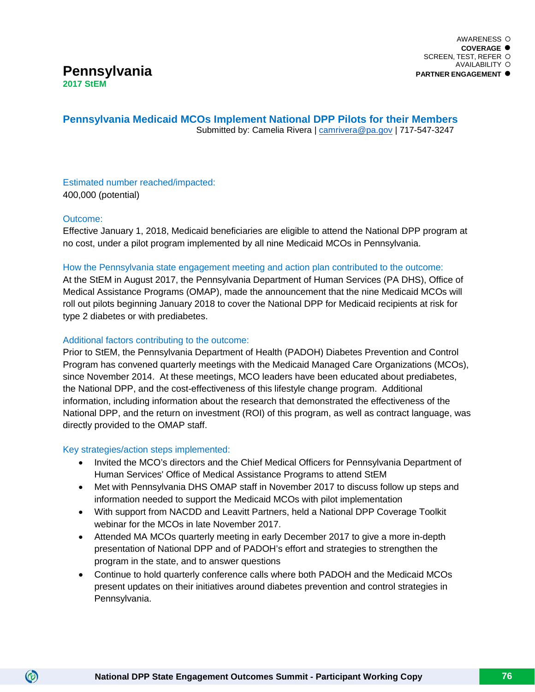# **Pennsylvania Medicaid MCOs Implement National DPP Pilots for their Members** Submitted by: Camelia Rivera | [camrivera@pa.gov](mailto:camrivera@pa.gov) | 717-547-3247

Estimated number reached/impacted: 400,000 (potential)

# Outcome:

 $\circledcirc$ 

Effective January 1, 2018, Medicaid beneficiaries are eligible to attend the National DPP program at no cost, under a pilot program implemented by all nine Medicaid MCOs in Pennsylvania.

# How the Pennsylvania state engagement meeting and action plan contributed to the outcome:

At the StEM in August 2017, the Pennsylvania Department of Human Services (PA DHS), Office of Medical Assistance Programs (OMAP), made the announcement that the nine Medicaid MCOs will roll out pilots beginning January 2018 to cover the National DPP for Medicaid recipients at risk for type 2 diabetes or with prediabetes.

# Additional factors contributing to the outcome:

Prior to StEM, the Pennsylvania Department of Health (PADOH) Diabetes Prevention and Control Program has convened quarterly meetings with the Medicaid Managed Care Organizations (MCOs), since November 2014. At these meetings, MCO leaders have been educated about prediabetes, the National DPP, and the cost-effectiveness of this lifestyle change program. Additional information, including information about the research that demonstrated the effectiveness of the National DPP, and the return on investment (ROI) of this program, as well as contract language, was directly provided to the OMAP staff.

# Key strategies/action steps implemented:

- Invited the MCO's directors and the Chief Medical Officers for Pennsylvania Department of Human Services' Office of Medical Assistance Programs to attend StEM
- Met with Pennsylvania DHS OMAP staff in November 2017 to discuss follow up steps and information needed to support the Medicaid MCOs with pilot implementation
- With support from NACDD and Leavitt Partners, held a National DPP Coverage Toolkit webinar for the MCOs in late November 2017.
- Attended MA MCOs quarterly meeting in early December 2017 to give a more in-depth presentation of National DPP and of PADOH's effort and strategies to strengthen the program in the state, and to answer questions
- Continue to hold quarterly conference calls where both PADOH and the Medicaid MCOs present updates on their initiatives around diabetes prevention and control strategies in Pennsylvania.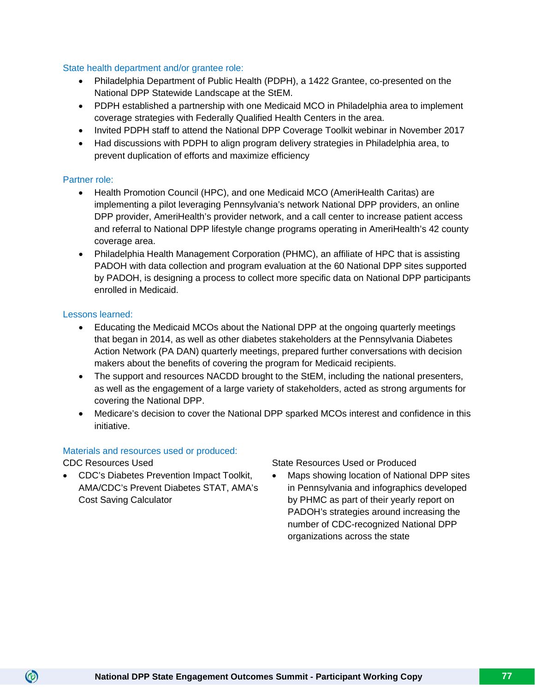# State health department and/or grantee role:

- Philadelphia Department of Public Health (PDPH), a 1422 Grantee, co-presented on the National DPP Statewide Landscape at the StEM.
- PDPH established a partnership with one Medicaid MCO in Philadelphia area to implement coverage strategies with Federally Qualified Health Centers in the area.
- Invited PDPH staff to attend the National DPP Coverage Toolkit webinar in November 2017
- Had discussions with PDPH to align program delivery strategies in Philadelphia area, to prevent duplication of efforts and maximize efficiency

# Partner role:

- Health Promotion Council (HPC), and one Medicaid MCO (AmeriHealth Caritas) are implementing a pilot leveraging Pennsylvania's network National DPP providers, an online DPP provider, AmeriHealth's provider network, and a call center to increase patient access and referral to National DPP lifestyle change programs operating in AmeriHealth's 42 county coverage area.
- Philadelphia Health Management Corporation (PHMC), an affiliate of HPC that is assisting PADOH with data collection and program evaluation at the 60 National DPP sites supported by PADOH, is designing a process to collect more specific data on National DPP participants enrolled in Medicaid.

# Lessons learned:

- Educating the Medicaid MCOs about the National DPP at the ongoing quarterly meetings that began in 2014, as well as other diabetes stakeholders at the Pennsylvania Diabetes Action Network (PA DAN) quarterly meetings, prepared further conversations with decision makers about the benefits of covering the program for Medicaid recipients.
- The support and resources NACDD brought to the StEM, including the national presenters, as well as the engagement of a large variety of stakeholders, acted as strong arguments for covering the National DPP.
- Medicare's decision to cover the National DPP sparked MCOs interest and confidence in this initiative.

# Materials and resources used or produced:

CDC Resources Used

 $\circledcirc$ 

• CDC's Diabetes Prevention Impact Toolkit, AMA/CDC's Prevent Diabetes STAT, AMA's Cost Saving Calculator

State Resources Used or Produced

• Maps showing location of National DPP sites in Pennsylvania and infographics developed by PHMC as part of their yearly report on PADOH's strategies around increasing the number of CDC-recognized National DPP organizations across the state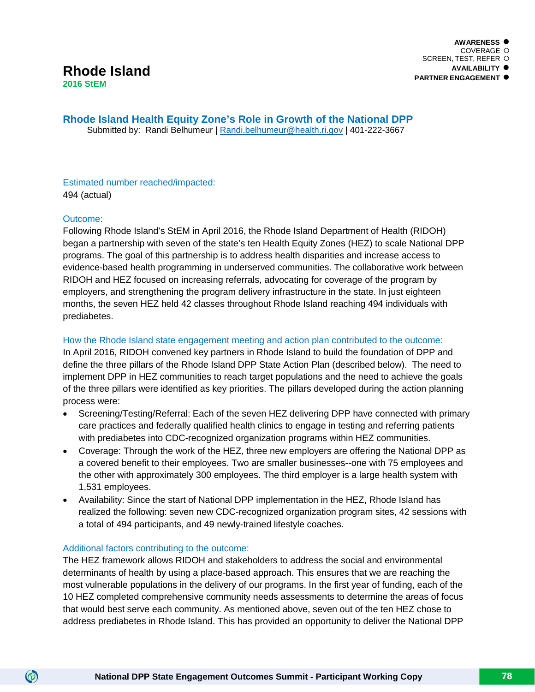**Rhode Island Health Equity Zone's Role in Growth of the National DPP** Submitted by: Randi Belhumeur | [Randi.belhumeur@health.ri.gov](mailto:Randi.belhumeur@health.ri.gov) | 401-222-3667

# Estimated number reached/impacted: 494 (actual)

# Outcome:

 $\circledcirc$ 

Following Rhode Island's StEM in April 2016, the Rhode Island Department of Health (RIDOH) began a partnership with seven of the state's ten Health Equity Zones (HEZ) to scale National DPP programs. The goal of this partnership is to address health disparities and increase access to evidence-based health programming in underserved communities. The collaborative work between RIDOH and HEZ focused on increasing referrals, advocating for coverage of the program by employers, and strengthening the program delivery infrastructure in the state. In just eighteen months, the seven HEZ held 42 classes throughout Rhode Island reaching 494 individuals with prediabetes.

# How the Rhode Island state engagement meeting and action plan contributed to the outcome:

In April 2016, RIDOH convened key partners in Rhode Island to build the foundation of DPP and define the three pillars of the Rhode Island DPP State Action Plan (described below). The need to implement DPP in HEZ communities to reach target populations and the need to achieve the goals of the three pillars were identified as key priorities. The pillars developed during the action planning process were:

- Screening/Testing/Referral: Each of the seven HEZ delivering DPP have connected with primary care practices and federally qualified health clinics to engage in testing and referring patients with prediabetes into CDC-recognized organization programs within HEZ communities.
- Coverage: Through the work of the HEZ, three new employers are offering the National DPP as a covered benefit to their employees. Two are smaller businesses--one with 75 employees and the other with approximately 300 employees. The third employer is a large health system with 1,531 employees.
- Availability: Since the start of National DPP implementation in the HEZ, Rhode Island has realized the following: seven new CDC-recognized organization program sites, 42 sessions with a total of 494 participants, and 49 newly-trained lifestyle coaches.

# Additional factors contributing to the outcome:

The HEZ framework allows RIDOH and stakeholders to address the social and environmental determinants of health by using a place-based approach. This ensures that we are reaching the most vulnerable populations in the delivery of our programs. In the first year of funding, each of the 10 HEZ completed comprehensive community needs assessments to determine the areas of focus that would best serve each community. As mentioned above, seven out of the ten HEZ chose to address prediabetes in Rhode Island. This has provided an opportunity to deliver the National DPP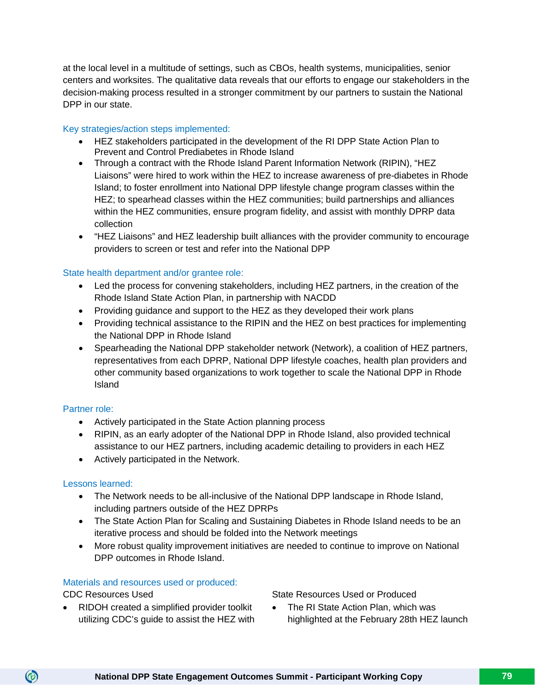at the local level in a multitude of settings, such as CBOs, health systems, municipalities, senior centers and worksites. The qualitative data reveals that our efforts to engage our stakeholders in the decision-making process resulted in a stronger commitment by our partners to sustain the National DPP in our state.

# Key strategies/action steps implemented:

- HEZ stakeholders participated in the development of the RI DPP State Action Plan to Prevent and Control Prediabetes in Rhode Island
- Through a contract with the Rhode Island Parent Information Network (RIPIN), "HEZ Liaisons" were hired to work within the HEZ to increase awareness of pre-diabetes in Rhode Island; to foster enrollment into National DPP lifestyle change program classes within the HEZ; to spearhead classes within the HEZ communities; build partnerships and alliances within the HEZ communities, ensure program fidelity, and assist with monthly DPRP data collection
- "HEZ Liaisons" and HEZ leadership built alliances with the provider community to encourage providers to screen or test and refer into the National DPP

# State health department and/or grantee role:

- Led the process for convening stakeholders, including HEZ partners, in the creation of the Rhode Island State Action Plan, in partnership with NACDD
- Providing guidance and support to the HEZ as they developed their work plans
- Providing technical assistance to the RIPIN and the HEZ on best practices for implementing the National DPP in Rhode Island
- Spearheading the National DPP stakeholder network (Network), a coalition of HEZ partners, representatives from each DPRP, National DPP lifestyle coaches, health plan providers and other community based organizations to work together to scale the National DPP in Rhode Island

# Partner role:

- Actively participated in the State Action planning process
- RIPIN, as an early adopter of the National DPP in Rhode Island, also provided technical assistance to our HEZ partners, including academic detailing to providers in each HEZ
- Actively participated in the Network.

# Lessons learned:

- The Network needs to be all-inclusive of the National DPP landscape in Rhode Island, including partners outside of the HEZ DPRPs
- The State Action Plan for Scaling and Sustaining Diabetes in Rhode Island needs to be an iterative process and should be folded into the Network meetings
- More robust quality improvement initiatives are needed to continue to improve on National DPP outcomes in Rhode Island.

# Materials and resources used or produced:

CDC Resources Used

 $\circledcirc$ 

• RIDOH created a simplified provider toolkit utilizing CDC's guide to assist the HEZ with State Resources Used or Produced

• The RI State Action Plan, which was highlighted at the February 28th HEZ launch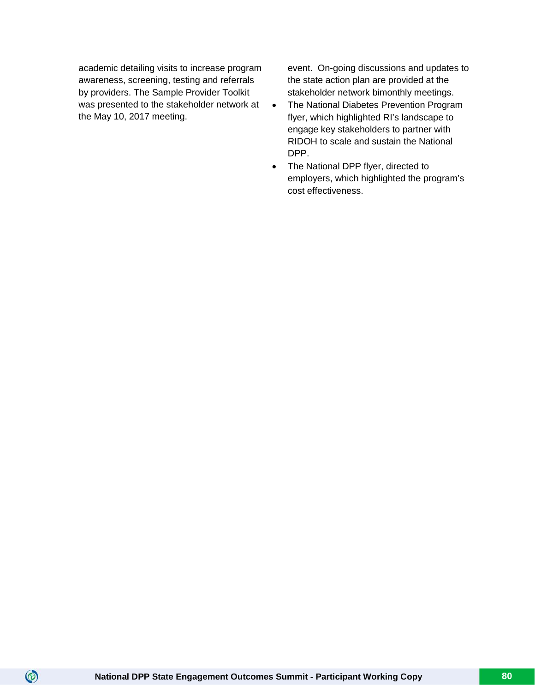academic detailing visits to increase program awareness, screening, testing and referrals by providers. The Sample Provider Toolkit was presented to the stakeholder network at the May 10, 2017 meeting.

event. On-going discussions and updates to the state action plan are provided at the stakeholder network bimonthly meetings.

- The National Diabetes Prevention Program flyer, which highlighted RI's landscape to engage key stakeholders to partner with RIDOH to scale and sustain the National DPP.
- The National DPP flyer, directed to employers, which highlighted the program's cost effectiveness.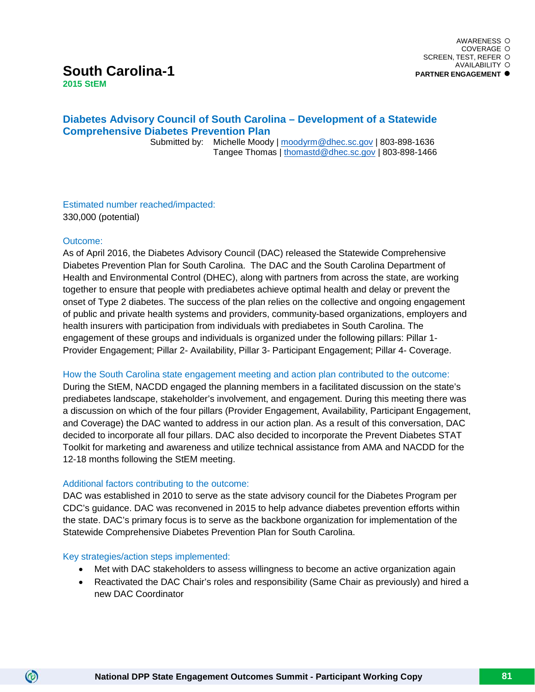# **South Carolina-1**

**2015 StEM**

# **Diabetes Advisory Council of South Carolina – Development of a Statewide Comprehensive Diabetes Prevention Plan**

 Submitted by: Michelle Moody | [moodyrm@dhec.sc.gov](mailto:moodyrm@dhec.sc.gov) | 803-898-1636 Tangee Thomas | [thomastd@dhec.sc.gov](mailto:thomastd@dhec.sc.gov) | 803-898-1466

Estimated number reached/impacted: 330,000 (potential)

# Outcome:

 $\circledcirc$ 

As of April 2016, the Diabetes Advisory Council (DAC) released the Statewide Comprehensive Diabetes Prevention Plan for South Carolina. The DAC and the South Carolina Department of Health and Environmental Control (DHEC), along with partners from across the state, are working together to ensure that people with prediabetes achieve optimal health and delay or prevent the onset of Type 2 diabetes. The success of the plan relies on the collective and ongoing engagement of public and private health systems and providers, community-based organizations, employers and health insurers with participation from individuals with prediabetes in South Carolina. The engagement of these groups and individuals is organized under the following pillars: Pillar 1- Provider Engagement; Pillar 2- Availability, Pillar 3- Participant Engagement; Pillar 4- Coverage.

# How the South Carolina state engagement meeting and action plan contributed to the outcome:

During the StEM, NACDD engaged the planning members in a facilitated discussion on the state's prediabetes landscape, stakeholder's involvement, and engagement. During this meeting there was a discussion on which of the four pillars (Provider Engagement, Availability, Participant Engagement, and Coverage) the DAC wanted to address in our action plan. As a result of this conversation, DAC decided to incorporate all four pillars. DAC also decided to incorporate the Prevent Diabetes STAT Toolkit for marketing and awareness and utilize technical assistance from AMA and NACDD for the 12-18 months following the StEM meeting.

# Additional factors contributing to the outcome:

DAC was established in 2010 to serve as the state advisory council for the Diabetes Program per CDC's guidance. DAC was reconvened in 2015 to help advance diabetes prevention efforts within the state. DAC's primary focus is to serve as the backbone organization for implementation of the Statewide Comprehensive Diabetes Prevention Plan for South Carolina.

# Key strategies/action steps implemented:

- Met with DAC stakeholders to assess willingness to become an active organization again
- Reactivated the DAC Chair's roles and responsibility (Same Chair as previously) and hired a new DAC Coordinator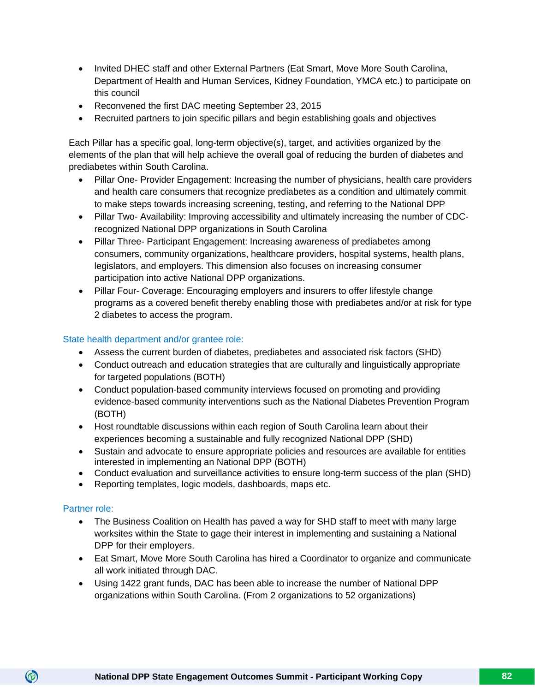- Invited DHEC staff and other External Partners (Eat Smart, Move More South Carolina, Department of Health and Human Services, Kidney Foundation, YMCA etc.) to participate on this council
- Reconvened the first DAC meeting September 23, 2015
- Recruited partners to join specific pillars and begin establishing goals and objectives

Each Pillar has a specific goal, long-term objective(s), target, and activities organized by the elements of the plan that will help achieve the overall goal of reducing the burden of diabetes and prediabetes within South Carolina.

- Pillar One- Provider Engagement: Increasing the number of physicians, health care providers and health care consumers that recognize prediabetes as a condition and ultimately commit to make steps towards increasing screening, testing, and referring to the National DPP
- Pillar Two- Availability: Improving accessibility and ultimately increasing the number of CDCrecognized National DPP organizations in South Carolina
- Pillar Three- Participant Engagement: Increasing awareness of prediabetes among consumers, community organizations, healthcare providers, hospital systems, health plans, legislators, and employers. This dimension also focuses on increasing consumer participation into active National DPP organizations.
- Pillar Four- Coverage: Encouraging employers and insurers to offer lifestyle change programs as a covered benefit thereby enabling those with prediabetes and/or at risk for type 2 diabetes to access the program.

# State health department and/or grantee role:

- Assess the current burden of diabetes, prediabetes and associated risk factors (SHD)
- Conduct outreach and education strategies that are culturally and linguistically appropriate for targeted populations (BOTH)
- Conduct population-based community interviews focused on promoting and providing evidence-based community interventions such as the National Diabetes Prevention Program (BOTH)
- Host roundtable discussions within each region of South Carolina learn about their experiences becoming a sustainable and fully recognized National DPP (SHD)
- Sustain and advocate to ensure appropriate policies and resources are available for entities interested in implementing an National DPP (BOTH)
- Conduct evaluation and surveillance activities to ensure long-term success of the plan (SHD)
- Reporting templates, logic models, dashboards, maps etc.

# Partner role:

- The Business Coalition on Health has paved a way for SHD staff to meet with many large worksites within the State to gage their interest in implementing and sustaining a National DPP for their employers.
- Eat Smart, Move More South Carolina has hired a Coordinator to organize and communicate all work initiated through DAC.
- Using 1422 grant funds, DAC has been able to increase the number of National DPP organizations within South Carolina. (From 2 organizations to 52 organizations)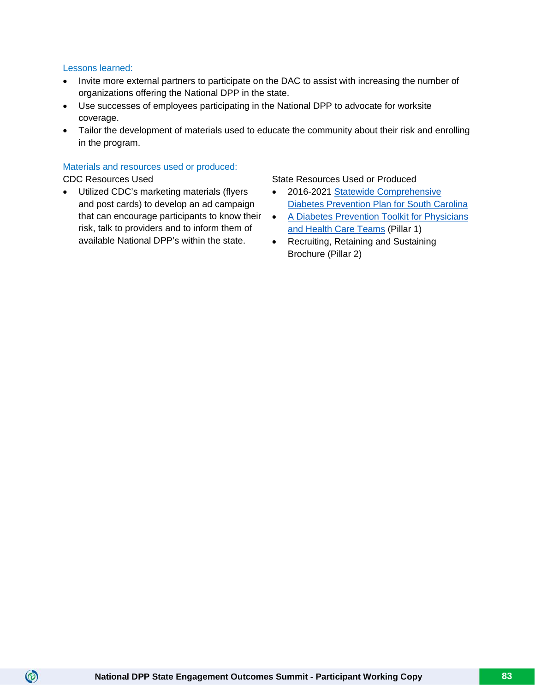# Lessons learned:

- Invite more external partners to participate on the DAC to assist with increasing the number of organizations offering the National DPP in the state.
- Use successes of employees participating in the National DPP to advocate for worksite coverage.
- Tailor the development of materials used to educate the community about their risk and enrolling in the program.

# Materials and resources used or produced:

 $\circledcirc$ 

• Utilized CDC's marketing materials (flyers and post cards) to develop an ad campaign that can encourage participants to know their risk, talk to providers and to inform them of available National DPP's within the state.

# CDC Resources Used State Resources Used State Resources Used or Produced

- 2016-2021 [Statewide Comprehensive](http://eatsmartmovemoresc.org/wp-content/uploads/2013/04/Web-Version-2016-2021-Statewide-Comprehensive-Diabetes-Prevention-Plan.pdf)  [Diabetes Prevention Plan for South Carolina](http://eatsmartmovemoresc.org/wp-content/uploads/2013/04/Web-Version-2016-2021-Statewide-Comprehensive-Diabetes-Prevention-Plan.pdf)
- [A Diabetes Prevention Toolkit for Physicians](http://dactoolkit.org/)  [and Health Care Teams](http://dactoolkit.org/) (Pillar 1)
- Recruiting, Retaining and Sustaining Brochure (Pillar 2)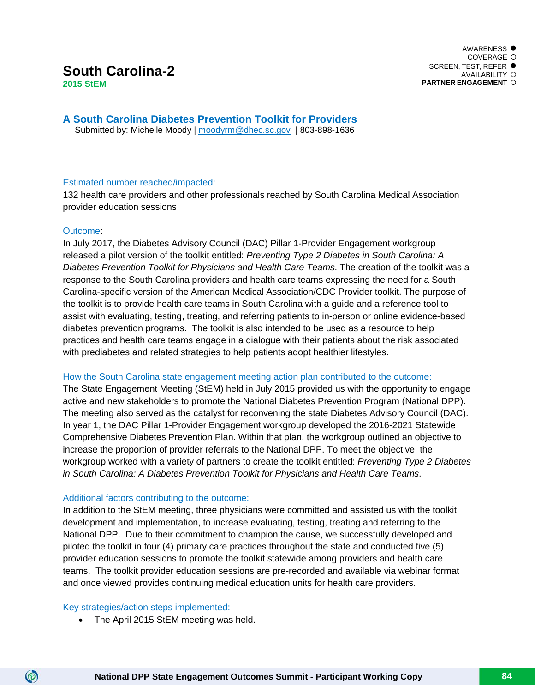# **South Carolina-2**

**2015 StEM**

**A South Carolina Diabetes Prevention Toolkit for Providers** Submitted by: Michelle Moody | [moodyrm@dhec.sc.gov](mailto:moodyrm@dhec.sc.gov) | 803-898-1636

# Estimated number reached/impacted:

132 health care providers and other professionals reached by South Carolina Medical Association provider education sessions

# Outcome:

In July 2017, the Diabetes Advisory Council (DAC) Pillar 1-Provider Engagement workgroup released a pilot version of the toolkit entitled: *Preventing Type 2 Diabetes in South Carolina: A Diabetes Prevention Toolkit for Physicians and Health Care Teams*. The creation of the toolkit was a response to the South Carolina providers and health care teams expressing the need for a South Carolina-specific version of the American Medical Association/CDC Provider toolkit. The purpose of the toolkit is to provide health care teams in South Carolina with a guide and a reference tool to assist with evaluating, testing, treating, and referring patients to in-person or online evidence-based diabetes prevention programs. The toolkit is also intended to be used as a resource to help practices and health care teams engage in a dialogue with their patients about the risk associated with prediabetes and related strategies to help patients adopt healthier lifestyles.

# How the South Carolina state engagement meeting action plan contributed to the outcome:

The State Engagement Meeting (StEM) held in July 2015 provided us with the opportunity to engage active and new stakeholders to promote the National Diabetes Prevention Program (National DPP). The meeting also served as the catalyst for reconvening the state Diabetes Advisory Council (DAC). In year 1, the DAC Pillar 1-Provider Engagement workgroup developed the 2016-2021 Statewide Comprehensive Diabetes Prevention Plan. Within that plan, the workgroup outlined an objective to increase the proportion of provider referrals to the National DPP. To meet the objective, the workgroup worked with a variety of partners to create the toolkit entitled: *Preventing Type 2 Diabetes in South Carolina: A Diabetes Prevention Toolkit for Physicians and Health Care Teams*.

# Additional factors contributing to the outcome:

In addition to the StEM meeting, three physicians were committed and assisted us with the toolkit development and implementation, to increase evaluating, testing, treating and referring to the National DPP. Due to their commitment to champion the cause, we successfully developed and piloted the toolkit in four (4) primary care practices throughout the state and conducted five (5) provider education sessions to promote the toolkit statewide among providers and health care teams. The toolkit provider education sessions are pre-recorded and available via webinar format and once viewed provides continuing medical education units for health care providers.

# Key strategies/action steps implemented:

(ම)

• The April 2015 StEM meeting was held.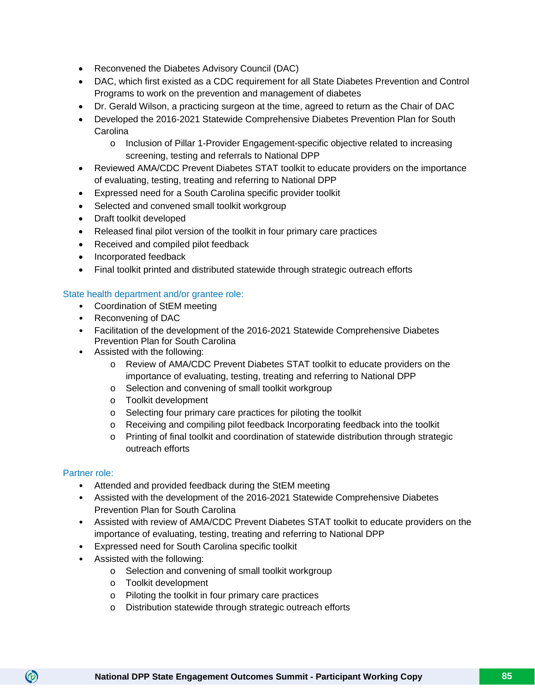- Reconvened the Diabetes Advisory Council (DAC)
- DAC, which first existed as a CDC requirement for all State Diabetes Prevention and Control Programs to work on the prevention and management of diabetes
- Dr. Gerald Wilson, a practicing surgeon at the time, agreed to return as the Chair of DAC
- Developed the 2016-2021 Statewide Comprehensive Diabetes Prevention Plan for South Carolina
	- o Inclusion of Pillar 1-Provider Engagement-specific objective related to increasing screening, testing and referrals to National DPP
- Reviewed AMA/CDC Prevent Diabetes STAT toolkit to educate providers on the importance of evaluating, testing, treating and referring to National DPP
- Expressed need for a South Carolina specific provider toolkit
- Selected and convened small toolkit workgroup
- Draft toolkit developed
- Released final pilot version of the toolkit in four primary care practices
- Received and compiled pilot feedback
- Incorporated feedback
- Final toolkit printed and distributed statewide through strategic outreach efforts

# State health department and/or grantee role:

- Coordination of StEM meeting
- Reconvening of DAC
- Facilitation of the development of the 2016-2021 Statewide Comprehensive Diabetes Prevention Plan for South Carolina
- Assisted with the following:
	- o Review of AMA/CDC Prevent Diabetes STAT toolkit to educate providers on the importance of evaluating, testing, treating and referring to National DPP
	- o Selection and convening of small toolkit workgroup
	- o Toolkit development
	- o Selecting four primary care practices for piloting the toolkit
	- o Receiving and compiling pilot feedback Incorporating feedback into the toolkit
	- o Printing of final toolkit and coordination of statewide distribution through strategic outreach efforts

# Partner role:

- Attended and provided feedback during the StEM meeting
- Assisted with the development of the 2016-2021 Statewide Comprehensive Diabetes Prevention Plan for South Carolina
- Assisted with review of AMA/CDC Prevent Diabetes STAT toolkit to educate providers on the importance of evaluating, testing, treating and referring to National DPP
- Expressed need for South Carolina specific toolkit
- Assisted with the following:
	- o Selection and convening of small toolkit workgroup
	- o Toolkit development
	- o Piloting the toolkit in four primary care practices
	- o Distribution statewide through strategic outreach efforts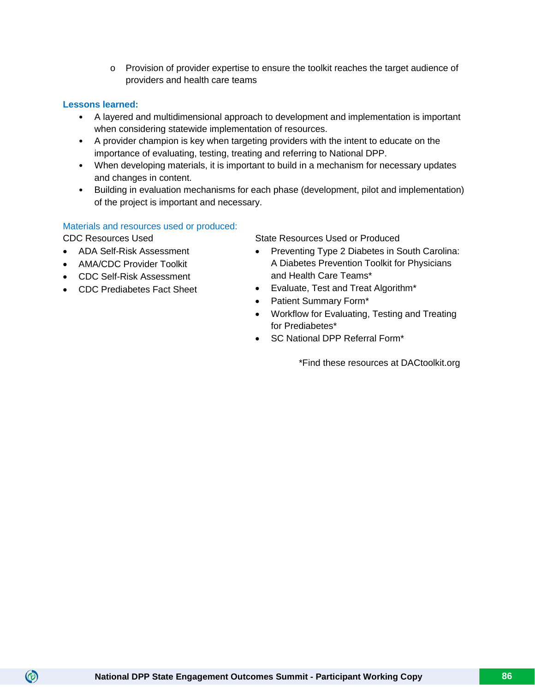o Provision of provider expertise to ensure the toolkit reaches the target audience of providers and health care teams

# **Lessons learned:**

- A layered and multidimensional approach to development and implementation is important when considering statewide implementation of resources.
- A provider champion is key when targeting providers with the intent to educate on the importance of evaluating, testing, treating and referring to National DPP.
- When developing materials, it is important to build in a mechanism for necessary updates and changes in content.
- Building in evaluation mechanisms for each phase (development, pilot and implementation) of the project is important and necessary.

# Materials and resources used or produced:

 $\circledcirc$ 

- ADA Self-Risk Assessment
- AMA/CDC Provider Toolkit
- CDC Self-Risk Assessment
- CDC Prediabetes Fact Sheet

CDC Resources Used State Resources Used or Produced

- Preventing Type 2 Diabetes in South Carolina: A Diabetes Prevention Toolkit for Physicians and Health Care Teams\*
- Evaluate, Test and Treat Algorithm\*
- Patient Summary Form\*
- Workflow for Evaluating, Testing and Treating for Prediabetes\*
- SC National DPP Referral Form\*

\*Find these resources at DACtoolkit.org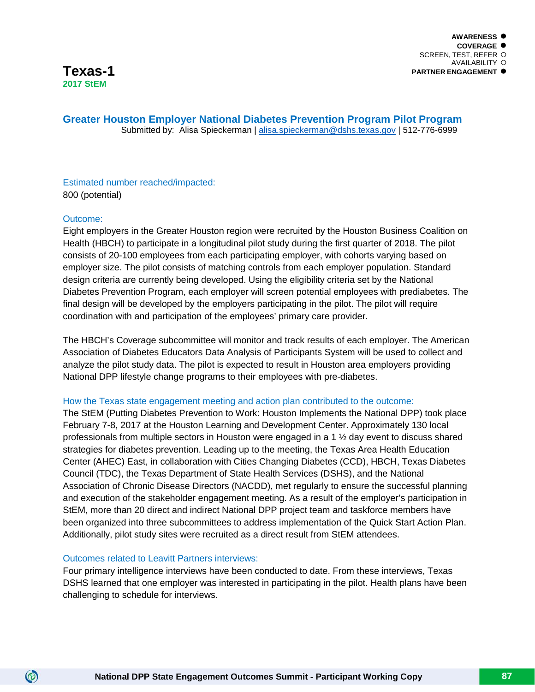**Greater Houston Employer National Diabetes Prevention Program Pilot Program** Submitted by: Alisa Spieckerman | [alisa.spieckerman@dshs.texas.gov](mailto:alisa.spieckerman@dshs.texas.gov) | 512-776-6999

# Estimated number reached/impacted: 800 (potential)

# Outcome:

 $\circledcirc$ 

Eight employers in the Greater Houston region were recruited by the Houston Business Coalition on Health (HBCH) to participate in a longitudinal pilot study during the first quarter of 2018. The pilot consists of 20-100 employees from each participating employer, with cohorts varying based on employer size. The pilot consists of matching controls from each employer population. Standard design criteria are currently being developed. Using the eligibility criteria set by the National Diabetes Prevention Program, each employer will screen potential employees with prediabetes. The final design will be developed by the employers participating in the pilot. The pilot will require coordination with and participation of the employees' primary care provider.

The HBCH's Coverage subcommittee will monitor and track results of each employer. The American Association of Diabetes Educators Data Analysis of Participants System will be used to collect and analyze the pilot study data. The pilot is expected to result in Houston area employers providing National DPP lifestyle change programs to their employees with pre-diabetes.

# How the Texas state engagement meeting and action plan contributed to the outcome:

The StEM (Putting Diabetes Prevention to Work: Houston Implements the National DPP) took place February 7-8, 2017 at the Houston Learning and Development Center. Approximately 130 local professionals from multiple sectors in Houston were engaged in a 1 ½ day event to discuss shared strategies for diabetes prevention. Leading up to the meeting, the Texas Area Health Education Center (AHEC) East, in collaboration with Cities Changing Diabetes (CCD), HBCH, Texas Diabetes Council (TDC), the Texas Department of State Health Services (DSHS), and the National Association of Chronic Disease Directors (NACDD), met regularly to ensure the successful planning and execution of the stakeholder engagement meeting. As a result of the employer's participation in StEM, more than 20 direct and indirect National DPP project team and taskforce members have been organized into three subcommittees to address implementation of the Quick Start Action Plan. Additionally, pilot study sites were recruited as a direct result from StEM attendees.

# Outcomes related to Leavitt Partners interviews:

Four primary intelligence interviews have been conducted to date. From these interviews, Texas DSHS learned that one employer was interested in participating in the pilot. Health plans have been challenging to schedule for interviews.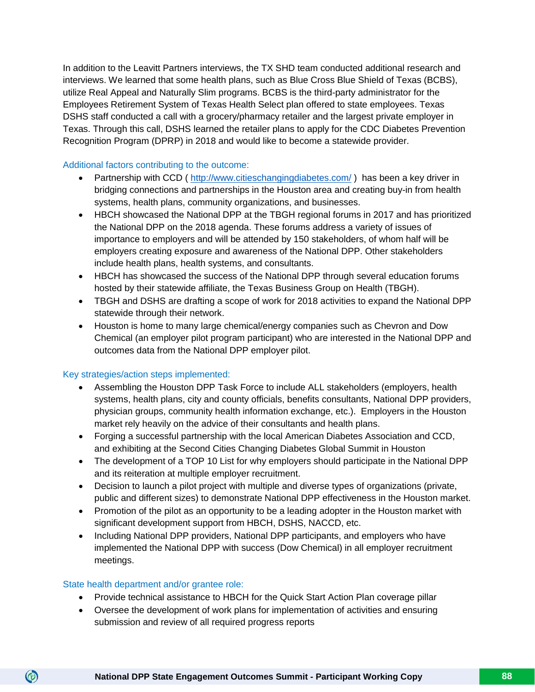In addition to the Leavitt Partners interviews, the TX SHD team conducted additional research and interviews. We learned that some health plans, such as Blue Cross Blue Shield of Texas (BCBS), utilize Real Appeal and Naturally Slim programs. BCBS is the third-party administrator for the Employees Retirement System of Texas Health Select plan offered to state employees. Texas DSHS staff conducted a call with a grocery/pharmacy retailer and the largest private employer in Texas. Through this call, DSHS learned the retailer plans to apply for the CDC Diabetes Prevention Recognition Program (DPRP) in 2018 and would like to become a statewide provider.

# Additional factors contributing to the outcome:

- Partnership with CCD (http://www.citieschangingdiabetes.com/) has been a key driver in bridging connections and partnerships in the Houston area and creating buy-in from health systems, health plans, community organizations, and businesses.
- HBCH showcased the National DPP at the TBGH regional forums in 2017 and has prioritized the National DPP on the 2018 agenda. These forums address a variety of issues of importance to employers and will be attended by 150 stakeholders, of whom half will be employers creating exposure and awareness of the National DPP. Other stakeholders include health plans, health systems, and consultants.
- HBCH has showcased the success of the National DPP through several education forums hosted by their statewide affiliate, the Texas Business Group on Health (TBGH).
- TBGH and DSHS are drafting a scope of work for 2018 activities to expand the National DPP statewide through their network.
- Houston is home to many large chemical/energy companies such as Chevron and Dow Chemical (an employer pilot program participant) who are interested in the National DPP and outcomes data from the National DPP employer pilot.

# Key strategies/action steps implemented:

- Assembling the Houston DPP Task Force to include ALL stakeholders (employers, health systems, health plans, city and county officials, benefits consultants, National DPP providers, physician groups, community health information exchange, etc.). Employers in the Houston market rely heavily on the advice of their consultants and health plans.
- Forging a successful partnership with the local American Diabetes Association and CCD, and exhibiting at the Second Cities Changing Diabetes Global Summit in Houston
- The development of a TOP 10 List for why employers should participate in the National DPP and its reiteration at multiple employer recruitment.
- Decision to launch a pilot project with multiple and diverse types of organizations (private, public and different sizes) to demonstrate National DPP effectiveness in the Houston market.
- Promotion of the pilot as an opportunity to be a leading adopter in the Houston market with significant development support from HBCH, DSHS, NACCD, etc.
- Including National DPP providers, National DPP participants, and employers who have implemented the National DPP with success (Dow Chemical) in all employer recruitment meetings.

# State health department and/or grantee role:

- Provide technical assistance to HBCH for the Quick Start Action Plan coverage pillar
- Oversee the development of work plans for implementation of activities and ensuring submission and review of all required progress reports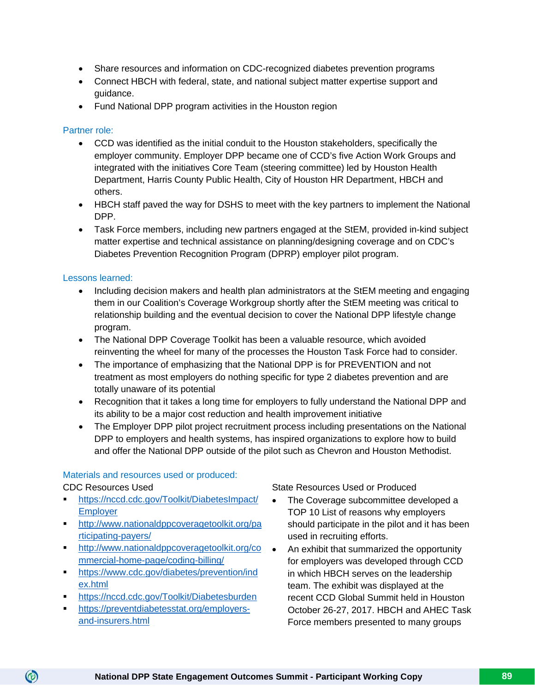- Share resources and information on CDC-recognized diabetes prevention programs
- Connect HBCH with federal, state, and national subject matter expertise support and guidance.
- Fund National DPP program activities in the Houston region

# Partner role:

- CCD was identified as the initial conduit to the Houston stakeholders, specifically the employer community. Employer DPP became one of CCD's five Action Work Groups and integrated with the initiatives Core Team (steering committee) led by Houston Health Department, Harris County Public Health, City of Houston HR Department, HBCH and others.
- HBCH staff paved the way for DSHS to meet with the key partners to implement the National DPP.
- Task Force members, including new partners engaged at the StEM, provided in-kind subject matter expertise and technical assistance on planning/designing coverage and on CDC's Diabetes Prevention Recognition Program (DPRP) employer pilot program.

# Lessons learned:

- Including decision makers and health plan administrators at the StEM meeting and engaging them in our Coalition's Coverage Workgroup shortly after the StEM meeting was critical to relationship building and the eventual decision to cover the National DPP lifestyle change program.
- The National DPP Coverage Toolkit has been a valuable resource, which avoided reinventing the wheel for many of the processes the Houston Task Force had to consider.
- The importance of emphasizing that the National DPP is for PREVENTION and not treatment as most employers do nothing specific for type 2 diabetes prevention and are totally unaware of its potential
- Recognition that it takes a long time for employers to fully understand the National DPP and its ability to be a major cost reduction and health improvement initiative
- The Employer DPP pilot project recruitment process including presentations on the National DPP to employers and health systems, has inspired organizations to explore how to build and offer the National DPP outside of the pilot such as Chevron and Houston Methodist.

# Materials and resources used or produced:

CDC Resources Used

 $\circledcirc$ 

- [https://nccd.cdc.gov/Toolkit/DiabetesImpact/](https://nccd.cdc.gov/Toolkit/DiabetesImpact/Employer) **[Employer](https://nccd.cdc.gov/Toolkit/DiabetesImpact/Employer)**
- **[http://www.nationaldppcoveragetoolkit.org/pa](http://www.nationaldppcoveragetoolkit.org/participating-payers/)** [rticipating-payers/](http://www.nationaldppcoveragetoolkit.org/participating-payers/)
- [http://www.nationaldppcoveragetoolkit.org/co](http://www.nationaldppcoveragetoolkit.org/commercial-home-page/coding-billing/) [mmercial-home-page/coding-billing/](http://www.nationaldppcoveragetoolkit.org/commercial-home-page/coding-billing/)
- **[https://www.cdc.gov/diabetes/prevention/ind](https://www.cdc.gov/diabetes/prevention/index.html)** [ex.html](https://www.cdc.gov/diabetes/prevention/index.html)
- <https://nccd.cdc.gov/Toolkit/Diabetesburden>
- [https://preventdiabetesstat.org/employers](https://preventdiabetesstat.org/employers-and-insurers.html)[and-insurers.html](https://preventdiabetesstat.org/employers-and-insurers.html)

State Resources Used or Produced

- The Coverage subcommittee developed a TOP 10 List of reasons why employers should participate in the pilot and it has been used in recruiting efforts.
- An exhibit that summarized the opportunity for employers was developed through CCD in which HBCH serves on the leadership team. The exhibit was displayed at the recent CCD Global Summit held in Houston October 26-27, 2017. HBCH and AHEC Task Force members presented to many groups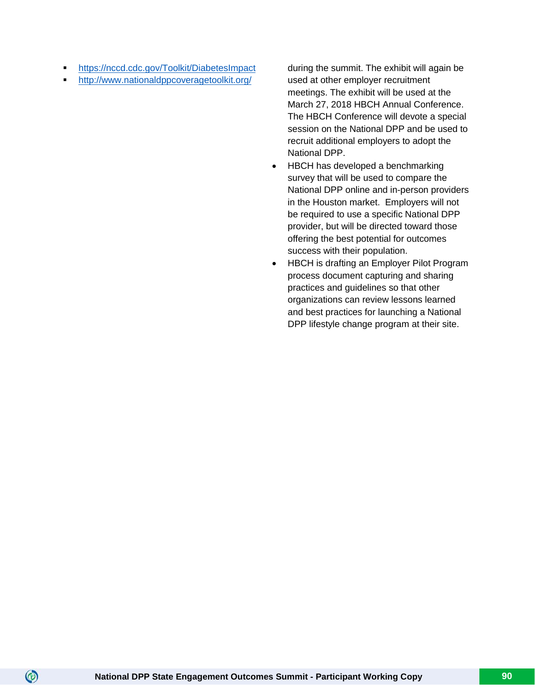- <https://nccd.cdc.gov/Toolkit/DiabetesImpact>
- <http://www.nationaldppcoveragetoolkit.org/>

during the summit. The exhibit will again be used at other employer recruitment meetings. The exhibit will be used at the March 27, 2018 HBCH Annual Conference. The HBCH Conference will devote a special session on the National DPP and be used to recruit additional employers to adopt the National DPP.

- HBCH has developed a benchmarking survey that will be used to compare the National DPP online and in-person providers in the Houston market. Employers will not be required to use a specific National DPP provider, but will be directed toward those offering the best potential for outcomes success with their population.
- HBCH is drafting an Employer Pilot Program process document capturing and sharing practices and guidelines so that other organizations can review lessons learned and best practices for launching a National DPP lifestyle change program at their site.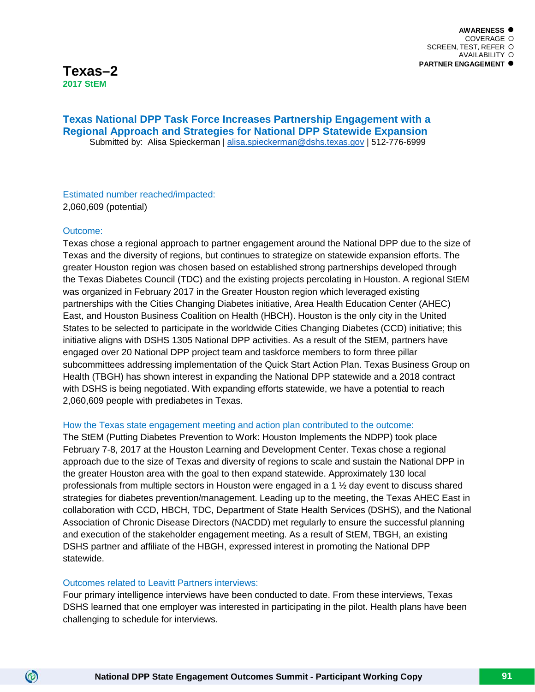# **Texas National DPP Task Force Increases Partnership Engagement with a Regional Approach and Strategies for National DPP Statewide Expansion** Submitted by: Alisa Spieckerman | [alisa.spieckerman@dshs.texas.gov](mailto:alisa.spieckerman@dshs.texas.gov) | 512-776-6999

Estimated number reached/impacted: 2,060,609 (potential)

# Outcome:

 $\circledcirc$ 

Texas chose a regional approach to partner engagement around the National DPP due to the size of Texas and the diversity of regions, but continues to strategize on statewide expansion efforts. The greater Houston region was chosen based on established strong partnerships developed through the Texas Diabetes Council (TDC) and the existing projects percolating in Houston. A regional StEM was organized in February 2017 in the Greater Houston region which leveraged existing partnerships with the Cities Changing Diabetes initiative, Area Health Education Center (AHEC) East, and Houston Business Coalition on Health (HBCH). Houston is the only city in the United States to be selected to participate in the worldwide Cities Changing Diabetes (CCD) initiative; this initiative aligns with DSHS 1305 National DPP activities. As a result of the StEM, partners have engaged over 20 National DPP project team and taskforce members to form three pillar subcommittees addressing implementation of the Quick Start Action Plan. Texas Business Group on Health (TBGH) has shown interest in expanding the National DPP statewide and a 2018 contract with DSHS is being negotiated. With expanding efforts statewide, we have a potential to reach 2,060,609 people with prediabetes in Texas.

# How the Texas state engagement meeting and action plan contributed to the outcome:

The StEM (Putting Diabetes Prevention to Work: Houston Implements the NDPP) took place February 7-8, 2017 at the Houston Learning and Development Center. Texas chose a regional approach due to the size of Texas and diversity of regions to scale and sustain the National DPP in the greater Houston area with the goal to then expand statewide. Approximately 130 local professionals from multiple sectors in Houston were engaged in a 1 ½ day event to discuss shared strategies for diabetes prevention/management. Leading up to the meeting, the Texas AHEC East in collaboration with CCD, HBCH, TDC, Department of State Health Services (DSHS), and the National Association of Chronic Disease Directors (NACDD) met regularly to ensure the successful planning and execution of the stakeholder engagement meeting. As a result of StEM, TBGH, an existing DSHS partner and affiliate of the HBGH, expressed interest in promoting the National DPP statewide.

# Outcomes related to Leavitt Partners interviews:

Four primary intelligence interviews have been conducted to date. From these interviews, Texas DSHS learned that one employer was interested in participating in the pilot. Health plans have been challenging to schedule for interviews.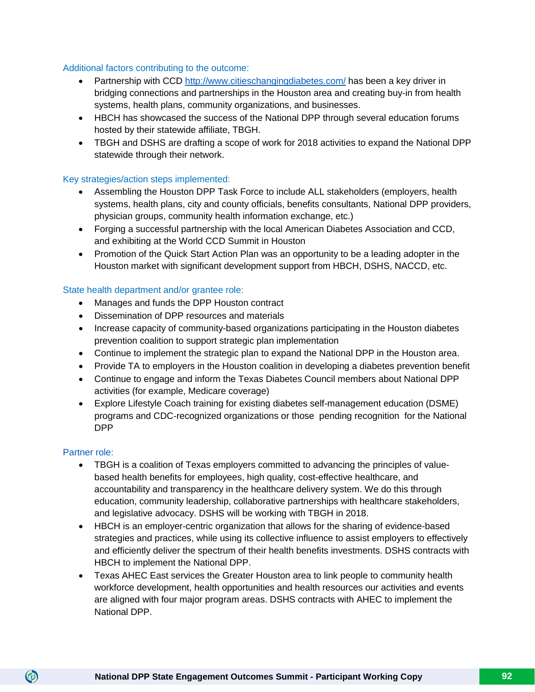# Additional factors contributing to the outcome:

- Partnership with CCD<http://www.citieschangingdiabetes.com/> has been a key driver in bridging connections and partnerships in the Houston area and creating buy-in from health systems, health plans, community organizations, and businesses.
- HBCH has showcased the success of the National DPP through several education forums hosted by their statewide affiliate, TBGH.
- TBGH and DSHS are drafting a scope of work for 2018 activities to expand the National DPP statewide through their network.

# Key strategies/action steps implemented:

- Assembling the Houston DPP Task Force to include ALL stakeholders (employers, health systems, health plans, city and county officials, benefits consultants, National DPP providers, physician groups, community health information exchange, etc.)
- Forging a successful partnership with the local American Diabetes Association and CCD, and exhibiting at the World CCD Summit in Houston
- Promotion of the Quick Start Action Plan was an opportunity to be a leading adopter in the Houston market with significant development support from HBCH, DSHS, NACCD, etc.

# State health department and/or grantee role:

- Manages and funds the DPP Houston contract
- Dissemination of DPP resources and materials
- Increase capacity of community-based organizations participating in the Houston diabetes prevention coalition to support strategic plan implementation
- Continue to implement the strategic plan to expand the National DPP in the Houston area.
- Provide TA to employers in the Houston coalition in developing a diabetes prevention benefit
- Continue to engage and inform the Texas Diabetes Council members about National DPP activities (for example, Medicare coverage)
- Explore Lifestyle Coach training for existing diabetes self-management education (DSME) programs and CDC-recognized organizations or those pending recognition for the National DPP

# Partner role:

- TBGH is a coalition of Texas employers committed to advancing the principles of valuebased health benefits for employees, high quality, cost-effective healthcare, and accountability and transparency in the healthcare delivery system. We do this through education, community leadership, collaborative partnerships with healthcare stakeholders, and legislative advocacy. DSHS will be working with TBGH in 2018.
- HBCH is an employer-centric organization that allows for the sharing of evidence-based strategies and practices, while using its collective influence to assist employers to effectively and efficiently deliver the spectrum of their health benefits investments. DSHS contracts with HBCH to implement the National DPP.
- Texas AHEC East services the Greater Houston area to link people to community health workforce development, health opportunities and health resources our activities and events are aligned with four major program areas. DSHS contracts with AHEC to implement the National DPP.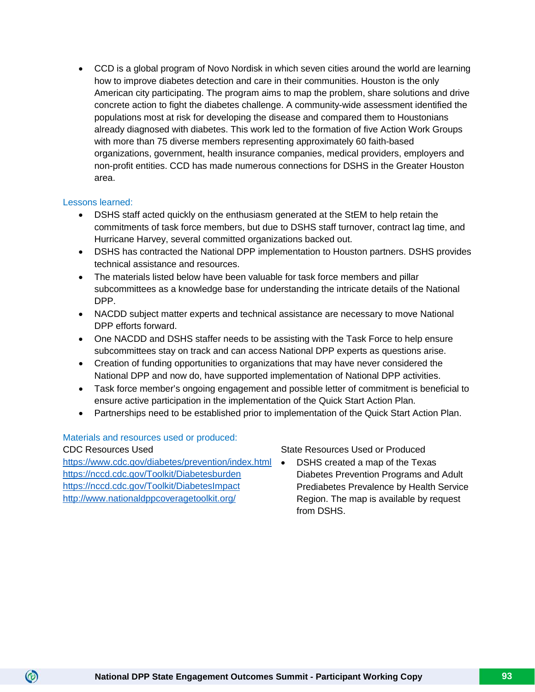• CCD is a global program of Novo Nordisk in which seven cities around the world are learning how to improve diabetes detection and care in their communities. Houston is the only American city participating. The program aims to map the problem, share solutions and drive concrete action to fight the diabetes challenge. A community-wide assessment identified the populations most at risk for developing the disease and compared them to Houstonians already diagnosed with diabetes. This work led to the formation of five Action Work Groups with more than 75 diverse members representing approximately 60 faith-based organizations, government, health insurance companies, medical providers, employers and non-profit entities. CCD has made numerous connections for DSHS in the Greater Houston area.

# Lessons learned:

- DSHS staff acted quickly on the enthusiasm generated at the StEM to help retain the commitments of task force members, but due to DSHS staff turnover, contract lag time, and Hurricane Harvey, several committed organizations backed out.
- DSHS has contracted the National DPP implementation to Houston partners. DSHS provides technical assistance and resources.
- The materials listed below have been valuable for task force members and pillar subcommittees as a knowledge base for understanding the intricate details of the National DPP.
- NACDD subject matter experts and technical assistance are necessary to move National DPP efforts forward.
- One NACDD and DSHS staffer needs to be assisting with the Task Force to help ensure subcommittees stay on track and can access National DPP experts as questions arise.
- Creation of funding opportunities to organizations that may have never considered the National DPP and now do, have supported implementation of National DPP activities.
- Task force member's ongoing engagement and possible letter of commitment is beneficial to ensure active participation in the implementation of the Quick Start Action Plan.
- Partnerships need to be established prior to implementation of the Quick Start Action Plan.

Materials and resources used or produced:

 $\circledcirc$ 

<https://www.cdc.gov/diabetes/prevention/index.html>  $\bullet$ <https://nccd.cdc.gov/Toolkit/Diabetesburden> <https://nccd.cdc.gov/Toolkit/DiabetesImpact> <http://www.nationaldppcoveragetoolkit.org/>

CDC Resources Used State Resources Used or Produced

• DSHS created a map of the Texas Diabetes Prevention Programs and Adult Prediabetes Prevalence by Health Service Region. The map is available by request from DSHS.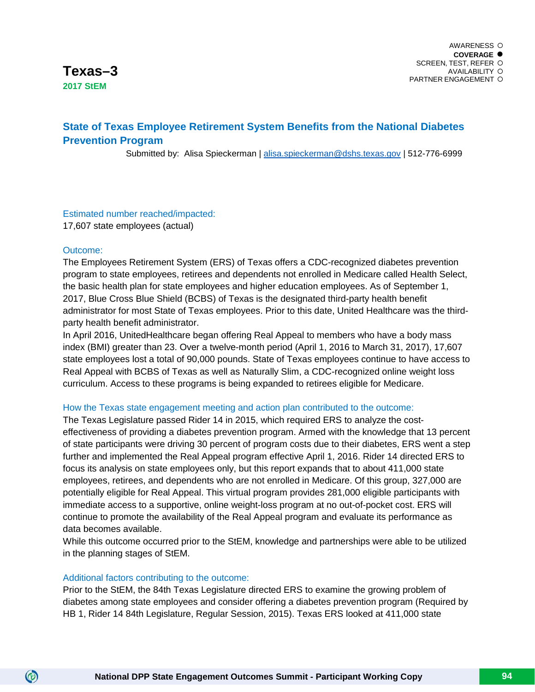# **State of Texas Employee Retirement System Benefits from the National Diabetes Prevention Program**

Submitted by: Alisa Spieckerman | [alisa.spieckerman@dshs.texas.gov](mailto:alisa.spieckerman@dshs.texas.gov) | 512-776-6999

# Estimated number reached/impacted:

17,607 state employees (actual)

# Outcome:

 $\circledcirc$ 

The Employees Retirement System (ERS) of Texas offers a CDC-recognized diabetes prevention program to state employees, retirees and dependents not enrolled in Medicare called Health Select, the basic health plan for state employees and higher education employees. As of September 1, 2017, Blue Cross Blue Shield (BCBS) of Texas is the designated third-party health benefit administrator for most State of Texas employees. Prior to this date, United Healthcare was the thirdparty health benefit administrator.

In April 2016, UnitedHealthcare began offering Real Appeal to members who have a body mass index (BMI) greater than 23. Over a twelve-month period (April 1, 2016 to March 31, 2017), 17,607 state employees lost a total of 90,000 pounds. State of Texas employees continue to have access to Real Appeal with BCBS of Texas as well as Naturally Slim, a CDC-recognized online weight loss curriculum. Access to these programs is being expanded to retirees eligible for Medicare.

# How the Texas state engagement meeting and action plan contributed to the outcome:

The Texas Legislature passed Rider 14 in 2015, which required ERS to analyze the costeffectiveness of providing a diabetes prevention program. Armed with the knowledge that 13 percent of state participants were driving 30 percent of program costs due to their diabetes, ERS went a step further and implemented the Real Appeal program effective April 1, 2016. Rider 14 directed ERS to focus its analysis on state employees only, but this report expands that to about 411,000 state employees, retirees, and dependents who are not enrolled in Medicare. Of this group, 327,000 are potentially eligible for Real Appeal. This virtual program provides 281,000 eligible participants with immediate access to a supportive, online weight-loss program at no out-of-pocket cost. ERS will continue to promote the availability of the Real Appeal program and evaluate its performance as data becomes available.

While this outcome occurred prior to the StEM, knowledge and partnerships were able to be utilized in the planning stages of StEM.

# Additional factors contributing to the outcome:

Prior to the StEM, the 84th Texas Legislature directed ERS to examine the growing problem of diabetes among state employees and consider offering a diabetes prevention program (Required by HB 1, Rider 14 84th Legislature, Regular Session, 2015). Texas ERS looked at 411,000 state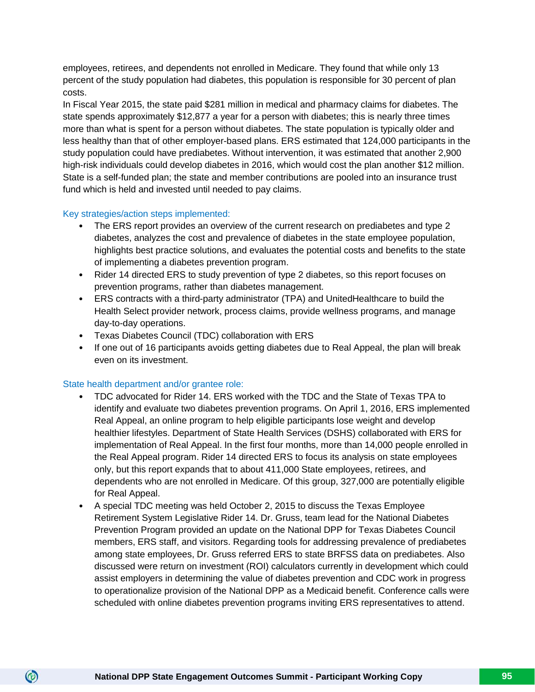employees, retirees, and dependents not enrolled in Medicare. They found that while only 13 percent of the study population had diabetes, this population is responsible for 30 percent of plan costs.

In Fiscal Year 2015, the state paid \$281 million in medical and pharmacy claims for diabetes. The state spends approximately \$12,877 a year for a person with diabetes; this is nearly three times more than what is spent for a person without diabetes. The state population is typically older and less healthy than that of other employer-based plans. ERS estimated that 124,000 participants in the study population could have prediabetes. Without intervention, it was estimated that another 2,900 high-risk individuals could develop diabetes in 2016, which would cost the plan another \$12 million. State is a self-funded plan; the state and member contributions are pooled into an insurance trust fund which is held and invested until needed to pay claims.

# Key strategies/action steps implemented:

- The ERS report provides an overview of the current research on prediabetes and type 2 diabetes, analyzes the cost and prevalence of diabetes in the state employee population, highlights best practice solutions, and evaluates the potential costs and benefits to the state of implementing a diabetes prevention program.
- Rider 14 directed ERS to study prevention of type 2 diabetes, so this report focuses on prevention programs, rather than diabetes management.
- ERS contracts with a third-party administrator (TPA) and UnitedHealthcare to build the Health Select provider network, process claims, provide wellness programs, and manage day-to-day operations.
- Texas Diabetes Council (TDC) collaboration with ERS
- If one out of 16 participants avoids getting diabetes due to Real Appeal, the plan will break even on its investment.

# State health department and/or grantee role:

- TDC advocated for Rider 14. ERS worked with the TDC and the State of Texas TPA to identify and evaluate two diabetes prevention programs. On April 1, 2016, ERS implemented Real Appeal, an online program to help eligible participants lose weight and develop healthier lifestyles. Department of State Health Services (DSHS) collaborated with ERS for implementation of Real Appeal. In the first four months, more than 14,000 people enrolled in the Real Appeal program. Rider 14 directed ERS to focus its analysis on state employees only, but this report expands that to about 411,000 State employees, retirees, and dependents who are not enrolled in Medicare. Of this group, 327,000 are potentially eligible for Real Appeal.
- A special TDC meeting was held October 2, 2015 to discuss the Texas Employee Retirement System Legislative Rider 14. Dr. Gruss, team lead for the National Diabetes Prevention Program provided an update on the National DPP for Texas Diabetes Council members, ERS staff, and visitors. Regarding tools for addressing prevalence of prediabetes among state employees, Dr. Gruss referred ERS to state BRFSS data on prediabetes. Also discussed were return on investment (ROI) calculators currently in development which could assist employers in determining the value of diabetes prevention and CDC work in progress to operationalize provision of the National DPP as a Medicaid benefit. Conference calls were scheduled with online diabetes prevention programs inviting ERS representatives to attend.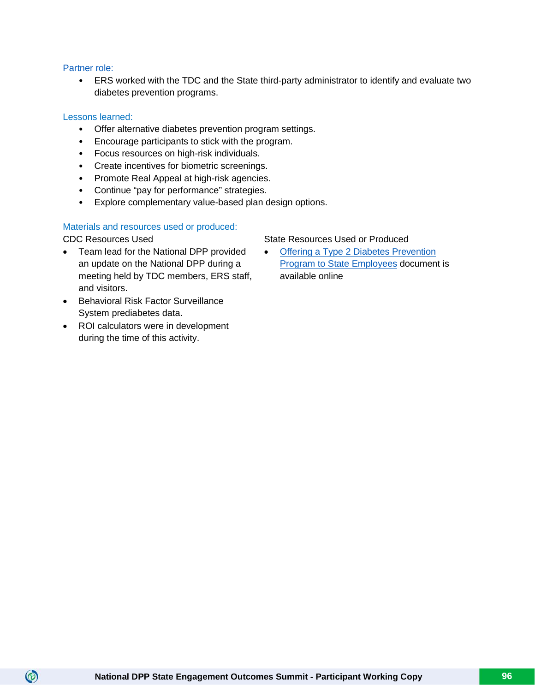# Partner role:

• ERS worked with the TDC and the State third-party administrator to identify and evaluate two diabetes prevention programs.

# Lessons learned:

- Offer alternative diabetes prevention program settings.
- Encourage participants to stick with the program.
- Focus resources on high-risk individuals.
- Create incentives for biometric screenings.
- Promote Real Appeal at high-risk agencies.
- Continue "pay for performance" strategies.
- Explore complementary value-based plan design options.

# Materials and resources used or produced:

 $\circledcirc$ 

- Team lead for the National DPP provided an update on the National DPP during a meeting held by TDC members, ERS staff, and visitors.
- Behavioral Risk Factor Surveillance System prediabetes data.
- ROI calculators were in development during the time of this activity.

# CDC Resources Used State Resources Used State Resources Used or Produced

• [Offering a Type 2 Diabetes Prevention](https://www.dshs.texas.gov/diabetes/preports.shtm)  **[Program to State Employees](https://www.dshs.texas.gov/diabetes/preports.shtm) document is** available online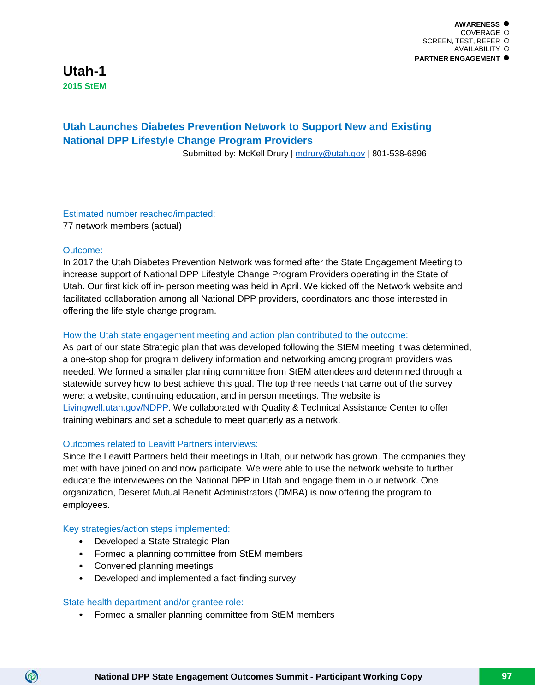**Utah-1 2015 StEM**

# **Utah Launches Diabetes Prevention Network to Support New and Existing National DPP Lifestyle Change Program Providers**

Submitted by: McKell Drury | [mdrury@utah.gov](mailto:mdrury@utah.gov) | 801-538-6896

# Estimated number reached/impacted:

77 network members (actual)

# Outcome:

In 2017 the Utah Diabetes Prevention Network was formed after the State Engagement Meeting to increase support of National DPP Lifestyle Change Program Providers operating in the State of Utah. Our first kick off in- person meeting was held in April. We kicked off the Network website and facilitated collaboration among all National DPP providers, coordinators and those interested in offering the life style change program.

# How the Utah state engagement meeting and action plan contributed to the outcome:

As part of our state Strategic plan that was developed following the StEM meeting it was determined, a one-stop shop for program delivery information and networking among program providers was needed. We formed a smaller planning committee from StEM attendees and determined through a statewide survey how to best achieve this goal. The top three needs that came out of the survey were: a website, continuing education, and in person meetings. The website is [Livingwell.utah.gov/NDPP.](http://livingwell.utah.gov/ndpp/) We collaborated with Quality & Technical Assistance Center to offer training webinars and set a schedule to meet quarterly as a network.

# Outcomes related to Leavitt Partners interviews:

Since the Leavitt Partners held their meetings in Utah, our network has grown. The companies they met with have joined on and now participate. We were able to use the network website to further educate the interviewees on the National DPP in Utah and engage them in our network. One organization, Deseret Mutual Benefit Administrators (DMBA) is now offering the program to employees.

# Key strategies/action steps implemented:

- Developed a State Strategic Plan
- Formed a planning committee from StEM members
- Convened planning meetings

 $\circledcirc$ 

• Developed and implemented a fact-finding survey

# State health department and/or grantee role:

• Formed a smaller planning committee from StEM members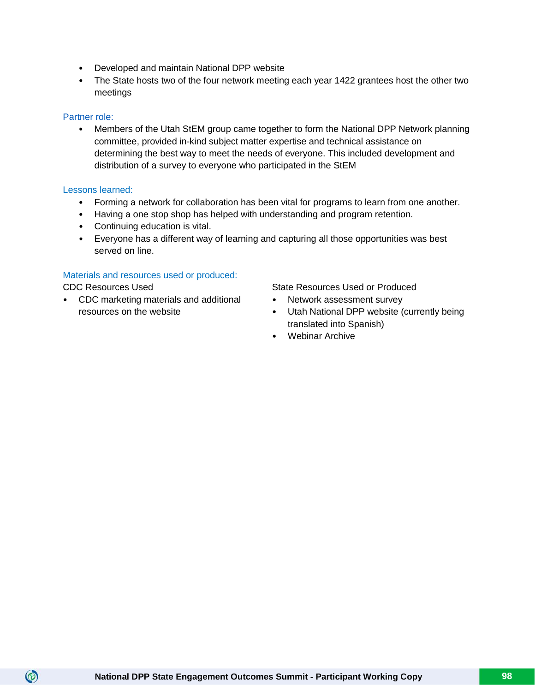- Developed and maintain National DPP website
- The State hosts two of the four network meeting each year 1422 grantees host the other two meetings

# Partner role:

• Members of the Utah StEM group came together to form the National DPP Network planning committee, provided in-kind subject matter expertise and technical assistance on determining the best way to meet the needs of everyone. This included development and distribution of a survey to everyone who participated in the StEM

# Lessons learned:

- Forming a network for collaboration has been vital for programs to learn from one another.
- Having a one stop shop has helped with understanding and program retention.
- Continuing education is vital.
- Everyone has a different way of learning and capturing all those opportunities was best served on line.

# Materials and resources used or produced:

 $\circledcirc$ 

• CDC marketing materials and additional resources on the website

CDC Resources Used State Resources Used or Produced

- Network assessment survey
- Utah National DPP website (currently being translated into Spanish)
- Webinar Archive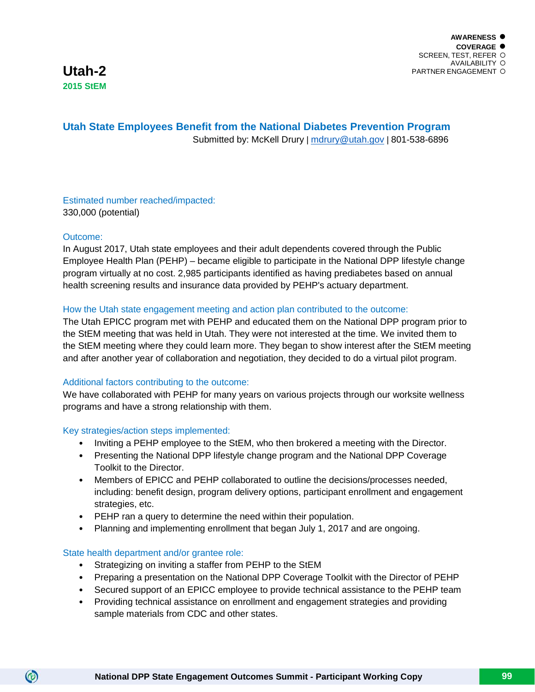# **Utah State Employees Benefit from the National Diabetes Prevention Program** Submitted by: McKell Drury | [mdrury@utah.gov](mailto:mdrury@utah.gov) | 801-538-6896

Estimated number reached/impacted: 330,000 (potential)

# Outcome:

 $\circledcirc$ 

In August 2017, Utah state employees and their adult dependents covered through the Public Employee Health Plan (PEHP) – became eligible to participate in the National DPP lifestyle change program virtually at no cost. 2,985 participants identified as having prediabetes based on annual health screening results and insurance data provided by PEHP's actuary department.

# How the Utah state engagement meeting and action plan contributed to the outcome:

The Utah EPICC program met with PEHP and educated them on the National DPP program prior to the StEM meeting that was held in Utah. They were not interested at the time. We invited them to the StEM meeting where they could learn more. They began to show interest after the StEM meeting and after another year of collaboration and negotiation, they decided to do a virtual pilot program.

# Additional factors contributing to the outcome:

We have collaborated with PEHP for many years on various projects through our worksite wellness programs and have a strong relationship with them.

# Key strategies/action steps implemented:

- Inviting a PEHP employee to the StEM, who then brokered a meeting with the Director.
- Presenting the National DPP lifestyle change program and the National DPP Coverage Toolkit to the Director.
- Members of EPICC and PEHP collaborated to outline the decisions/processes needed, including: benefit design, program delivery options, participant enrollment and engagement strategies, etc.
- PEHP ran a query to determine the need within their population.
- Planning and implementing enrollment that began July 1, 2017 and are ongoing.

# State health department and/or grantee role:

- Strategizing on inviting a staffer from PEHP to the StEM
- Preparing a presentation on the National DPP Coverage Toolkit with the Director of PEHP
- Secured support of an EPICC employee to provide technical assistance to the PEHP team
- Providing technical assistance on enrollment and engagement strategies and providing sample materials from CDC and other states.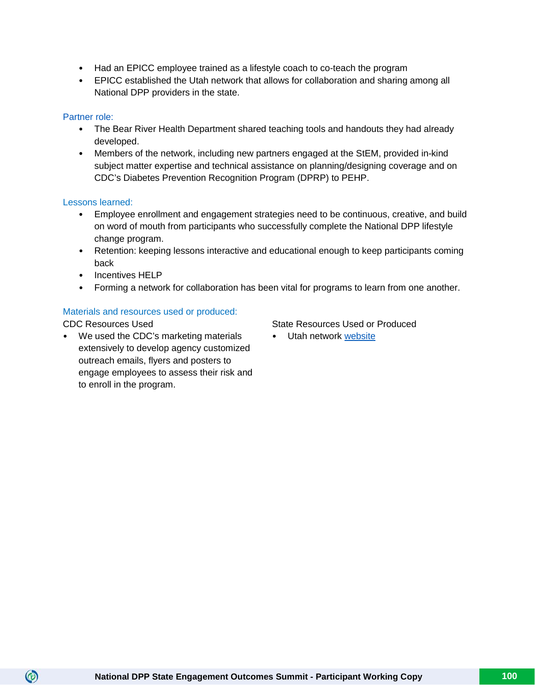- Had an EPICC employee trained as a lifestyle coach to co-teach the program
- EPICC established the Utah network that allows for collaboration and sharing among all National DPP providers in the state.

# Partner role:

- The Bear River Health Department shared teaching tools and handouts they had already developed.
- Members of the network, including new partners engaged at the StEM, provided in-kind subject matter expertise and technical assistance on planning/designing coverage and on CDC's Diabetes Prevention Recognition Program (DPRP) to PEHP.

# Lessons learned:

- Employee enrollment and engagement strategies need to be continuous, creative, and build on word of mouth from participants who successfully complete the National DPP lifestyle change program.
- Retention: keeping lessons interactive and educational enough to keep participants coming back
- Incentives HELP
- Forming a network for collaboration has been vital for programs to learn from one another.

# Materials and resources used or produced:

 $\circledcirc$ 

• We used the CDC's marketing materials extensively to develop agency customized outreach emails, flyers and posters to engage employees to assess their risk and to enroll in the program.

# CDC Resources Used State Resources Used State Resources Used or Produced

• Utah network [website](http://livingwell.utah.gov/ndpp/)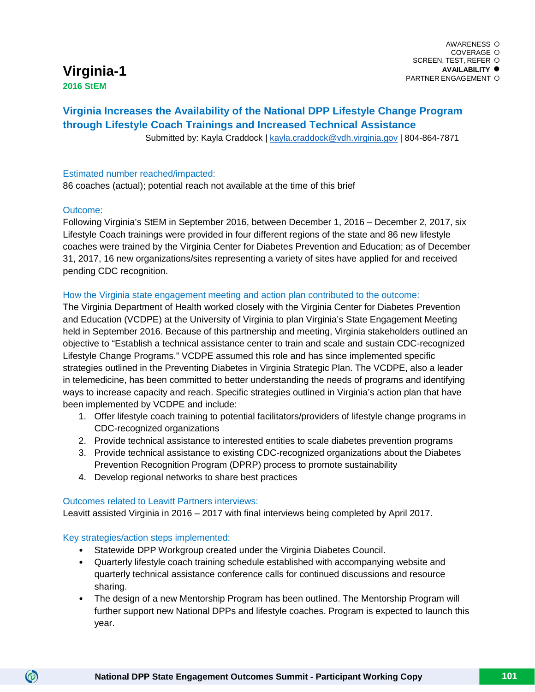# **Virginia-1**

**2016 StEM**

# **Virginia Increases the Availability of the National DPP Lifestyle Change Program through Lifestyle Coach Trainings and Increased Technical Assistance**

Submitted by: Kayla Craddock | [kayla.craddock@vdh.virginia.gov](mailto:kayla.craddock@vdh.virginia.gov) | 804-864-7871

# Estimated number reached/impacted:

86 coaches (actual); potential reach not available at the time of this brief

# Outcome:

Following Virginia's StEM in September 2016, between December 1, 2016 – December 2, 2017, six Lifestyle Coach trainings were provided in four different regions of the state and 86 new lifestyle coaches were trained by the Virginia Center for Diabetes Prevention and Education; as of December 31, 2017, 16 new organizations/sites representing a variety of sites have applied for and received pending CDC recognition.

# How the Virginia state engagement meeting and action plan contributed to the outcome:

The Virginia Department of Health worked closely with the Virginia Center for Diabetes Prevention and Education (VCDPE) at the University of Virginia to plan Virginia's State Engagement Meeting held in September 2016. Because of this partnership and meeting, Virginia stakeholders outlined an objective to "Establish a technical assistance center to train and scale and sustain CDC-recognized Lifestyle Change Programs." VCDPE assumed this role and has since implemented specific strategies outlined in the Preventing Diabetes in Virginia Strategic Plan. The VCDPE, also a leader in telemedicine, has been committed to better understanding the needs of programs and identifying ways to increase capacity and reach. Specific strategies outlined in Virginia's action plan that have been implemented by VCDPE and include:

- 1. Offer lifestyle coach training to potential facilitators/providers of lifestyle change programs in CDC-recognized organizations
- 2. Provide technical assistance to interested entities to scale diabetes prevention programs
- 3. Provide technical assistance to existing CDC-recognized organizations about the Diabetes Prevention Recognition Program (DPRP) process to promote sustainability
- 4. Develop regional networks to share best practices

# Outcomes related to Leavitt Partners interviews:

Leavitt assisted Virginia in 2016 – 2017 with final interviews being completed by April 2017.

# Key strategies/action steps implemented:

- Statewide DPP Workgroup created under the Virginia Diabetes Council.
- Quarterly lifestyle coach training schedule established with accompanying website and quarterly technical assistance conference calls for continued discussions and resource sharing.
- The design of a new Mentorship Program has been outlined. The Mentorship Program will further support new National DPPs and lifestyle coaches. Program is expected to launch this year.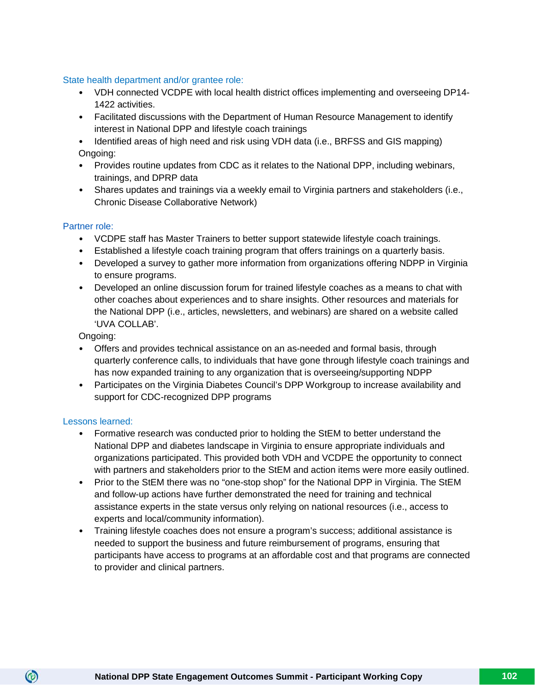# State health department and/or grantee role:

- VDH connected VCDPE with local health district offices implementing and overseeing DP14- 1422 activities.
- Facilitated discussions with the Department of Human Resource Management to identify interest in National DPP and lifestyle coach trainings
- Identified areas of high need and risk using VDH data (i.e., BRFSS and GIS mapping) Ongoing:
- Provides routine updates from CDC as it relates to the National DPP, including webinars, trainings, and DPRP data
- Shares updates and trainings via a weekly email to Virginia partners and stakeholders (i.e., Chronic Disease Collaborative Network)

# Partner role:

- VCDPE staff has Master Trainers to better support statewide lifestyle coach trainings.
- Established a lifestyle coach training program that offers trainings on a quarterly basis.
- Developed a survey to gather more information from organizations offering NDPP in Virginia to ensure programs.
- Developed an online discussion forum for trained lifestyle coaches as a means to chat with other coaches about experiences and to share insights. Other resources and materials for the National DPP (i.e., articles, newsletters, and webinars) are shared on a website called 'UVA COLLAB'.

Ongoing:

- Offers and provides technical assistance on an as-needed and formal basis, through quarterly conference calls, to individuals that have gone through lifestyle coach trainings and has now expanded training to any organization that is overseeing/supporting NDPP
- Participates on the Virginia Diabetes Council's DPP Workgroup to increase availability and support for CDC-recognized DPP programs

# Lessons learned:

- Formative research was conducted prior to holding the StEM to better understand the National DPP and diabetes landscape in Virginia to ensure appropriate individuals and organizations participated. This provided both VDH and VCDPE the opportunity to connect with partners and stakeholders prior to the StEM and action items were more easily outlined.
- Prior to the StEM there was no "one-stop shop" for the National DPP in Virginia. The StEM and follow-up actions have further demonstrated the need for training and technical assistance experts in the state versus only relying on national resources (i.e., access to experts and local/community information).
- Training lifestyle coaches does not ensure a program's success; additional assistance is needed to support the business and future reimbursement of programs, ensuring that participants have access to programs at an affordable cost and that programs are connected to provider and clinical partners.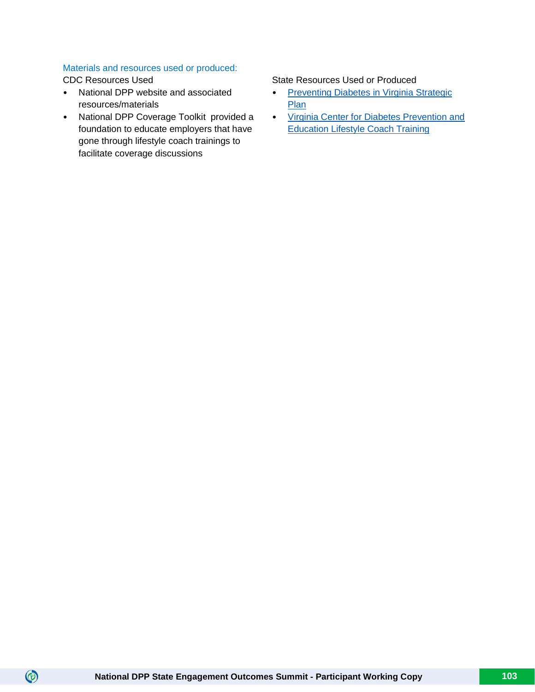# Materials and resources used or produced:

 $\circledcirc$ 

- National DPP website and associated resources/materials
- National DPP Coverage Toolkit provided a foundation to educate employers that have gone through lifestyle coach trainings to facilitate coverage discussions

# CDC Resources Used State Resources Used State Resources Used or Produced

- Preventing Diabetes in Virginia Strategic [Plan](http://www.vdh.virginia.gov/content/uploads/sites/25/2017/03/DiabetesStrategicPlan2017WEB.pdf)
- [Virginia Center for Diabetes Prevention and](https://med.virginia.edu/vcdpe/diabetes-prevention-programs/lifestyle-coach-training/)  [Education Lifestyle Coach Training](https://med.virginia.edu/vcdpe/diabetes-prevention-programs/lifestyle-coach-training/)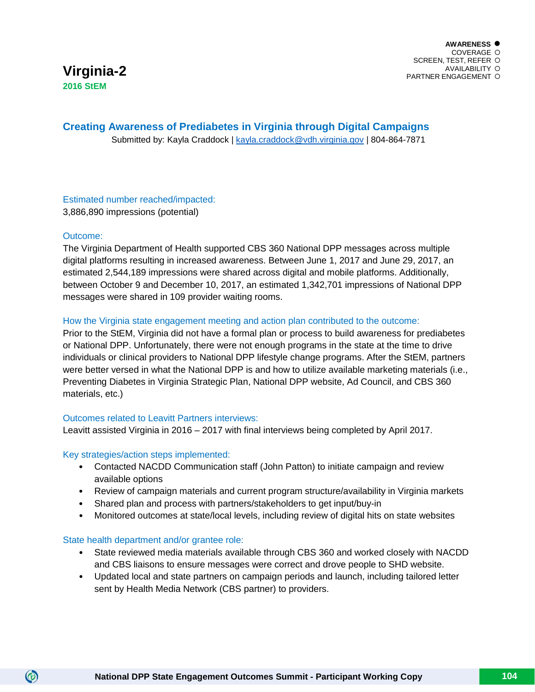# **Creating Awareness of Prediabetes in Virginia through Digital Campaigns**

Submitted by: Kayla Craddock | [kayla.craddock@vdh.virginia.gov](mailto:kayla.craddock@vdh.virginia.gov) | 804-864-7871

# Estimated number reached/impacted: 3,886,890 impressions (potential)

# Outcome:

 $\circledcirc$ 

The Virginia Department of Health supported CBS 360 National DPP messages across multiple digital platforms resulting in increased awareness. Between June 1, 2017 and June 29, 2017, an estimated 2,544,189 impressions were shared across digital and mobile platforms. Additionally, between October 9 and December 10, 2017, an estimated 1,342,701 impressions of National DPP messages were shared in 109 provider waiting rooms.

# How the Virginia state engagement meeting and action plan contributed to the outcome:

Prior to the StEM, Virginia did not have a formal plan or process to build awareness for prediabetes or National DPP. Unfortunately, there were not enough programs in the state at the time to drive individuals or clinical providers to National DPP lifestyle change programs. After the StEM, partners were better versed in what the National DPP is and how to utilize available marketing materials (i.e., Preventing Diabetes in Virginia Strategic Plan, National DPP website, Ad Council, and CBS 360 materials, etc.)

# Outcomes related to Leavitt Partners interviews:

Leavitt assisted Virginia in 2016 – 2017 with final interviews being completed by April 2017.

# Key strategies/action steps implemented:

- Contacted NACDD Communication staff (John Patton) to initiate campaign and review available options
- Review of campaign materials and current program structure/availability in Virginia markets
- Shared plan and process with partners/stakeholders to get input/buy-in
- Monitored outcomes at state/local levels, including review of digital hits on state websites

# State health department and/or grantee role:

- State reviewed media materials available through CBS 360 and worked closely with NACDD and CBS liaisons to ensure messages were correct and drove people to SHD website.
- Updated local and state partners on campaign periods and launch, including tailored letter sent by Health Media Network (CBS partner) to providers.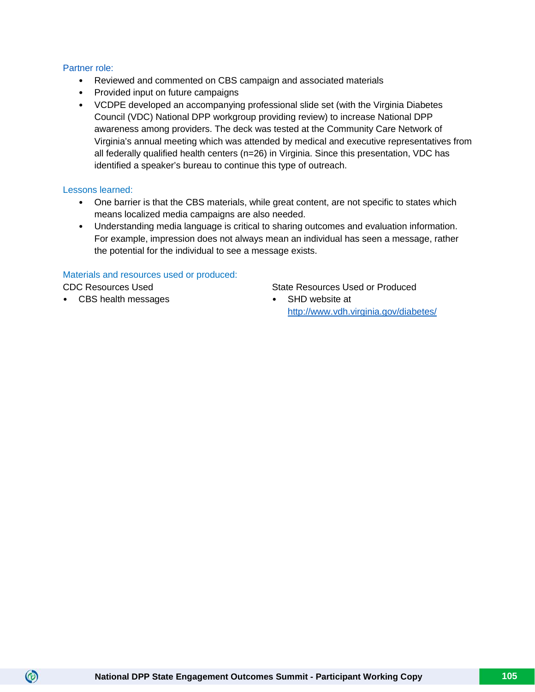# Partner role:

- Reviewed and commented on CBS campaign and associated materials
- Provided input on future campaigns
- VCDPE developed an accompanying professional slide set (with the Virginia Diabetes Council (VDC) National DPP workgroup providing review) to increase National DPP awareness among providers. The deck was tested at the Community Care Network of Virginia's annual meeting which was attended by medical and executive representatives from all federally qualified health centers (n=26) in Virginia. Since this presentation, VDC has identified a speaker's bureau to continue this type of outreach.

# Lessons learned:

- One barrier is that the CBS materials, while great content, are not specific to states which means localized media campaigns are also needed.
- Understanding media language is critical to sharing outcomes and evaluation information. For example, impression does not always mean an individual has seen a message, rather the potential for the individual to see a message exists.

# Materials and resources used or produced:

 $\circledcirc$ 

• CBS health messages • SHD website at

# CDC Resources Used State Resources Used State Resources Used or Produced

<http://www.vdh.virginia.gov/diabetes/>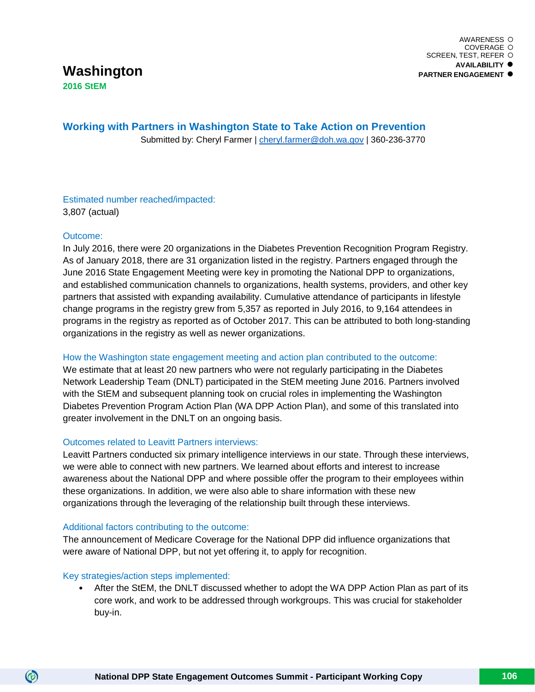# **Working with Partners in Washington State to Take Action on Prevention**

Submitted by: Cheryl Farmer | [cheryl.farmer@doh.wa.gov](mailto:cheryl.farmer@doh.wa.gov) | 360-236-3770

Estimated number reached/impacted: 3,807 (actual)

# Outcome:

In July 2016, there were 20 organizations in the Diabetes Prevention Recognition Program Registry. As of January 2018, there are 31 organization listed in the registry. Partners engaged through the June 2016 State Engagement Meeting were key in promoting the National DPP to organizations, and established communication channels to organizations, health systems, providers, and other key partners that assisted with expanding availability. Cumulative attendance of participants in lifestyle change programs in the registry grew from 5,357 as reported in July 2016, to 9,164 attendees in programs in the registry as reported as of October 2017. This can be attributed to both long-standing organizations in the registry as well as newer organizations.

# How the Washington state engagement meeting and action plan contributed to the outcome:

We estimate that at least 20 new partners who were not regularly participating in the Diabetes Network Leadership Team (DNLT) participated in the StEM meeting June 2016. Partners involved with the StEM and subsequent planning took on crucial roles in implementing the Washington Diabetes Prevention Program Action Plan (WA DPP Action Plan), and some of this translated into greater involvement in the DNLT on an ongoing basis.

# Outcomes related to Leavitt Partners interviews:

Leavitt Partners conducted six primary intelligence interviews in our state. Through these interviews, we were able to connect with new partners. We learned about efforts and interest to increase awareness about the National DPP and where possible offer the program to their employees within these organizations. In addition, we were also able to share information with these new organizations through the leveraging of the relationship built through these interviews.

# Additional factors contributing to the outcome:

The announcement of Medicare Coverage for the National DPP did influence organizations that were aware of National DPP, but not yet offering it, to apply for recognition.

# Key strategies/action steps implemented:

 $\circledcirc$ 

• After the StEM, the DNLT discussed whether to adopt the WA DPP Action Plan as part of its core work, and work to be addressed through workgroups. This was crucial for stakeholder buy-in.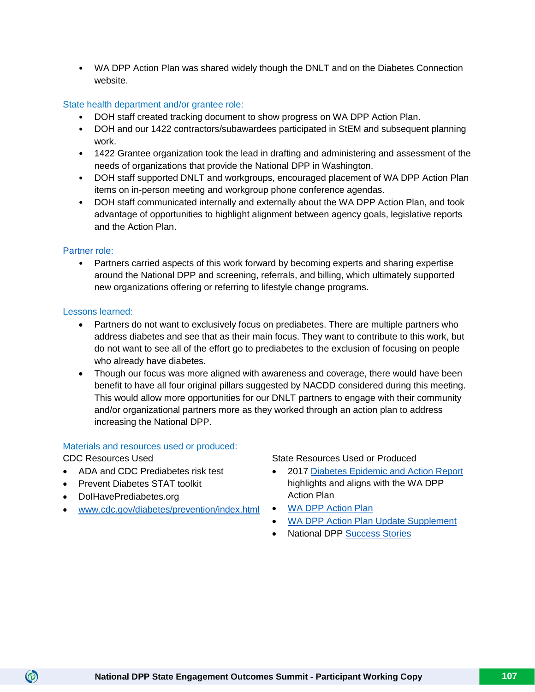• WA DPP Action Plan was shared widely though the DNLT and on the Diabetes Connection website.

# State health department and/or grantee role:

- DOH staff created tracking document to show progress on WA DPP Action Plan.
- DOH and our 1422 contractors/subawardees participated in StEM and subsequent planning work.
- 1422 Grantee organization took the lead in drafting and administering and assessment of the needs of organizations that provide the National DPP in Washington.
- DOH staff supported DNLT and workgroups, encouraged placement of WA DPP Action Plan items on in-person meeting and workgroup phone conference agendas.
- DOH staff communicated internally and externally about the WA DPP Action Plan, and took advantage of opportunities to highlight alignment between agency goals, legislative reports and the Action Plan.

# Partner role:

• Partners carried aspects of this work forward by becoming experts and sharing expertise around the National DPP and screening, referrals, and billing, which ultimately supported new organizations offering or referring to lifestyle change programs.

# Lessons learned:

- Partners do not want to exclusively focus on prediabetes. There are multiple partners who address diabetes and see that as their main focus. They want to contribute to this work, but do not want to see all of the effort go to prediabetes to the exclusion of focusing on people who already have diabetes.
- Though our focus was more aligned with awareness and coverage, there would have been benefit to have all four original pillars suggested by NACDD considered during this meeting. This would allow more opportunities for our DNLT partners to engage with their community and/or organizational partners more as they worked through an action plan to address increasing the National DPP.

# Materials and resources used or produced:

 $\circledcirc$ 

- ADA and CDC Prediabetes risk test
- Prevent Diabetes STAT toolkit
- DoIHavePrediabetes.org
- [www.cdc.gov/diabetes/prevention/index.html](http://www.cdc.gov/diabetes/prevention/index.html)

CDC Resources Used State Resources Used or Produced

- 2017 [Diabetes Epidemic and Action Report](https://www.doh.wa.gov/Portals/1/Documents/Pubs/345-349-DiabetesEpidemicActionReport.pdf) highlights and aligns with the WA DPP Action Plan
- [WA DPP Action Plan](https://diabetesqa.doh.wa.gov/Portals/12/Doc/shortversionwadppactionplansept2016-2-pages.pdf?ver=2017-07-03-144104-937)
- [WA DPP Action Plan Update Supplement](https://diabetes.doh.wa.gov/Portals/13/Doc/ActionPlanProgressSeptember2017.pdf?ver=2017-10-03-164140-510)
- National DPP [Success Stories](https://here.doh.wa.gov/Portals/14/Materials/340-273-DPPsuccess-en-H.pdf)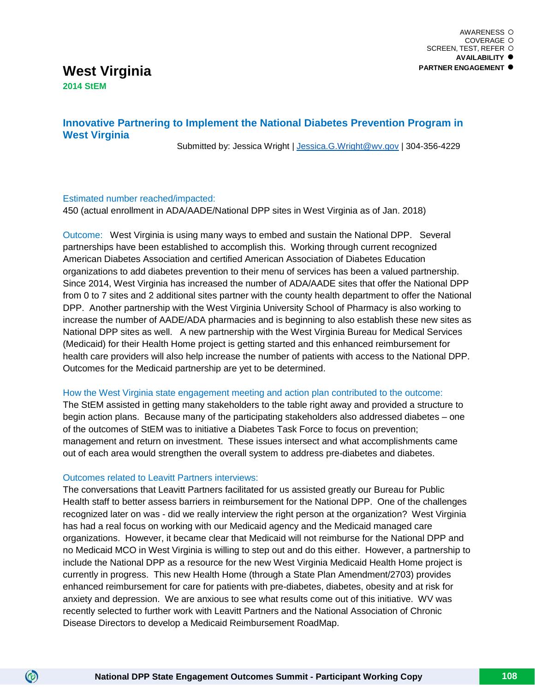# **West Virginia 2014 StEM**

# **Innovative Partnering to Implement the National Diabetes Prevention Program in West Virginia**

Submitted by: Jessica Wright [| Jessica.G.Wright@wv.gov](mailto:Jessica.G.Wright@wv.gov) | 304-356-4229

# Estimated number reached/impacted:

450 (actual enrollment in ADA/AADE/National DPP sites in West Virginia as of Jan. 2018)

Outcome: West Virginia is using many ways to embed and sustain the National DPP. Several partnerships have been established to accomplish this. Working through current recognized American Diabetes Association and certified American Association of Diabetes Education organizations to add diabetes prevention to their menu of services has been a valued partnership. Since 2014, West Virginia has increased the number of ADA/AADE sites that offer the National DPP from 0 to 7 sites and 2 additional sites partner with the county health department to offer the National DPP. Another partnership with the West Virginia University School of Pharmacy is also working to increase the number of AADE/ADA pharmacies and is beginning to also establish these new sites as National DPP sites as well. A new partnership with the West Virginia Bureau for Medical Services (Medicaid) for their Health Home project is getting started and this enhanced reimbursement for health care providers will also help increase the number of patients with access to the National DPP. Outcomes for the Medicaid partnership are yet to be determined.

# How the West Virginia state engagement meeting and action plan contributed to the outcome:

The StEM assisted in getting many stakeholders to the table right away and provided a structure to begin action plans. Because many of the participating stakeholders also addressed diabetes – one of the outcomes of StEM was to initiative a Diabetes Task Force to focus on prevention; management and return on investment. These issues intersect and what accomplishments came out of each area would strengthen the overall system to address pre-diabetes and diabetes.

# Outcomes related to Leavitt Partners interviews:

 $\circledcirc$ 

The conversations that Leavitt Partners facilitated for us assisted greatly our Bureau for Public Health staff to better assess barriers in reimbursement for the National DPP. One of the challenges recognized later on was - did we really interview the right person at the organization? West Virginia has had a real focus on working with our Medicaid agency and the Medicaid managed care organizations. However, it became clear that Medicaid will not reimburse for the National DPP and no Medicaid MCO in West Virginia is willing to step out and do this either. However, a partnership to include the National DPP as a resource for the new West Virginia Medicaid Health Home project is currently in progress. This new Health Home (through a State Plan Amendment/2703) provides enhanced reimbursement for care for patients with pre-diabetes, diabetes, obesity and at risk for anxiety and depression. We are anxious to see what results come out of this initiative. WV was recently selected to further work with Leavitt Partners and the National Association of Chronic Disease Directors to develop a Medicaid Reimbursement RoadMap.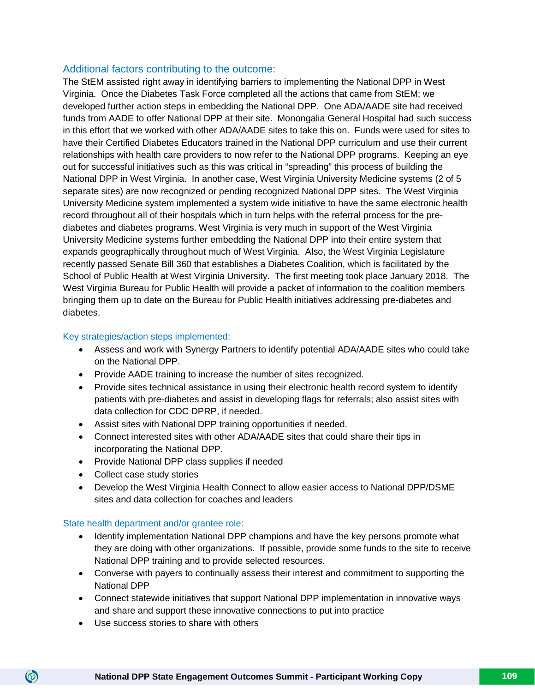# Additional factors contributing to the outcome:

The StEM assisted right away in identifying barriers to implementing the National DPP in West Virginia. Once the Diabetes Task Force completed all the actions that came from StEM; we developed further action steps in embedding the National DPP. One ADA/AADE site had received funds from AADE to offer National DPP at their site. Monongalia General Hospital had such success in this effort that we worked with other ADA/AADE sites to take this on. Funds were used for sites to have their Certified Diabetes Educators trained in the National DPP curriculum and use their current relationships with health care providers to now refer to the National DPP programs. Keeping an eye out for successful initiatives such as this was critical in "spreading" this process of building the National DPP in West Virginia. In another case, West Virginia University Medicine systems (2 of 5 separate sites) are now recognized or pending recognized National DPP sites. The West Virginia University Medicine system implemented a system wide initiative to have the same electronic health record throughout all of their hospitals which in turn helps with the referral process for the prediabetes and diabetes programs. West Virginia is very much in support of the West Virginia University Medicine systems further embedding the National DPP into their entire system that expands geographically throughout much of West Virginia. Also, the West Virginia Legislature recently passed Senate Bill 360 that establishes a Diabetes Coalition, which is facilitated by the School of Public Health at West Virginia University. The first meeting took place January 2018. The West Virginia Bureau for Public Health will provide a packet of information to the coalition members bringing them up to date on the Bureau for Public Health initiatives addressing pre-diabetes and diabetes.

## Key strategies/action steps implemented:

- Assess and work with Synergy Partners to identify potential ADA/AADE sites who could take on the National DPP.
- Provide AADE training to increase the number of sites recognized.
- Provide sites technical assistance in using their electronic health record system to identify patients with pre-diabetes and assist in developing flags for referrals; also assist sites with data collection for CDC DPRP, if needed.
- Assist sites with National DPP training opportunities if needed.
- Connect interested sites with other ADA/AADE sites that could share their tips in incorporating the National DPP.
- Provide National DPP class supplies if needed
- Collect case study stories
- Develop the West Virginia Health Connect to allow easier access to National DPP/DSME sites and data collection for coaches and leaders

#### State health department and/or grantee role:

- Identify implementation National DPP champions and have the key persons promote what they are doing with other organizations. If possible, provide some funds to the site to receive National DPP training and to provide selected resources.
- Converse with payers to continually assess their interest and commitment to supporting the National DPP
- Connect statewide initiatives that support National DPP implementation in innovative ways and share and support these innovative connections to put into practice
- Use success stories to share with others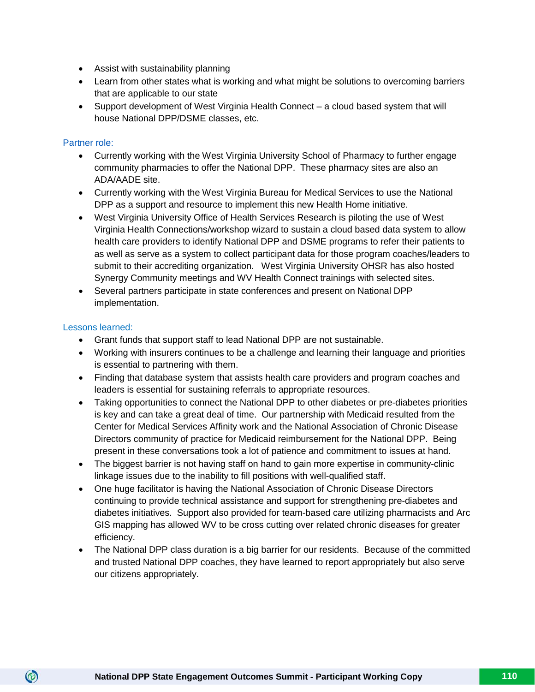- Assist with sustainability planning
- Learn from other states what is working and what might be solutions to overcoming barriers that are applicable to our state
- Support development of West Virginia Health Connect a cloud based system that will house National DPP/DSME classes, etc.

### Partner role:

- Currently working with the West Virginia University School of Pharmacy to further engage community pharmacies to offer the National DPP. These pharmacy sites are also an ADA/AADE site.
- Currently working with the West Virginia Bureau for Medical Services to use the National DPP as a support and resource to implement this new Health Home initiative.
- West Virginia University Office of Health Services Research is piloting the use of West Virginia Health Connections/workshop wizard to sustain a cloud based data system to allow health care providers to identify National DPP and DSME programs to refer their patients to as well as serve as a system to collect participant data for those program coaches/leaders to submit to their accrediting organization. West Virginia University OHSR has also hosted Synergy Community meetings and WV Health Connect trainings with selected sites.
- Several partners participate in state conferences and present on National DPP implementation.

## Lessons learned:

- Grant funds that support staff to lead National DPP are not sustainable.
- Working with insurers continues to be a challenge and learning their language and priorities is essential to partnering with them.
- Finding that database system that assists health care providers and program coaches and leaders is essential for sustaining referrals to appropriate resources.
- Taking opportunities to connect the National DPP to other diabetes or pre-diabetes priorities is key and can take a great deal of time. Our partnership with Medicaid resulted from the Center for Medical Services Affinity work and the National Association of Chronic Disease Directors community of practice for Medicaid reimbursement for the National DPP. Being present in these conversations took a lot of patience and commitment to issues at hand.
- The biggest barrier is not having staff on hand to gain more expertise in community-clinic linkage issues due to the inability to fill positions with well-qualified staff.
- One huge facilitator is having the National Association of Chronic Disease Directors continuing to provide technical assistance and support for strengthening pre-diabetes and diabetes initiatives. Support also provided for team-based care utilizing pharmacists and Arc GIS mapping has allowed WV to be cross cutting over related chronic diseases for greater efficiency.
- The National DPP class duration is a big barrier for our residents. Because of the committed and trusted National DPP coaches, they have learned to report appropriately but also serve our citizens appropriately.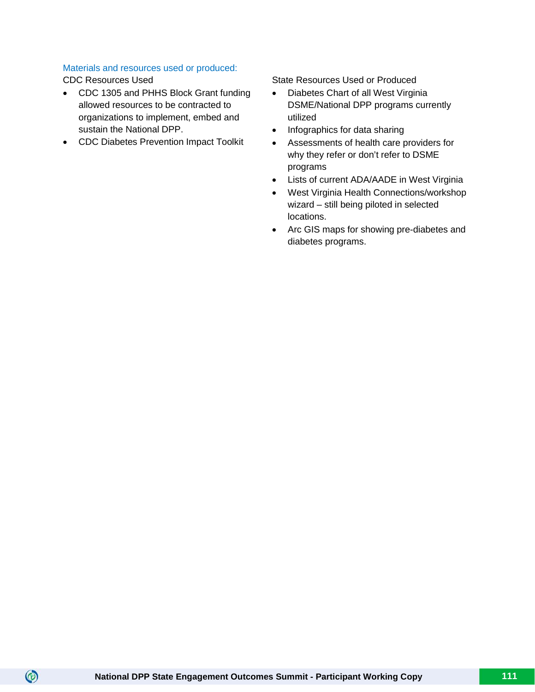## Materials and resources used or produced:

 $\circledcirc$ 

- CDC 1305 and PHHS Block Grant funding allowed resources to be contracted to organizations to implement, embed and sustain the National DPP.
- CDC Diabetes Prevention Impact Toolkit

CDC Resources Used State Resources Used or Produced

- Diabetes Chart of all West Virginia DSME/National DPP programs currently utilized
- Infographics for data sharing
- Assessments of health care providers for why they refer or don't refer to DSME programs
- Lists of current ADA/AADE in West Virginia
- West Virginia Health Connections/workshop wizard – still being piloted in selected locations.
- Arc GIS maps for showing pre-diabetes and diabetes programs.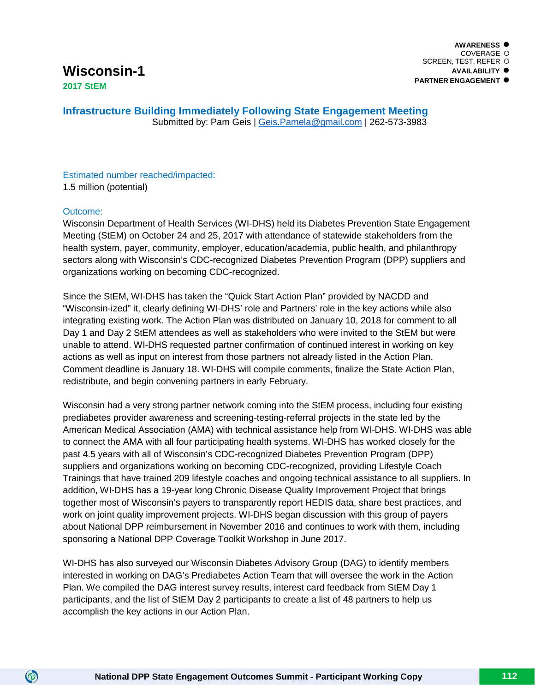**AWARENESS** COVERAGE O SCREEN, TEST, REFER **AVAILABILITY PARTNER ENGAGEMENT**

**Infrastructure Building Immediately Following State Engagement Meeting** Submitted by: Pam Geis | [Geis.Pamela@gmail.com](mailto:Geis.Pamela@gmail.com) | 262-573-3983

Estimated number reached/impacted: 1.5 million (potential)

#### Outcome:

 $\circledcirc$ 

Wisconsin Department of Health Services (WI-DHS) held its Diabetes Prevention State Engagement Meeting (StEM) on October 24 and 25, 2017 with attendance of statewide stakeholders from the health system, payer, community, employer, education/academia, public health, and philanthropy sectors along with Wisconsin's CDC-recognized Diabetes Prevention Program (DPP) suppliers and organizations working on becoming CDC-recognized.

Since the StEM, WI-DHS has taken the "Quick Start Action Plan" provided by NACDD and "Wisconsin-ized" it, clearly defining WI-DHS' role and Partners' role in the key actions while also integrating existing work. The Action Plan was distributed on January 10, 2018 for comment to all Day 1 and Day 2 StEM attendees as well as stakeholders who were invited to the StEM but were unable to attend. WI-DHS requested partner confirmation of continued interest in working on key actions as well as input on interest from those partners not already listed in the Action Plan. Comment deadline is January 18. WI-DHS will compile comments, finalize the State Action Plan, redistribute, and begin convening partners in early February.

Wisconsin had a very strong partner network coming into the StEM process, including four existing prediabetes provider awareness and screening-testing-referral projects in the state led by the American Medical Association (AMA) with technical assistance help from WI-DHS. WI-DHS was able to connect the AMA with all four participating health systems. WI-DHS has worked closely for the past 4.5 years with all of Wisconsin's CDC-recognized Diabetes Prevention Program (DPP) suppliers and organizations working on becoming CDC-recognized, providing Lifestyle Coach Trainings that have trained 209 lifestyle coaches and ongoing technical assistance to all suppliers. In addition, WI-DHS has a 19-year long Chronic Disease Quality Improvement Project that brings together most of Wisconsin's payers to transparently report HEDIS data, share best practices, and work on joint quality improvement projects. WI-DHS began discussion with this group of payers about National DPP reimbursement in November 2016 and continues to work with them, including sponsoring a National DPP Coverage Toolkit Workshop in June 2017.

WI-DHS has also surveyed our Wisconsin Diabetes Advisory Group (DAG) to identify members interested in working on DAG's Prediabetes Action Team that will oversee the work in the Action Plan. We compiled the DAG interest survey results, interest card feedback from StEM Day 1 participants, and the list of StEM Day 2 participants to create a list of 48 partners to help us accomplish the key actions in our Action Plan.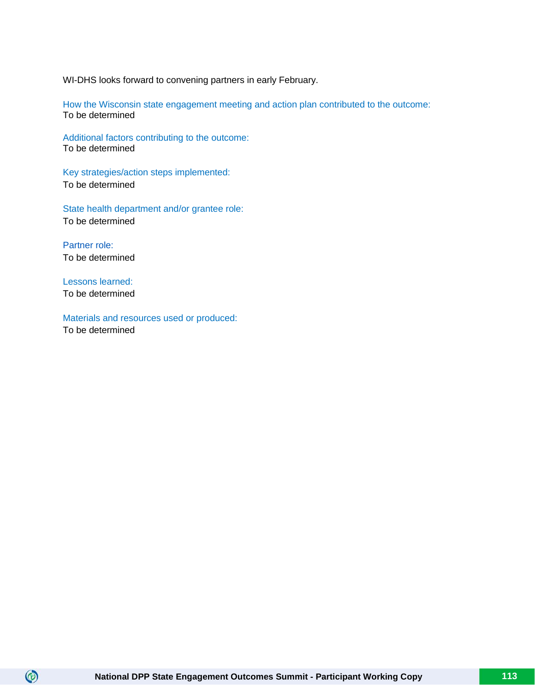WI-DHS looks forward to convening partners in early February.

How the Wisconsin state engagement meeting and action plan contributed to the outcome: To be determined

Additional factors contributing to the outcome: To be determined

Key strategies/action steps implemented: To be determined

State health department and/or grantee role: To be determined

Partner role: To be determined

Lessons learned: To be determined

 $\circledcirc$ 

Materials and resources used or produced: To be determined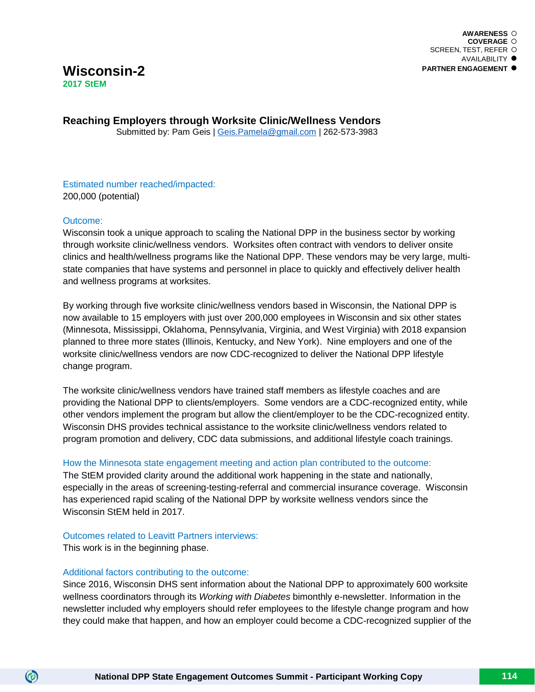# **Wisconsin-2 2017 StEM**

**Reaching Employers through Worksite Clinic/Wellness Vendors** Submitted by: Pam Geis | [Geis.Pamela@gmail.com](mailto:Geis.Pamela@gmail.com) | 262-573-3983

Estimated number reached/impacted: 200,000 (potential)

#### Outcome:

Wisconsin took a unique approach to scaling the National DPP in the business sector by working through worksite clinic/wellness vendors. Worksites often contract with vendors to deliver onsite clinics and health/wellness programs like the National DPP. These vendors may be very large, multistate companies that have systems and personnel in place to quickly and effectively deliver health and wellness programs at worksites.

By working through five worksite clinic/wellness vendors based in Wisconsin, the National DPP is now available to 15 employers with just over 200,000 employees in Wisconsin and six other states (Minnesota, Mississippi, Oklahoma, Pennsylvania, Virginia, and West Virginia) with 2018 expansion planned to three more states (Illinois, Kentucky, and New York). Nine employers and one of the worksite clinic/wellness vendors are now CDC-recognized to deliver the National DPP lifestyle change program.

The worksite clinic/wellness vendors have trained staff members as lifestyle coaches and are providing the National DPP to clients/employers. Some vendors are a CDC-recognized entity, while other vendors implement the program but allow the client/employer to be the CDC-recognized entity. Wisconsin DHS provides technical assistance to the worksite clinic/wellness vendors related to program promotion and delivery, CDC data submissions, and additional lifestyle coach trainings.

#### How the Minnesota state engagement meeting and action plan contributed to the outcome:

The StEM provided clarity around the additional work happening in the state and nationally, especially in the areas of screening-testing-referral and commercial insurance coverage. Wisconsin has experienced rapid scaling of the National DPP by worksite wellness vendors since the Wisconsin StEM held in 2017.

#### Outcomes related to Leavitt Partners interviews:

This work is in the beginning phase.

(စ)

#### Additional factors contributing to the outcome:

Since 2016, Wisconsin DHS sent information about the National DPP to approximately 600 worksite wellness coordinators through its *Working with Diabetes* bimonthly e-newsletter. Information in the newsletter included why employers should refer employees to the lifestyle change program and how they could make that happen, and how an employer could become a CDC-recognized supplier of the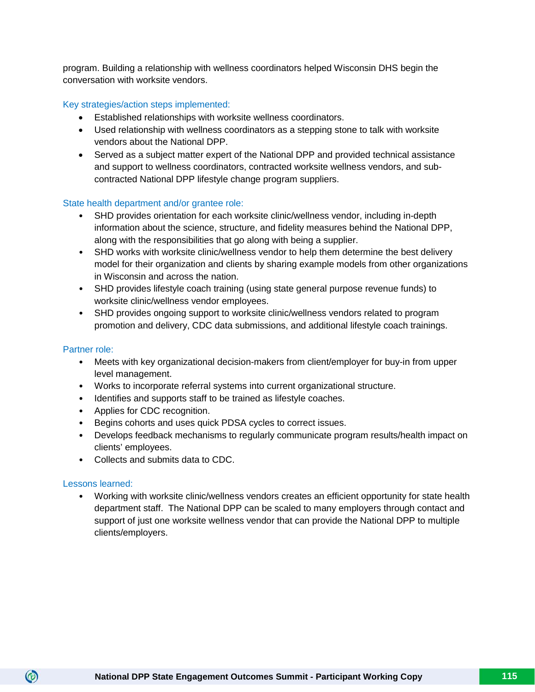program. Building a relationship with wellness coordinators helped Wisconsin DHS begin the conversation with worksite vendors.

#### Key strategies/action steps implemented:

- Established relationships with worksite wellness coordinators.
- Used relationship with wellness coordinators as a stepping stone to talk with worksite vendors about the National DPP.
- Served as a subject matter expert of the National DPP and provided technical assistance and support to wellness coordinators, contracted worksite wellness vendors, and subcontracted National DPP lifestyle change program suppliers.

#### State health department and/or grantee role:

- SHD provides orientation for each worksite clinic/wellness vendor, including in-depth information about the science, structure, and fidelity measures behind the National DPP, along with the responsibilities that go along with being a supplier.
- SHD works with worksite clinic/wellness vendor to help them determine the best delivery model for their organization and clients by sharing example models from other organizations in Wisconsin and across the nation.
- SHD provides lifestyle coach training (using state general purpose revenue funds) to worksite clinic/wellness vendor employees.
- SHD provides ongoing support to worksite clinic/wellness vendors related to program promotion and delivery, CDC data submissions, and additional lifestyle coach trainings.

#### Partner role:

- Meets with key organizational decision-makers from client/employer for buy-in from upper level management.
- Works to incorporate referral systems into current organizational structure.
- Identifies and supports staff to be trained as lifestyle coaches.
- Applies for CDC recognition.
- Begins cohorts and uses quick PDSA cycles to correct issues.
- Develops feedback mechanisms to regularly communicate program results/health impact on clients' employees.
- Collects and submits data to CDC.

#### Lessons learned:

 $\circledcirc$ 

• Working with worksite clinic/wellness vendors creates an efficient opportunity for state health department staff. The National DPP can be scaled to many employers through contact and support of just one worksite wellness vendor that can provide the National DPP to multiple clients/employers.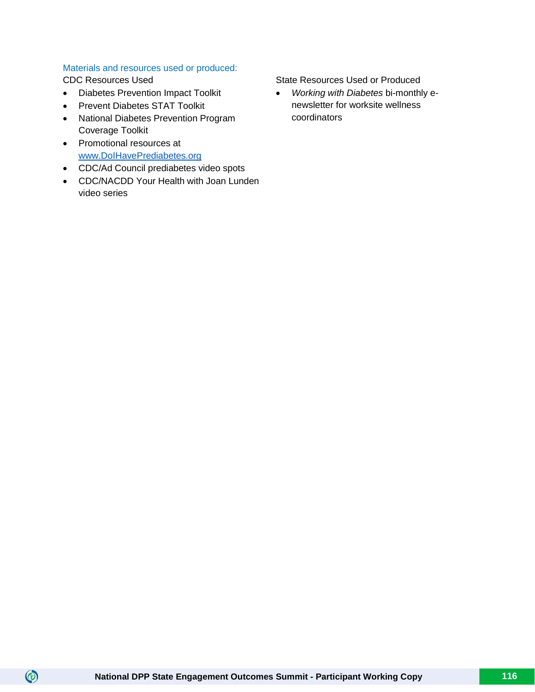#### Materials and resources used or produced:

 $\circledcirc$ 

- Diabetes Prevention Impact Toolkit
- Prevent Diabetes STAT Toolkit
- National Diabetes Prevention Program Coverage Toolkit
- Promotional resources at [www.DoIHavePrediabetes.org](http://www.doihaveprediabetes.org/)
- CDC/Ad Council prediabetes video spots
- CDC/NACDD Your Health with Joan Lunden video series

CDC Resources Used State Resources Used State Resources Used or Produced

• *Working with Diabetes* bi-monthly enewsletter for worksite wellness coordinators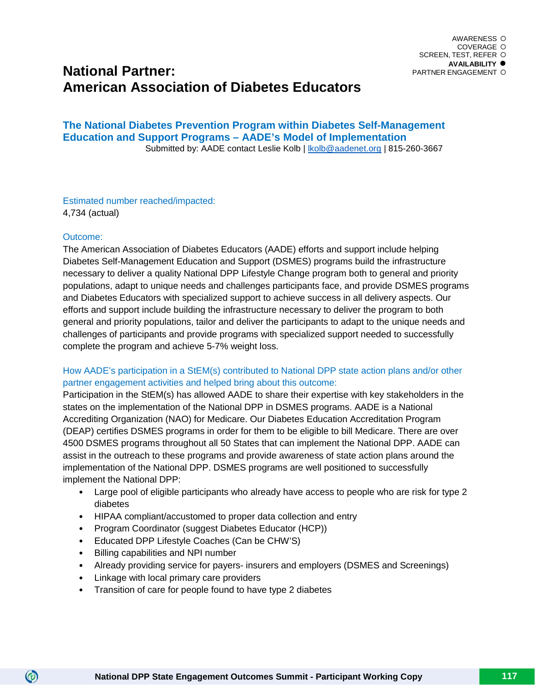# **National Partner: American Association of Diabetes Educators**

**The National Diabetes Prevention Program within Diabetes Self-Management Education and Support Programs – AADE's Model of Implementation**Submitted by: AADE contact Leslie Kolb | kolb@aadenet.org | 815-260-3667

Estimated number reached/impacted: 4,734 (actual)

#### Outcome:

 $\circledcirc$ 

The American Association of Diabetes Educators (AADE) efforts and support include helping Diabetes Self-Management Education and Support (DSMES) programs build the infrastructure necessary to deliver a quality National DPP Lifestyle Change program both to general and priority populations, adapt to unique needs and challenges participants face, and provide DSMES programs and Diabetes Educators with specialized support to achieve success in all delivery aspects. Our efforts and support include building the infrastructure necessary to deliver the program to both general and priority populations, tailor and deliver the participants to adapt to the unique needs and challenges of participants and provide programs with specialized support needed to successfully complete the program and achieve 5-7% weight loss.

# How AADE's participation in a StEM(s) contributed to National DPP state action plans and/or other partner engagement activities and helped bring about this outcome:

Participation in the StEM(s) has allowed AADE to share their expertise with key stakeholders in the states on the implementation of the National DPP in DSMES programs. AADE is a National Accrediting Organization (NAO) for Medicare. Our Diabetes Education Accreditation Program (DEAP) certifies DSMES programs in order for them to be eligible to bill Medicare. There are over 4500 DSMES programs throughout all 50 States that can implement the National DPP. AADE can assist in the outreach to these programs and provide awareness of state action plans around the implementation of the National DPP. DSMES programs are well positioned to successfully implement the National DPP:

- Large pool of eligible participants who already have access to people who are risk for type 2 diabetes
- HIPAA compliant/accustomed to proper data collection and entry
- Program Coordinator (suggest Diabetes Educator (HCP))
- Educated DPP Lifestyle Coaches (Can be CHW'S)
- Billing capabilities and NPI number
- Already providing service for payers- insurers and employers (DSMES and Screenings)
- Linkage with local primary care providers
- Transition of care for people found to have type 2 diabetes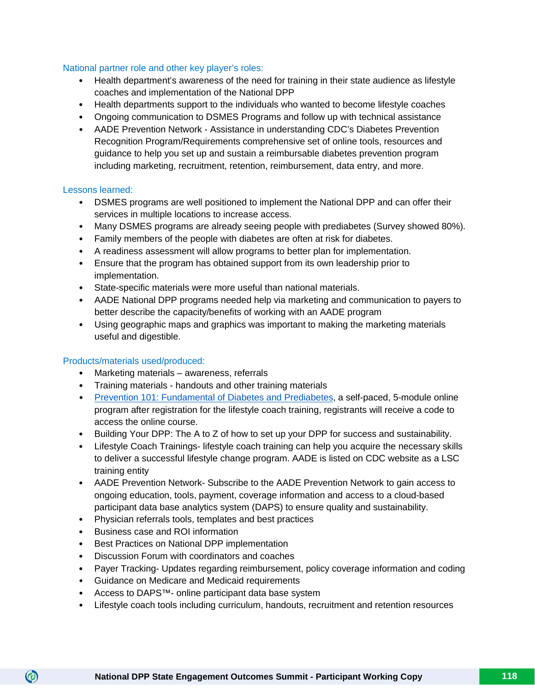#### National partner role and other key player's roles:

- Health department's awareness of the need for training in their state audience as lifestyle coaches and implementation of the National DPP
- Health departments support to the individuals who wanted to become lifestyle coaches
- Ongoing communication to DSMES Programs and follow up with technical assistance
- AADE Prevention Network Assistance in understanding CDC's Diabetes Prevention Recognition Program/Requirements comprehensive set of online tools, resources and guidance to help you set up and sustain a reimbursable diabetes prevention program including marketing, recruitment, retention, reimbursement, data entry, and more.

#### Lessons learned:

- DSMES programs are well positioned to implement the National DPP and can offer their services in multiple locations to increase access.
- Many DSMES programs are already seeing people with prediabetes (Survey showed 80%).
- Family members of the people with diabetes are often at risk for diabetes.
- A readiness assessment will allow programs to better plan for implementation.
- Ensure that the program has obtained support from its own leadership prior to implementation.
- State-specific materials were more useful than national materials.
- AADE National DPP programs needed help via marketing and communication to payers to better describe the capacity/benefits of working with an AADE program
- Using geographic maps and graphics was important to making the marketing materials useful and digestible.

#### Products/materials used/produced:

- Marketing materials awareness, referrals
- Training materials handouts and other training materials
- [Prevention 101: Fundamental of Diabetes and Prediabetes,](http://www.diabeteseducator.org/product/LSC001) a self-paced, 5-module online program after registration for the lifestyle coach training, registrants will receive a code to access the online course.
- Building Your DPP: The A to Z of how to set up your DPP for success and sustainability.
- Lifestyle Coach Trainings- lifestyle coach training can help you acquire the necessary skills to deliver a successful lifestyle change program. AADE is listed on CDC website as a LSC training entity
- AADE Prevention Network- Subscribe to the AADE Prevention Network to gain access to ongoing education, tools, payment, coverage information and access to a cloud-based participant data base analytics system (DAPS) to ensure quality and sustainability.
- Physician referrals tools, templates and best practices
- Business case and ROI information

- Best Practices on National DPP implementation
- Discussion Forum with coordinators and coaches
- Payer Tracking- Updates regarding reimbursement, policy coverage information and coding
- Guidance on Medicare and Medicaid requirements
- Access to DAPS™- online participant data base system
- Lifestyle coach tools including curriculum, handouts, recruitment and retention resources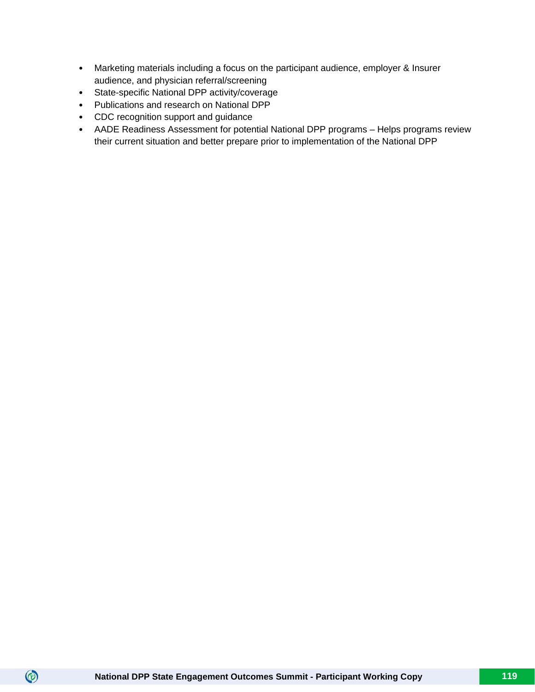- Marketing materials including a focus on the participant audience, employer & Insurer audience, and physician referral/screening
- State-specific National DPP activity/coverage
- Publications and research on National DPP
- CDC recognition support and guidance
- AADE Readiness Assessment for potential National DPP programs Helps programs review their current situation and better prepare prior to implementation of the National DPP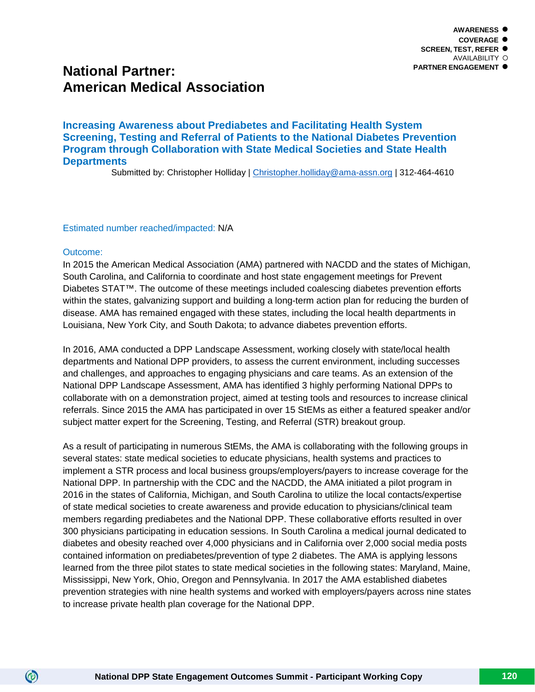# **National Partner: American Medical Association**

**Increasing Awareness about Prediabetes and Facilitating Health System Screening, Testing and Referral of Patients to the National Diabetes Prevention Program through Collaboration with State Medical Societies and State Health Departments**

Submitted by: Christopher Holliday | [Christopher.holliday@ama-assn.org](mailto:Christopher.holliday@ama-assn.org) | 312-464-4610

Estimated number reached/impacted: N/A

#### Outcome:

 $\circledcirc$ 

In 2015 the American Medical Association (AMA) partnered with NACDD and the states of Michigan, South Carolina, and California to coordinate and host state engagement meetings for Prevent Diabetes STAT™. The outcome of these meetings included coalescing diabetes prevention efforts within the states, galvanizing support and building a long-term action plan for reducing the burden of disease. AMA has remained engaged with these states, including the local health departments in Louisiana, New York City, and South Dakota; to advance diabetes prevention efforts.

In 2016, AMA conducted a DPP Landscape Assessment, working closely with state/local health departments and National DPP providers, to assess the current environment, including successes and challenges, and approaches to engaging physicians and care teams. As an extension of the National DPP Landscape Assessment, AMA has identified 3 highly performing National DPPs to collaborate with on a demonstration project, aimed at testing tools and resources to increase clinical referrals. Since 2015 the AMA has participated in over 15 StEMs as either a featured speaker and/or subject matter expert for the Screening, Testing, and Referral (STR) breakout group.

As a result of participating in numerous StEMs, the AMA is collaborating with the following groups in several states: state medical societies to educate physicians, health systems and practices to implement a STR process and local business groups/employers/payers to increase coverage for the National DPP. In partnership with the CDC and the NACDD, the AMA initiated a pilot program in 2016 in the states of California, Michigan, and South Carolina to utilize the local contacts/expertise of state medical societies to create awareness and provide education to physicians/clinical team members regarding prediabetes and the National DPP. These collaborative efforts resulted in over 300 physicians participating in education sessions. In South Carolina a medical journal dedicated to diabetes and obesity reached over 4,000 physicians and in California over 2,000 social media posts contained information on prediabetes/prevention of type 2 diabetes. The AMA is applying lessons learned from the three pilot states to state medical societies in the following states: Maryland, Maine, Mississippi, New York, Ohio, Oregon and Pennsylvania. In 2017 the AMA established diabetes prevention strategies with nine health systems and worked with employers/payers across nine states to increase private health plan coverage for the National DPP.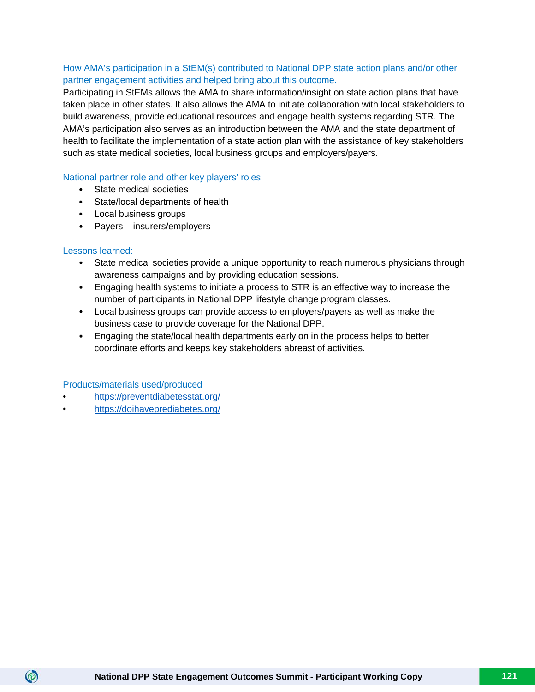# How AMA's participation in a StEM(s) contributed to National DPP state action plans and/or other partner engagement activities and helped bring about this outcome.

Participating in StEMs allows the AMA to share information/insight on state action plans that have taken place in other states. It also allows the AMA to initiate collaboration with local stakeholders to build awareness, provide educational resources and engage health systems regarding STR. The AMA's participation also serves as an introduction between the AMA and the state department of health to facilitate the implementation of a state action plan with the assistance of key stakeholders such as state medical societies, local business groups and employers/payers.

#### National partner role and other key players' roles:

- State medical societies
- State/local departments of health
- Local business groups
- Payers insurers/employers

#### Lessons learned:

 $\circledcirc$ 

- State medical societies provide a unique opportunity to reach numerous physicians through awareness campaigns and by providing education sessions.
- Engaging health systems to initiate a process to STR is an effective way to increase the number of participants in National DPP lifestyle change program classes.
- Local business groups can provide access to employers/payers as well as make the business case to provide coverage for the National DPP.
- Engaging the state/local health departments early on in the process helps to better coordinate efforts and keeps key stakeholders abreast of activities.

#### Products/materials used/produced

- <https://preventdiabetesstat.org/>
- <https://doihaveprediabetes.org/>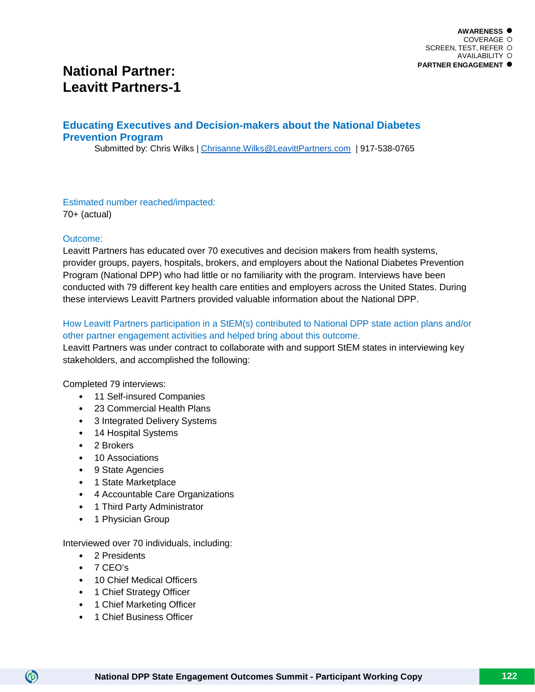# **National Partner: Leavitt Partners-1**

# **Educating Executives and Decision-makers about the National Diabetes Prevention Program**

Submitted by: Chris Wilks | Chrisanne. Wilks @LeavittPartners.com | 917-538-0765

Estimated number reached/impacted: 70+ (actual)

#### Outcome:

Leavitt Partners has educated over 70 executives and decision makers from health systems, provider groups, payers, hospitals, brokers, and employers about the National Diabetes Prevention Program (National DPP) who had little or no familiarity with the program. Interviews have been conducted with 79 different key health care entities and employers across the United States. During these interviews Leavitt Partners provided valuable information about the National DPP.

# How Leavitt Partners participation in a StEM(s) contributed to National DPP state action plans and/or other partner engagement activities and helped bring about this outcome.

Leavitt Partners was under contract to collaborate with and support StEM states in interviewing key stakeholders, and accomplished the following:

#### Completed 79 interviews:

- 11 Self-insured Companies
- 23 Commercial Health Plans
- 3 Integrated Delivery Systems
- 14 Hospital Systems
- 2 Brokers
- 10 Associations
- 9 State Agencies
- 1 State Marketplace
- 4 Accountable Care Organizations
- 1 Third Party Administrator
- 1 Physician Group

Interviewed over 70 individuals, including:

- 2 Presidents
- $\bullet$  7 CFO's

- 10 Chief Medical Officers
- 1 Chief Strategy Officer
- 1 Chief Marketing Officer
- 1 Chief Business Officer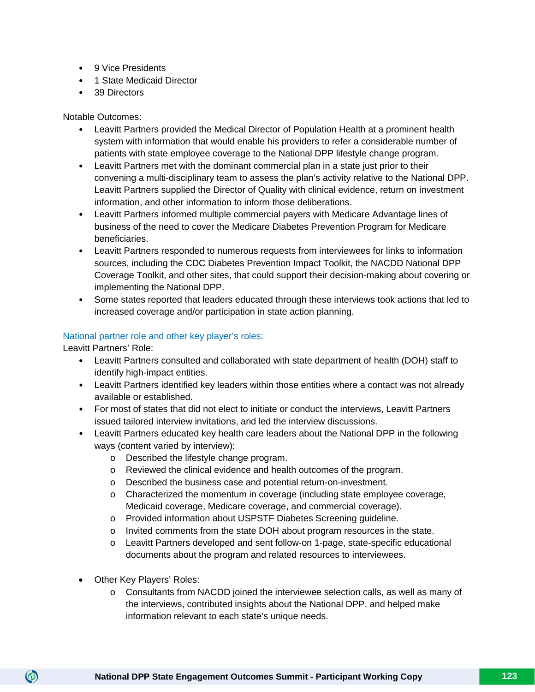- 9 Vice Presidents
- 1 State Medicaid Director
- 39 Directors

Notable Outcomes:

- Leavitt Partners provided the Medical Director of Population Health at a prominent health system with information that would enable his providers to refer a considerable number of patients with state employee coverage to the National DPP lifestyle change program.
- Leavitt Partners met with the dominant commercial plan in a state just prior to their convening a multi-disciplinary team to assess the plan's activity relative to the National DPP. Leavitt Partners supplied the Director of Quality with clinical evidence, return on investment information, and other information to inform those deliberations.
- Leavitt Partners informed multiple commercial payers with Medicare Advantage lines of business of the need to cover the Medicare Diabetes Prevention Program for Medicare beneficiaries.
- Leavitt Partners responded to numerous requests from interviewees for links to information sources, including the CDC Diabetes Prevention Impact Toolkit, the NACDD National DPP Coverage Toolkit, and other sites, that could support their decision-making about covering or implementing the National DPP.
- Some states reported that leaders educated through these interviews took actions that led to increased coverage and/or participation in state action planning.

#### National partner role and other key player's roles:

Leavitt Partners' Role:

- Leavitt Partners consulted and collaborated with state department of health (DOH) staff to identify high-impact entities.
- Leavitt Partners identified key leaders within those entities where a contact was not already available or established.
- For most of states that did not elect to initiate or conduct the interviews, Leavitt Partners issued tailored interview invitations, and led the interview discussions.
- Leavitt Partners educated key health care leaders about the National DPP in the following ways (content varied by interview):
	- o Described the lifestyle change program.
	- o Reviewed the clinical evidence and health outcomes of the program.
	- o Described the business case and potential return-on-investment.
	- o Characterized the momentum in coverage (including state employee coverage, Medicaid coverage, Medicare coverage, and commercial coverage).
	- o Provided information about USPSTF Diabetes Screening guideline.
	- o Invited comments from the state DOH about program resources in the state.
	- o Leavitt Partners developed and sent follow-on 1-page, state-specific educational documents about the program and related resources to interviewees.
- Other Key Players' Roles:

 $\circledcirc$ 

o Consultants from NACDD joined the interviewee selection calls, as well as many of the interviews, contributed insights about the National DPP, and helped make information relevant to each state's unique needs.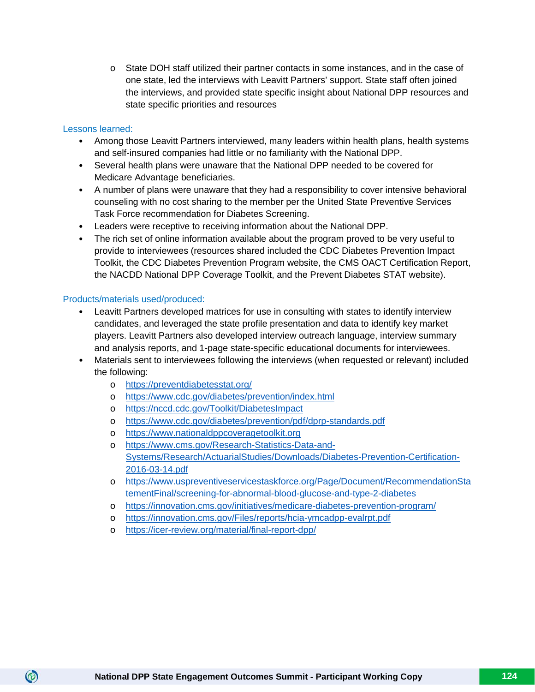o State DOH staff utilized their partner contacts in some instances, and in the case of one state, led the interviews with Leavitt Partners' support. State staff often joined the interviews, and provided state specific insight about National DPP resources and state specific priorities and resources

#### Lessons learned:

 $\circledcirc$ 

- Among those Leavitt Partners interviewed, many leaders within health plans, health systems and self-insured companies had little or no familiarity with the National DPP.
- Several health plans were unaware that the National DPP needed to be covered for Medicare Advantage beneficiaries.
- A number of plans were unaware that they had a responsibility to cover intensive behavioral counseling with no cost sharing to the member per the United State Preventive Services Task Force recommendation for Diabetes Screening.
- Leaders were receptive to receiving information about the National DPP.
- The rich set of online information available about the program proved to be very useful to provide to interviewees (resources shared included the CDC Diabetes Prevention Impact Toolkit, the CDC Diabetes Prevention Program website, the CMS OACT Certification Report, the NACDD National DPP Coverage Toolkit, and the Prevent Diabetes STAT website).

## Products/materials used/produced:

- Leavitt Partners developed matrices for use in consulting with states to identify interview candidates, and leveraged the state profile presentation and data to identify key market players. Leavitt Partners also developed interview outreach language, interview summary and analysis reports, and 1-page state-specific educational documents for interviewees.
- Materials sent to interviewees following the interviews (when requested or relevant) included the following:
	- o <https://preventdiabetesstat.org/>
	- o <https://www.cdc.gov/diabetes/prevention/index.html>
	- o <https://nccd.cdc.gov/Toolkit/DiabetesImpact>
	- o <https://www.cdc.gov/diabetes/prevention/pdf/dprp-standards.pdf>
	- o [https://www.nationaldppcoveragetoolkit.org](https://www.nationaldppcoveragetoolkit.org/)
	- o [https://www.cms.gov/Research-Statistics-Data-and-](https://www.cms.gov/Research-Statistics-Data-and-Systems/Research/ActuarialStudies/Downloads/Diabetes-Prevention-Certification-2016-03-14.pdf)[Systems/Research/ActuarialStudies/Downloads/Diabetes-Prevention-Certification-](https://www.cms.gov/Research-Statistics-Data-and-Systems/Research/ActuarialStudies/Downloads/Diabetes-Prevention-Certification-2016-03-14.pdf)[2016-03-14.pdf](https://www.cms.gov/Research-Statistics-Data-and-Systems/Research/ActuarialStudies/Downloads/Diabetes-Prevention-Certification-2016-03-14.pdf)
	- o [https://www.uspreventiveservicestaskforce.org/Page/Document/RecommendationSta](https://www.uspreventiveservicestaskforce.org/Page/Document/RecommendationStatementFinal/screening-for-abnormal-blood-glucose-and-type-2-diabetes) [tementFinal/screening-for-abnormal-blood-glucose-and-type-2-diabetes](https://www.uspreventiveservicestaskforce.org/Page/Document/RecommendationStatementFinal/screening-for-abnormal-blood-glucose-and-type-2-diabetes)
	- o <https://innovation.cms.gov/initiatives/medicare-diabetes-prevention-program/>
	- o <https://innovation.cms.gov/Files/reports/hcia-ymcadpp-evalrpt.pdf>
	- o <https://icer-review.org/material/final-report-dpp/>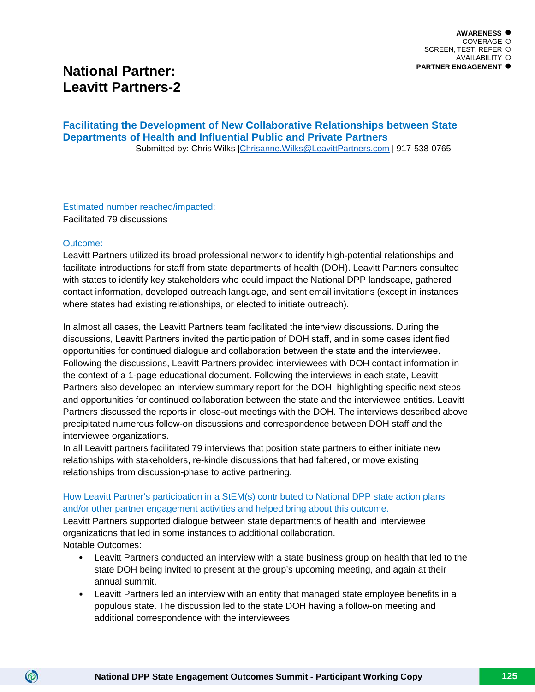# **National Partner: Leavitt Partners-2**

## **Facilitating the Development of New Collaborative Relationships between State Departments of Health and Influential Public and Private Partners**Submitted by: Chris Wilks [|Chrisanne.Wilks@LeavittPartners.com](mailto:Chrisanne.Wilks@LeavittPartners.com) | 917-538-0765

Estimated number reached/impacted: Facilitated 79 discussions

#### Outcome:

 $\circledcirc$ 

Leavitt Partners utilized its broad professional network to identify high-potential relationships and facilitate introductions for staff from state departments of health (DOH). Leavitt Partners consulted with states to identify key stakeholders who could impact the National DPP landscape, gathered contact information, developed outreach language, and sent email invitations (except in instances where states had existing relationships, or elected to initiate outreach).

In almost all cases, the Leavitt Partners team facilitated the interview discussions. During the discussions, Leavitt Partners invited the participation of DOH staff, and in some cases identified opportunities for continued dialogue and collaboration between the state and the interviewee. Following the discussions, Leavitt Partners provided interviewees with DOH contact information in the context of a 1-page educational document. Following the interviews in each state, Leavitt Partners also developed an interview summary report for the DOH, highlighting specific next steps and opportunities for continued collaboration between the state and the interviewee entities. Leavitt Partners discussed the reports in close-out meetings with the DOH. The interviews described above precipitated numerous follow-on discussions and correspondence between DOH staff and the interviewee organizations.

In all Leavitt partners facilitated 79 interviews that position state partners to either initiate new relationships with stakeholders, re-kindle discussions that had faltered, or move existing relationships from discussion-phase to active partnering.

## How Leavitt Partner's participation in a StEM(s) contributed to National DPP state action plans and/or other partner engagement activities and helped bring about this outcome.

Leavitt Partners supported dialogue between state departments of health and interviewee organizations that led in some instances to additional collaboration. Notable Outcomes:

- Leavitt Partners conducted an interview with a state business group on health that led to the state DOH being invited to present at the group's upcoming meeting, and again at their annual summit.
- Leavitt Partners led an interview with an entity that managed state employee benefits in a populous state. The discussion led to the state DOH having a follow-on meeting and additional correspondence with the interviewees.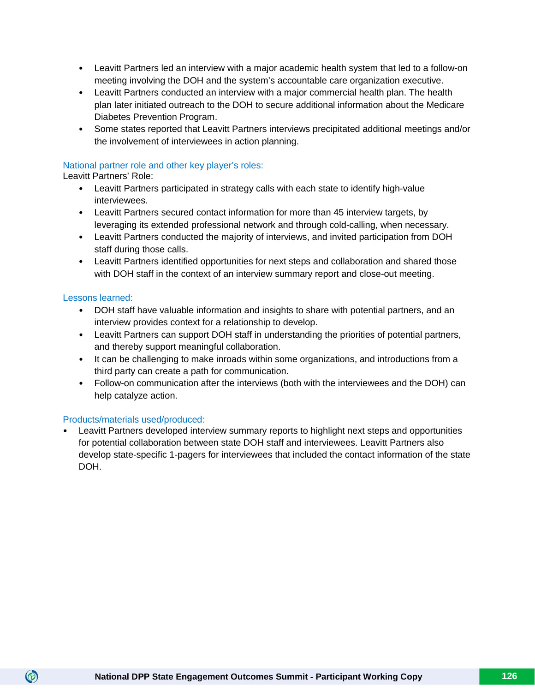- Leavitt Partners led an interview with a major academic health system that led to a follow-on meeting involving the DOH and the system's accountable care organization executive.
- Leavitt Partners conducted an interview with a major commercial health plan. The health plan later initiated outreach to the DOH to secure additional information about the Medicare Diabetes Prevention Program.
- Some states reported that Leavitt Partners interviews precipitated additional meetings and/or the involvement of interviewees in action planning.

## National partner role and other key player's roles:

Leavitt Partners' Role:

- Leavitt Partners participated in strategy calls with each state to identify high-value interviewees.
- Leavitt Partners secured contact information for more than 45 interview targets, by leveraging its extended professional network and through cold-calling, when necessary.
- Leavitt Partners conducted the majority of interviews, and invited participation from DOH staff during those calls.
- Leavitt Partners identified opportunities for next steps and collaboration and shared those with DOH staff in the context of an interview summary report and close-out meeting.

## Lessons learned:

 $\circledcirc$ 

- DOH staff have valuable information and insights to share with potential partners, and an interview provides context for a relationship to develop.
- Leavitt Partners can support DOH staff in understanding the priorities of potential partners, and thereby support meaningful collaboration.
- It can be challenging to make inroads within some organizations, and introductions from a third party can create a path for communication.
- Follow-on communication after the interviews (both with the interviewees and the DOH) can help catalyze action.

#### Products/materials used/produced:

• Leavitt Partners developed interview summary reports to highlight next steps and opportunities for potential collaboration between state DOH staff and interviewees. Leavitt Partners also develop state-specific 1-pagers for interviewees that included the contact information of the state DOH.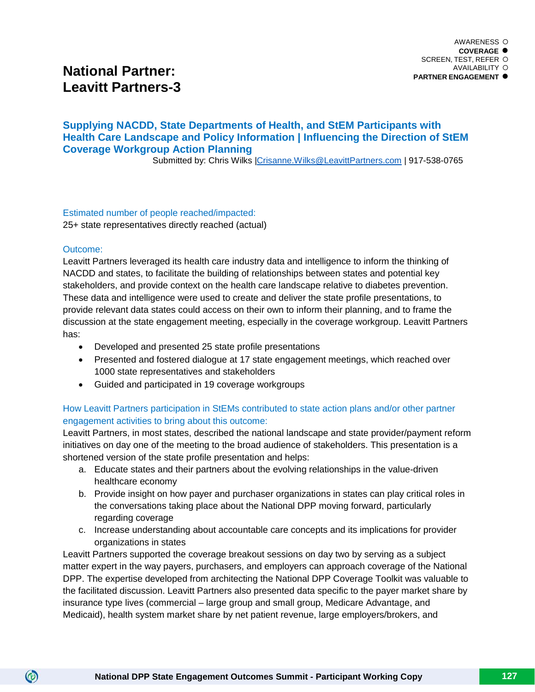# **National Partner: Leavitt Partners-3**

# **Supplying NACDD, State Departments of Health, and StEM Participants with Health Care Landscape and Policy Information | Influencing the Direction of StEM Coverage Workgroup Action Planning**

Submitted by: Chris Wilks [|Crisanne.Wilks@LeavittPartners.com](mailto:Crisanne.Wilks@LeavittPartners.com) | 917-538-0765

Estimated number of people reached/impacted:

25+ state representatives directly reached (actual)

#### Outcome:

 $\circledcirc$ 

Leavitt Partners leveraged its health care industry data and intelligence to inform the thinking of NACDD and states, to facilitate the building of relationships between states and potential key stakeholders, and provide context on the health care landscape relative to diabetes prevention. These data and intelligence were used to create and deliver the state profile presentations, to provide relevant data states could access on their own to inform their planning, and to frame the discussion at the state engagement meeting, especially in the coverage workgroup. Leavitt Partners has:

- Developed and presented 25 state profile presentations
- Presented and fostered dialogue at 17 state engagement meetings, which reached over 1000 state representatives and stakeholders
- Guided and participated in 19 coverage workgroups

# How Leavitt Partners participation in StEMs contributed to state action plans and/or other partner engagement activities to bring about this outcome:

Leavitt Partners, in most states, described the national landscape and state provider/payment reform initiatives on day one of the meeting to the broad audience of stakeholders. This presentation is a shortened version of the state profile presentation and helps:

- a. Educate states and their partners about the evolving relationships in the value-driven healthcare economy
- b. Provide insight on how payer and purchaser organizations in states can play critical roles in the conversations taking place about the National DPP moving forward, particularly regarding coverage
- c. Increase understanding about accountable care concepts and its implications for provider organizations in states

Leavitt Partners supported the coverage breakout sessions on day two by serving as a subject matter expert in the way payers, purchasers, and employers can approach coverage of the National DPP. The expertise developed from architecting the National DPP Coverage Toolkit was valuable to the facilitated discussion. Leavitt Partners also presented data specific to the payer market share by insurance type lives (commercial – large group and small group, Medicare Advantage, and Medicaid), health system market share by net patient revenue, large employers/brokers, and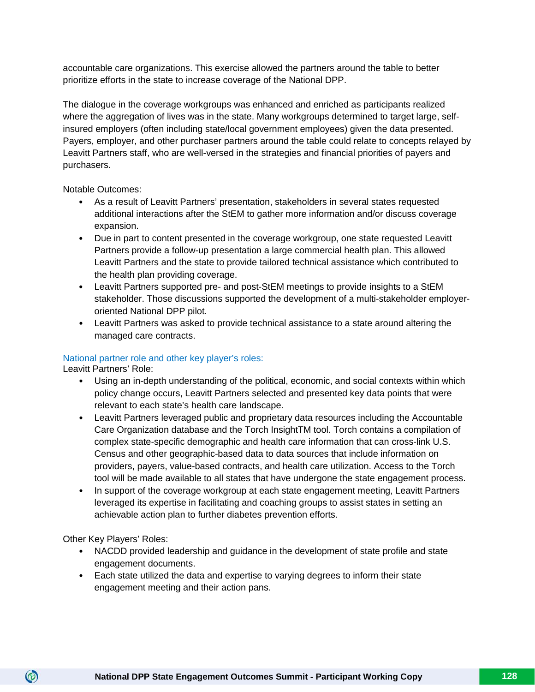accountable care organizations. This exercise allowed the partners around the table to better prioritize efforts in the state to increase coverage of the National DPP.

The dialogue in the coverage workgroups was enhanced and enriched as participants realized where the aggregation of lives was in the state. Many workgroups determined to target large, selfinsured employers (often including state/local government employees) given the data presented. Payers, employer, and other purchaser partners around the table could relate to concepts relayed by Leavitt Partners staff, who are well-versed in the strategies and financial priorities of payers and purchasers.

Notable Outcomes:

- As a result of Leavitt Partners' presentation, stakeholders in several states requested additional interactions after the StEM to gather more information and/or discuss coverage expansion.
- Due in part to content presented in the coverage workgroup, one state requested Leavitt Partners provide a follow-up presentation a large commercial health plan. This allowed Leavitt Partners and the state to provide tailored technical assistance which contributed to the health plan providing coverage.
- Leavitt Partners supported pre- and post-StEM meetings to provide insights to a StEM stakeholder. Those discussions supported the development of a multi-stakeholder employeroriented National DPP pilot.
- Leavitt Partners was asked to provide technical assistance to a state around altering the managed care contracts.

# National partner role and other key player's roles:

Leavitt Partners' Role:

- Using an in-depth understanding of the political, economic, and social contexts within which policy change occurs, Leavitt Partners selected and presented key data points that were relevant to each state's health care landscape.
- Leavitt Partners leveraged public and proprietary data resources including the Accountable Care Organization database and the Torch InsightTM tool. Torch contains a compilation of complex state-specific demographic and health care information that can cross-link U.S. Census and other geographic-based data to data sources that include information on providers, payers, value-based contracts, and health care utilization. Access to the Torch tool will be made available to all states that have undergone the state engagement process.
- In support of the coverage workgroup at each state engagement meeting, Leavitt Partners leveraged its expertise in facilitating and coaching groups to assist states in setting an achievable action plan to further diabetes prevention efforts.

Other Key Players' Roles:

- NACDD provided leadership and guidance in the development of state profile and state engagement documents.
- Each state utilized the data and expertise to varying degrees to inform their state engagement meeting and their action pans.